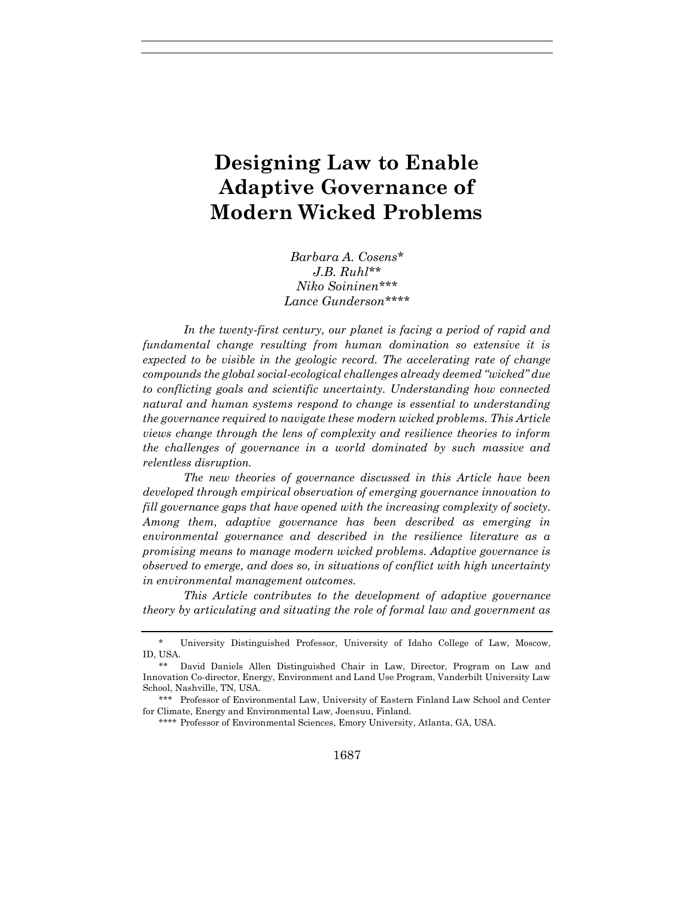# **Designing Law to Enable Adaptive Governance of Modern Wicked Problems**

*Barbara A. Cosens*\* *J.B. Ruhl\*\* Niko Soininen\*\*\* Lance Gunderson\*\*\*\**

*In the twenty-first century, our planet is facing a period of rapid and fundamental change resulting from human domination so extensive it is expected to be visible in the geologic record. The accelerating rate of change compounds the global social-ecological challenges already deemed "wicked" due to conflicting goals and scientific uncertainty. Understanding how connected natural and human systems respond to change is essential to understanding the governance required to navigate these modern wicked problems. This Article views change through the lens of complexity and resilience theories to inform the challenges of governance in a world dominated by such massive and relentless disruption.* 

*The new theories of governance discussed in this Article have been developed through empirical observation of emerging governance innovation to fill governance gaps that have opened with the increasing complexity of society. Among them, adaptive governance has been described as emerging in environmental governance and described in the resilience literature as a promising means to manage modern wicked problems. Adaptive governance is observed to emerge, and does so, in situations of conflict with high uncertainty in environmental management outcomes.* 

*This Article contributes to the development of adaptive governance theory by articulating and situating the role of formal law and government as* 

<sup>\*</sup> University Distinguished Professor, University of Idaho College of Law, Moscow, ID, USA.

<sup>\*\*</sup> David Daniels Allen Distinguished Chair in Law, Director, Program on Law and Innovation Co-director, Energy, Environment and Land Use Program, Vanderbilt University Law School, Nashville, TN, USA.

<sup>\*\*\*</sup> Professor of Environmental Law, University of Eastern Finland Law School and Center for Climate, Energy and Environmental Law, Joensuu, Finland.

<sup>\*\*\*\*</sup> Professor of Environmental Sciences, Emory University, Atlanta, GA, USA.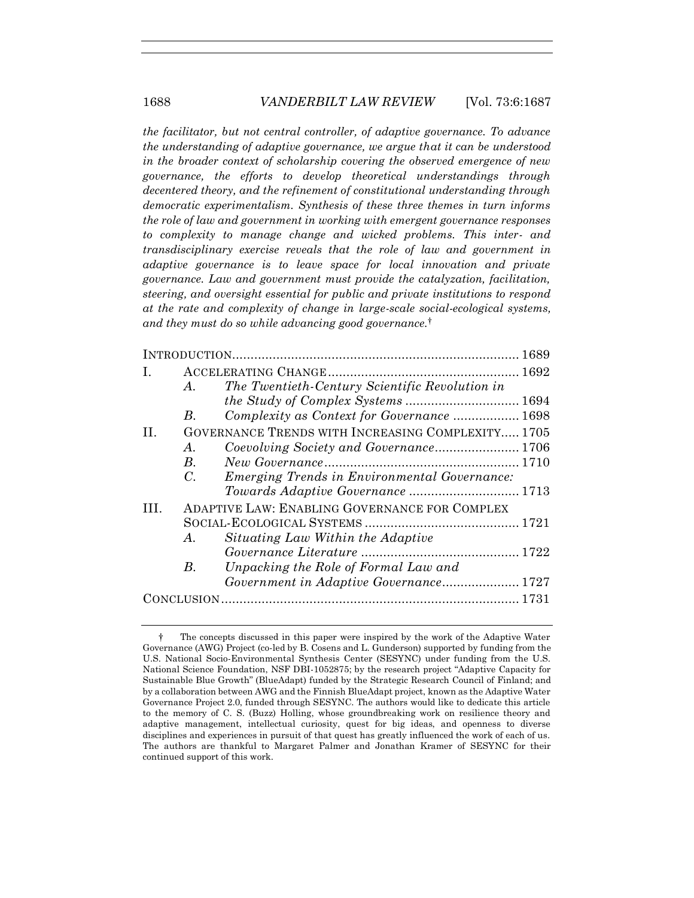*the facilitator, but not central controller, of adaptive governance. To advance the understanding of adaptive governance, we argue that it can be understood in the broader context of scholarship covering the observed emergence of new governance, the efforts to develop theoretical understandings through decentered theory, and the refinement of constitutional understanding through democratic experimentalism. Synthesis of these three themes in turn informs the role of law and government in working with emergent governance responses to complexity to manage change and wicked problems. This inter- and transdisciplinary exercise reveals that the role of law and government in adaptive governance is to leave space for local innovation and private governance. Law and government must provide the catalyzation, facilitation, steering, and oversight essential for public and private institutions to respond at the rate and complexity of change in large-scale social-ecological systems, and they must do so while advancing good governance.*†

| Ι.  |                                                      |                                                     |  |
|-----|------------------------------------------------------|-----------------------------------------------------|--|
|     | $A_{\cdot}$                                          | The Twentieth-Century Scientific Revolution in      |  |
|     |                                                      | the Study of Complex Systems  1694                  |  |
|     | В.                                                   | Complexity as Context for Governance  1698          |  |
| П.  | GOVERNANCE TRENDS WITH INCREASING COMPLEXITY 1705    |                                                     |  |
|     | $A$ .                                                |                                                     |  |
|     | $B_{\cdot}$                                          |                                                     |  |
|     | $C_{\cdot}$                                          | <b>Emerging Trends in Environmental Governance:</b> |  |
|     |                                                      |                                                     |  |
| TH. | <b>ADAPTIVE LAW: ENABLING GOVERNANCE FOR COMPLEX</b> |                                                     |  |
|     |                                                      |                                                     |  |
|     | $A_{\cdot}$                                          | Situating Law Within the Adaptive                   |  |
|     |                                                      |                                                     |  |
|     | В.                                                   | Unpacking the Role of Formal Law and                |  |
|     |                                                      | Government in Adaptive Governance 1727              |  |
|     |                                                      |                                                     |  |
|     |                                                      |                                                     |  |

<sup>†</sup> The concepts discussed in this paper were inspired by the work of the Adaptive Water Governance (AWG) Project (co-led by B. Cosens and L. Gunderson) supported by funding from the U.S. National Socio-Environmental Synthesis Center (SESYNC) under funding from the U.S. National Science Foundation, NSF DBI-1052875; by the research project "Adaptive Capacity for Sustainable Blue Growth" (BlueAdapt) funded by the Strategic Research Council of Finland; and by a collaboration between AWG and the Finnish BlueAdapt project, known as the Adaptive Water Governance Project 2.0, funded through SESYNC. The authors would like to dedicate this article to the memory of C. S. (Buzz) Holling, whose groundbreaking work on resilience theory and adaptive management, intellectual curiosity, quest for big ideas, and openness to diverse disciplines and experiences in pursuit of that quest has greatly influenced the work of each of us. The authors are thankful to Margaret Palmer and Jonathan Kramer of SESYNC for their continued support of this work.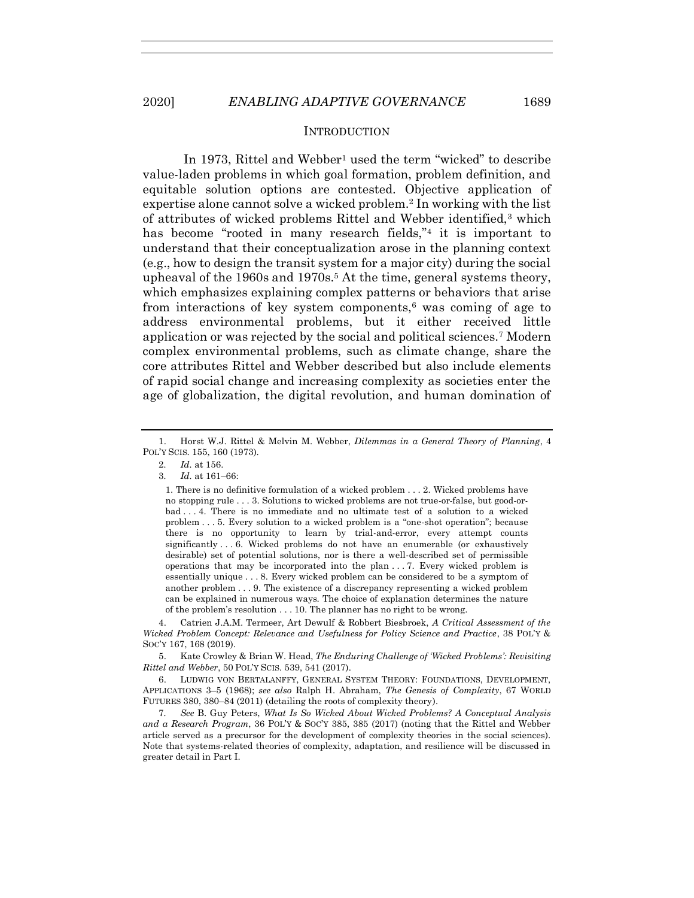#### <span id="page-2-1"></span><span id="page-2-0"></span>**INTRODUCTION**

In 1973, Rittel and Webber<sup>1</sup> used the term "wicked" to describe value-laden problems in which goal formation, problem definition, and equitable solution options are contested. Objective application of expertise alone cannot solve a wicked problem.<sup>2</sup> In working with the list of attributes of wicked problems Rittel and Webber identified,<sup>3</sup> which has become "rooted in many research fields,"<sup>4</sup> it is important to understand that their conceptualization arose in the planning context (e.g., how to design the transit system for a major city) during the social upheaval of the 1960s and 1970s.<sup>5</sup> At the time, general systems theory, which emphasizes explaining complex patterns or behaviors that arise from interactions of key system components,<sup> $6$ </sup> was coming of age to address environmental problems, but it either received little application or was rejected by the social and political sciences.<sup>7</sup> Modern complex environmental problems, such as climate change, share the core attributes Rittel and Webber described but also include elements of rapid social change and increasing complexity as societies enter the age of globalization, the digital revolution, and human domination of

1. There is no definitive formulation of a wicked problem . . . 2. Wicked problems have no stopping rule . . . 3. Solutions to wicked problems are not true-or-false, but good-orbad . . . 4. There is no immediate and no ultimate test of a solution to a wicked problem . . . 5. Every solution to a wicked problem is a "one-shot operation"; because there is no opportunity to learn by trial-and-error, every attempt counts significantly . . . 6. Wicked problems do not have an enumerable (or exhaustively desirable) set of potential solutions, nor is there a well-described set of permissible operations that may be incorporated into the plan . . . 7. Every wicked problem is essentially unique . . . 8. Every wicked problem can be considered to be a symptom of another problem . . . 9. The existence of a discrepancy representing a wicked problem can be explained in numerous ways. The choice of explanation determines the nature of the problem's resolution . . . 10. The planner has no right to be wrong.

4. Catrien J.A.M. Termeer, Art Dewulf & Robbert Biesbroek, *A Critical Assessment of the Wicked Problem Concept: Relevance and Usefulness for Policy Science and Practice*, 38 POL'Y & SOC'Y 167, 168 (2019).

5. Kate Crowley & Brian W. Head, *The Enduring Challenge of 'Wicked Problems': Revisiting Rittel and Webber*, 50 POL'Y SCIS. 539, 541 (2017).

6. LUDWIG VON BERTALANFFY, GENERAL SYSTEM THEORY: FOUNDATIONS, DEVELOPMENT, APPLICATIONS 3–5 (1968); *see also* Ralph H. Abraham, *The Genesis of Complexity*, 67 WORLD FUTURES 380, 380–84 (2011) (detailing the roots of complexity theory).

7*. See* B. Guy Peters, *What Is So Wicked About Wicked Problems? A Conceptual Analysis and a Research Program*, 36 POL'Y & SOC'Y 385, 385 (2017) (noting that the Rittel and Webber article served as a precursor for the development of complexity theories in the social sciences). Note that systems-related theories of complexity, adaptation, and resilience will be discussed in greater detail in Part I.

<sup>1.</sup> Horst W.J. Rittel & Melvin M. Webber, *Dilemmas in a General Theory of Planning*, 4 POL'Y SCIS. 155, 160 (1973).

<sup>2</sup>*. Id.* at 156.

<sup>3</sup>*. Id.* at 161–66: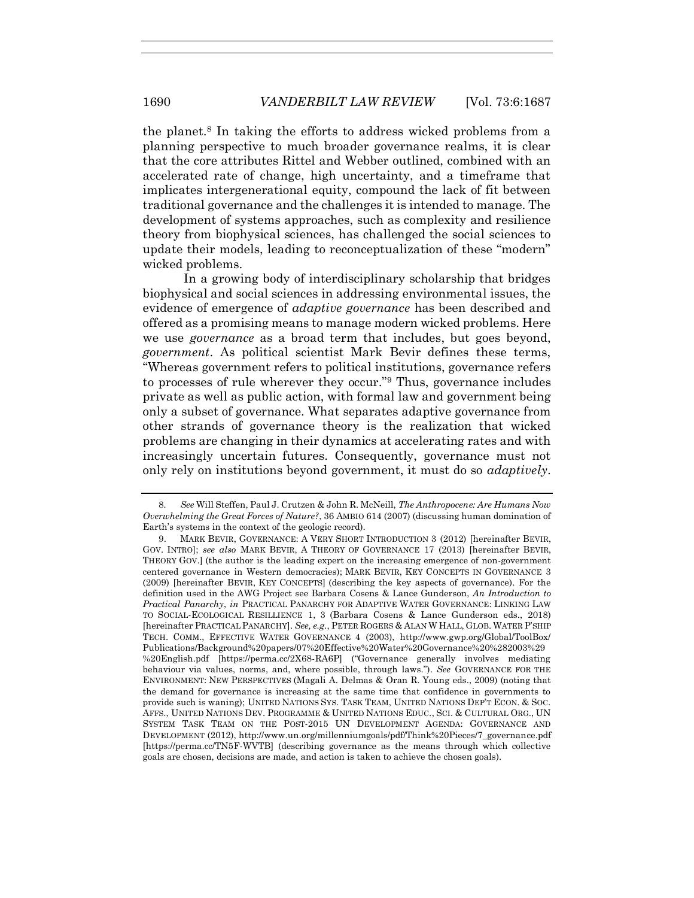<span id="page-3-0"></span>the planet.<sup>8</sup> In taking the efforts to address wicked problems from a planning perspective to much broader governance realms, it is clear that the core attributes Rittel and Webber outlined, combined with an accelerated rate of change, high uncertainty, and a timeframe that implicates intergenerational equity, compound the lack of fit between traditional governance and the challenges it is intended to manage. The development of systems approaches, such as complexity and resilience theory from biophysical sciences, has challenged the social sciences to update their models, leading to reconceptualization of these "modern" wicked problems.

<span id="page-3-1"></span>In a growing body of interdisciplinary scholarship that bridges biophysical and social sciences in addressing environmental issues, the evidence of emergence of *adaptive governance* has been described and offered as a promising means to manage modern wicked problems. Here we use *governance* as a broad term that includes, but goes beyond, *government*. As political scientist Mark Bevir defines these terms, "Whereas government refers to political institutions, governance refers to processes of rule wherever they occur."<sup>9</sup> Thus, governance includes private as well as public action, with formal law and government being only a subset of governance. What separates adaptive governance from other strands of governance theory is the realization that wicked problems are changing in their dynamics at accelerating rates and with increasingly uncertain futures. Consequently, governance must not only rely on institutions beyond government, it must do so *adaptively*.

<sup>8</sup>*. See* Will Steffen, Paul J. Crutzen & John R. McNeill, *The Anthropocene: Are Humans Now Overwhelming the Great Forces of Nature?*, 36 AMBIO 614 (2007) (discussing human domination of Earth's systems in the context of the geologic record).

<sup>9.</sup> MARK BEVIR, GOVERNANCE: A VERY SHORT INTRODUCTION 3 (2012) [hereinafter BEVIR, GOV. INTRO]; *see also* MARK BEVIR, A THEORY OF GOVERNANCE 17 (2013) [hereinafter BEVIR, THEORY GOV.] (the author is the leading expert on the increasing emergence of non-government centered governance in Western democracies); MARK BEVIR, KEY CONCEPTS IN GOVERNANCE 3 (2009) [hereinafter BEVIR, KEY CONCEPTS] (describing the key aspects of governance). For the definition used in the AWG Project see Barbara Cosens & Lance Gunderson, *An Introduction to Practical Panarchy*, *in* PRACTICAL PANARCHY FOR ADAPTIVE WATER GOVERNANCE: LINKING LAW TO SOCIAL-ECOLOGICAL RESILLIENCE 1, 3 (Barbara Cosens & Lance Gunderson eds., 2018) [hereinafter PRACTICAL PANARCHY]. *See, e.g.*, PETER ROGERS & ALAN W HALL, GLOB. WATER P'SHIP TECH. COMM., EFFECTIVE WATER GOVERNANCE 4 (2003), http://www.gwp.org/Global/ToolBox/ Publications/Background%20papers/07%20Effective%20Water%20Governance%20%282003%29 %20English.pdf [https://perma.cc/2X68-RA6P] ("Governance generally involves mediating behaviour via values, norms, and, where possible, through laws."). *See* GOVERNANCE FOR THE ENVIRONMENT: NEW PERSPECTIVES (Magali A. Delmas & Oran R. Young eds., 2009) (noting that the demand for governance is increasing at the same time that confidence in governments to provide such is waning); UNITED NATIONS SYS. TASK TEAM, UNITED NATIONS DEP'T ECON. & SOC. AFFS., UNITED NATIONS DEV. PROGRAMME & UNITED NATIONS EDUC., SCI. & CULTURAL ORG., UN SYSTEM TASK TEAM ON THE POST-2015 UN DEVELOPMENT AGENDA: GOVERNANCE AND DEVELOPMENT (2012), http://www.un.org/millenniumgoals/pdf/Think%20Pieces/7\_governance.pdf [https://perma.cc/TN5F-WVTB] (describing governance as the means through which collective goals are chosen, decisions are made, and action is taken to achieve the chosen goals).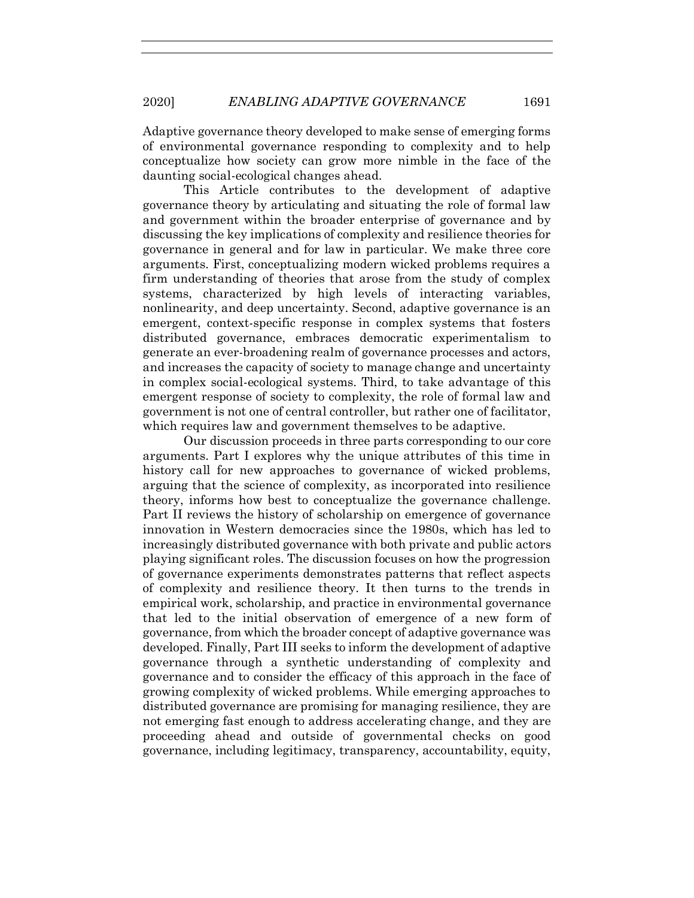Adaptive governance theory developed to make sense of emerging forms of environmental governance responding to complexity and to help conceptualize how society can grow more nimble in the face of the daunting social-ecological changes ahead.

This Article contributes to the development of adaptive governance theory by articulating and situating the role of formal law and government within the broader enterprise of governance and by discussing the key implications of complexity and resilience theories for governance in general and for law in particular. We make three core arguments. First, conceptualizing modern wicked problems requires a firm understanding of theories that arose from the study of complex systems, characterized by high levels of interacting variables, nonlinearity, and deep uncertainty. Second, adaptive governance is an emergent, context-specific response in complex systems that fosters distributed governance, embraces democratic experimentalism to generate an ever-broadening realm of governance processes and actors, and increases the capacity of society to manage change and uncertainty in complex social-ecological systems. Third, to take advantage of this emergent response of society to complexity, the role of formal law and government is not one of central controller, but rather one of facilitator, which requires law and government themselves to be adaptive.

Our discussion proceeds in three parts corresponding to our core arguments. Part I explores why the unique attributes of this time in history call for new approaches to governance of wicked problems, arguing that the science of complexity, as incorporated into resilience theory, informs how best to conceptualize the governance challenge. Part II reviews the history of scholarship on emergence of governance innovation in Western democracies since the 1980s, which has led to increasingly distributed governance with both private and public actors playing significant roles. The discussion focuses on how the progression of governance experiments demonstrates patterns that reflect aspects of complexity and resilience theory. It then turns to the trends in empirical work, scholarship, and practice in environmental governance that led to the initial observation of emergence of a new form of governance, from which the broader concept of adaptive governance was developed. Finally, Part III seeks to inform the development of adaptive governance through a synthetic understanding of complexity and governance and to consider the efficacy of this approach in the face of growing complexity of wicked problems. While emerging approaches to distributed governance are promising for managing resilience, they are not emerging fast enough to address accelerating change, and they are proceeding ahead and outside of governmental checks on good governance, including legitimacy, transparency, accountability, equity,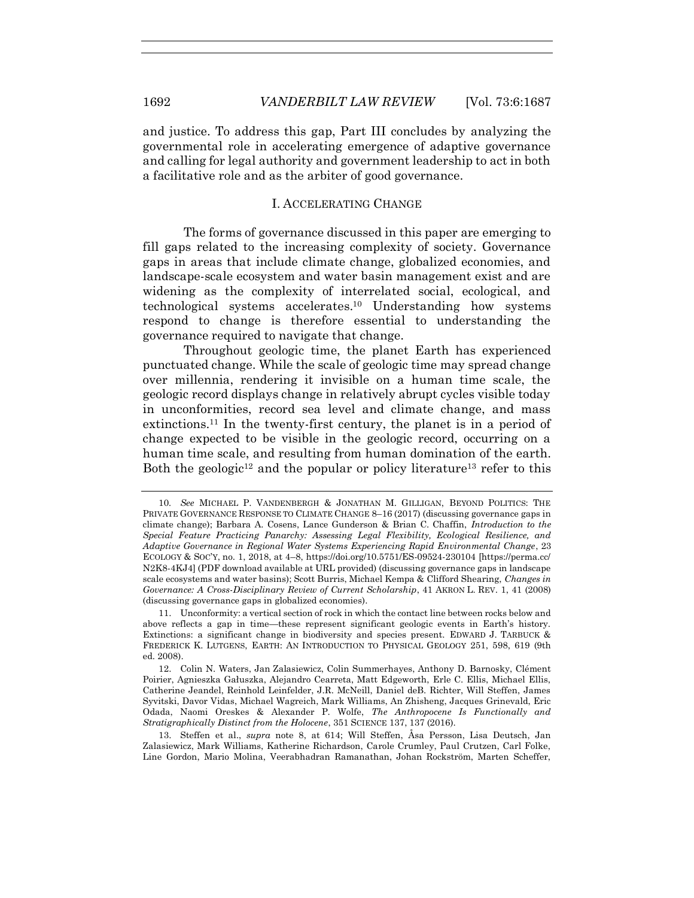and justice. To address this gap, Part III concludes by analyzing the governmental role in accelerating emergence of adaptive governance and calling for legal authority and government leadership to act in both a facilitative role and as the arbiter of good governance.

#### <span id="page-5-2"></span>I. ACCELERATING CHANGE

The forms of governance discussed in this paper are emerging to fill gaps related to the increasing complexity of society. Governance gaps in areas that include climate change, globalized economies, and landscape-scale ecosystem and water basin management exist and are widening as the complexity of interrelated social, ecological, and technological systems accelerates. <sup>10</sup> Understanding how systems respond to change is therefore essential to understanding the governance required to navigate that change.

Throughout geologic time, the planet Earth has experienced punctuated change. While the scale of geologic time may spread change over millennia, rendering it invisible on a human time scale, the geologic record displays change in relatively abrupt cycles visible today in unconformities, record sea level and climate change, and mass extinctions.<sup>11</sup> In the twenty-first century, the planet is in a period of change expected to be visible in the geologic record, occurring on a human time scale, and resulting from human domination of the earth. Both the geologic<sup>12</sup> and the popular or policy literature<sup>13</sup> refer to this

11. Unconformity: a vertical section of rock in which the contact line between rocks below and above reflects a gap in time—these represent significant geologic events in Earth's history. Extinctions: a significant change in biodiversity and species present. EDWARD J. TARBUCK & FREDERICK K. LUTGENS, EARTH: AN INTRODUCTION TO PHYSICAL GEOLOGY 251, 598, 619 (9th ed. 2008).

<span id="page-5-1"></span><span id="page-5-0"></span><sup>10</sup>*. See* MICHAEL P. VANDENBERGH & JONATHAN M. GILLIGAN, BEYOND POLITICS: THE PRIVATE GOVERNANCE RESPONSE TO CLIMATE CHANGE 8–16 (2017) (discussing governance gaps in climate change); Barbara A. Cosens, Lance Gunderson & Brian C. Chaffin, *Introduction to the Special Feature Practicing Panarchy: Assessing Legal Flexibility, Ecological Resilience, and Adaptive Governance in Regional Water Systems Experiencing Rapid Environmental Change*, 23 ECOLOGY & SOC'Y, no. 1, 2018, at 4–8, https://doi.org/10.5751/ES-09524-230104 [https://perma.cc/ N2K8-4KJ4] (PDF download available at URL provided) (discussing governance gaps in landscape scale ecosystems and water basins); Scott Burris, Michael Kempa & Clifford Shearing, *Changes in Governance: A Cross-Disciplinary Review of Current Scholarship*, 41 AKRON L. REV. 1, 41 (2008) (discussing governance gaps in globalized economies).

<sup>12.</sup> Colin N. Waters, Jan Zalasiewicz, Colin Summerhayes, Anthony D. Barnosky, Clément Poirier, Agnieszka Gałuszka, Alejandro Cearreta, Matt Edgeworth, Erle C. Ellis, Michael Ellis, Catherine Jeandel, Reinhold Leinfelder, J.R. McNeill, Daniel deB. Richter, Will Steffen, James Syvitski, Davor Vidas, Michael Wagreich, Mark Williams, An Zhisheng, Jacques Grinevald, Eric Odada, Naomi Oreskes & Alexander P. Wolfe, *The Anthropocene Is Functionally and Stratigraphically Distinct from the Holocene*, 351 SCIENCE 137, 137 (2016).

<sup>13.</sup> Steffen et al., *supra* note [8,](#page-3-0) at 614; Will Steffen, Åsa Persson, Lisa Deutsch, Jan Zalasiewicz, Mark Williams, Katherine Richardson, Carole Crumley, Paul Crutzen, Carl Folke, Line Gordon, Mario Molina, Veerabhadran Ramanathan, Johan Rockström, Marten Scheffer,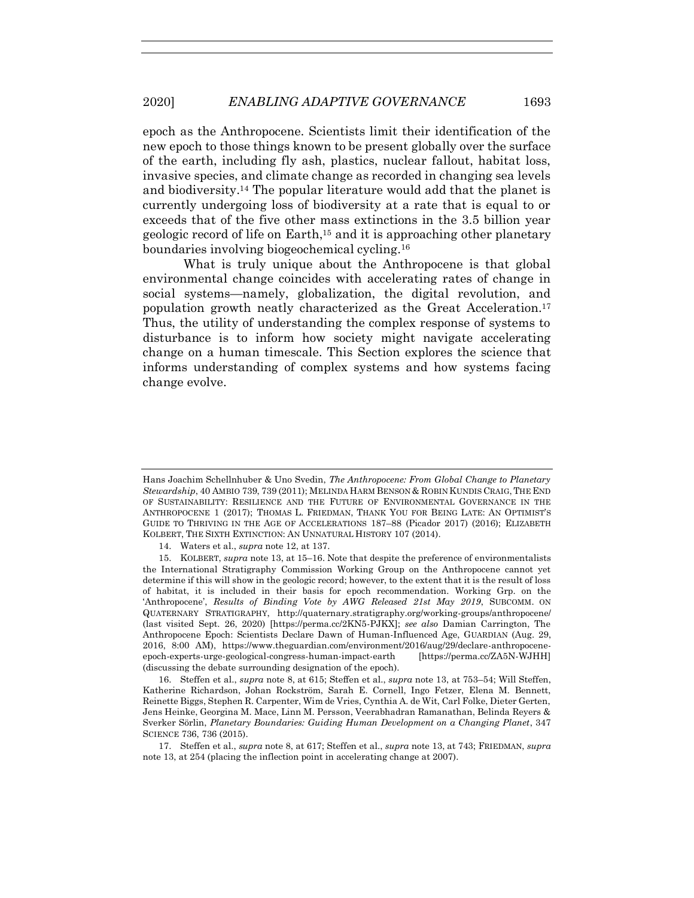epoch as the Anthropocene. Scientists limit their identification of the new epoch to those things known to be present globally over the surface of the earth, including fly ash, plastics, nuclear fallout, habitat loss, invasive species, and climate change as recorded in changing sea levels and biodiversity.<sup>14</sup> The popular literature would add that the planet is currently undergoing loss of biodiversity at a rate that is equal to or exceeds that of the five other mass extinctions in the 3.5 billion year geologic record of life on Earth,<sup>15</sup> and it is approaching other planetary boundaries involving biogeochemical cycling.<sup>16</sup>

What is truly unique about the Anthropocene is that global environmental change coincides with accelerating rates of change in social systems—namely, globalization, the digital revolution, and population growth neatly characterized as the Great Acceleration.<sup>17</sup> Thus, the utility of understanding the complex response of systems to disturbance is to inform how society might navigate accelerating change on a human timescale. This Section explores the science that informs understanding of complex systems and how systems facing change evolve.

16. Steffen et al., *supra* note [8,](#page-3-0) at 615; Steffen et al., *supra* not[e 13,](#page-5-1) at 753–54; Will Steffen, Katherine Richardson, Johan Rockström, Sarah E. Cornell, Ingo Fetzer, Elena M. Bennett, Reinette Biggs, Stephen R. Carpenter, Wim de Vries, Cynthia A. de Wit, Carl Folke, Dieter Gerten, Jens Heinke, Georgina M. Mace, Linn M. Persson, Veerabhadran Ramanathan, Belinda Reyers & Sverker Sörlin, *Planetary Boundaries: Guiding Human Development on a Changing Planet*, 347 SCIENCE 736, 736 (2015).

17. Steffen et al., *supra* note [8,](#page-3-0) at 617; Steffen et al., *supra* not[e 13,](#page-5-1) at 743; FRIEDMAN, *supra* not[e 13,](#page-5-1) at 254 (placing the inflection point in accelerating change at 2007).

Hans Joachim Schellnhuber & Uno Svedin, *The Anthropocene: From Global Change to Planetary Stewardship*, 40 AMBIO 739, 739 (2011); MELINDA HARM BENSON & ROBIN KUNDIS CRAIG,THE END OF SUSTAINABILITY: RESILIENCE AND THE FUTURE OF ENVIRONMENTAL GOVERNANCE IN THE ANTHROPOCENE 1 (2017); THOMAS L. FRIEDMAN, THANK YOU FOR BEING LATE: AN OPTIMIST'S GUIDE TO THRIVING IN THE AGE OF ACCELERATIONS 187–88 (Picador 2017) (2016); ELIZABETH KOLBERT, THE SIXTH EXTINCTION: AN UNNATURAL HISTORY 107 (2014).

<sup>14.</sup> Waters et al., *supra* not[e 12,](#page-5-0) at 137.

<sup>15.</sup> KOLBERT, *supra* note [13,](#page-5-1) at 15–16. Note that despite the preference of environmentalists the International Stratigraphy Commission Working Group on the Anthropocene cannot yet determine if this will show in the geologic record; however, to the extent that it is the result of loss of habitat, it is included in their basis for epoch recommendation. Working Grp. on the 'Anthropocene', *Results of Binding Vote by AWG Released 21st May 2019*, SUBCOMM. ON QUATERNARY STRATIGRAPHY, http://quaternary.stratigraphy.org/working-groups/anthropocene/ (last visited Sept. 26, 2020) [https://perma.cc/2KN5-PJKX]; *see also* Damian Carrington, The Anthropocene Epoch: Scientists Declare Dawn of Human-Influenced Age, GUARDIAN (Aug. 29, 2016, 8:00 AM), https://www.theguardian.com/environment/2016/aug/29/declare-anthropoceneepoch-experts-urge-geological-congress-human-impact-earth [https://perma.cc/ZA5N-WJHH] (discussing the debate surrounding designation of the epoch).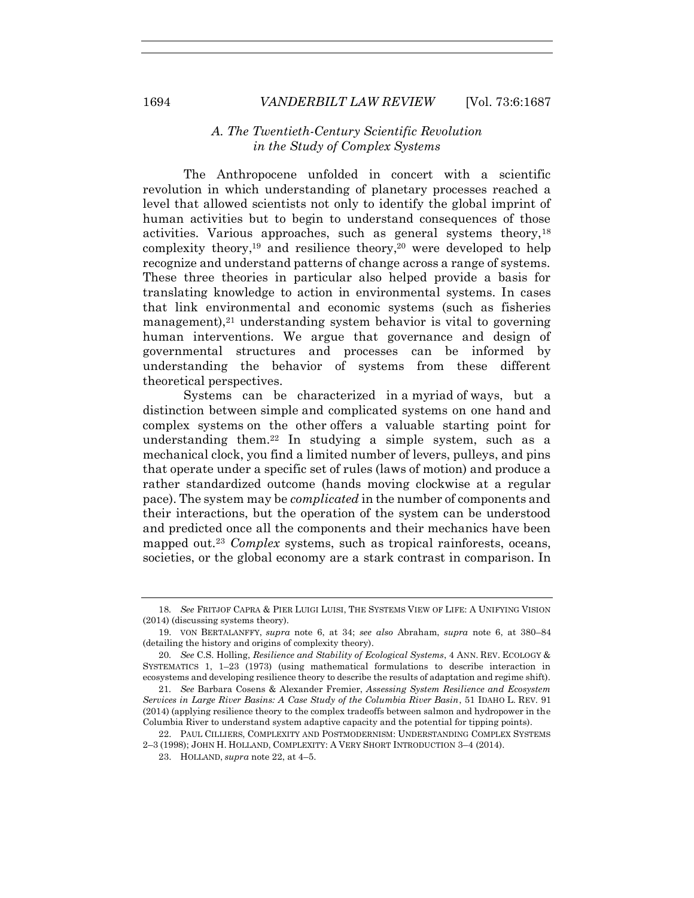# <span id="page-7-2"></span><span id="page-7-1"></span>*A. The Twentieth-Century Scientific Revolution in the Study of Complex Systems*

The Anthropocene unfolded in concert with a scientific revolution in which understanding of planetary processes reached a level that allowed scientists not only to identify the global imprint of human activities but to begin to understand consequences of those activities. Various approaches, such as general systems theory,<sup>18</sup> complexity theory,<sup>19</sup> and resilience theory, <sup>20</sup> were developed to help recognize and understand patterns of change across a range of systems. These three theories in particular also helped provide a basis for translating knowledge to action in environmental systems. In cases that link environmental and economic systems (such as fisheries management), $2<sup>1</sup>$  understanding system behavior is vital to governing human interventions. We argue that governance and design of governmental structures and processes can be informed by understanding the behavior of systems from these different theoretical perspectives.

<span id="page-7-3"></span><span id="page-7-0"></span>Systems can be characterized in a myriad of ways, but a distinction between simple and complicated systems on one hand and complex systems on the other offers a valuable starting point for understanding them.<sup>22</sup> In studying a simple system, such as a mechanical clock, you find a limited number of levers, pulleys, and pins that operate under a specific set of rules (laws of motion) and produce a rather standardized outcome (hands moving clockwise at a regular pace). The system may be *complicated* in the number of components and their interactions, but the operation of the system can be understood and predicted once all the components and their mechanics have been mapped out.<sup>23</sup> *Complex* systems, such as tropical rainforests, oceans, societies, or the global economy are a stark contrast in comparison. In

<sup>18</sup>*. See* FRITJOF CAPRA & PIER LUIGI LUISI, THE SYSTEMS VIEW OF LIFE: A UNIFYING VISION (2014) (discussing systems theory).

<sup>19.</sup> VON BERTALANFFY, *supra* note [6,](#page-2-0) at 34; *see also* Abraham, *supra* note [6,](#page-2-0) at 380–84 (detailing the history and origins of complexity theory).

<sup>20</sup>*. See* C.S. Holling, *Resilience and Stability of Ecological Systems*, 4 ANN. REV. ECOLOGY & SYSTEMATICS 1, 1–23 (1973) (using mathematical formulations to describe interaction in ecosystems and developing resilience theory to describe the results of adaptation and regime shift).

<sup>21</sup>*. See* Barbara Cosens & Alexander Fremier, *Assessing System Resilience and Ecosystem Services in Large River Basins: A Case Study of the Columbia River Basin*, 51 IDAHO L. REV. 91 (2014) (applying resilience theory to the complex tradeoffs between salmon and hydropower in the Columbia River to understand system adaptive capacity and the potential for tipping points).

<sup>22.</sup> PAUL CILLIERS, COMPLEXITY AND POSTMODERNISM: UNDERSTANDING COMPLEX SYSTEMS 2–3 (1998); JOHN H. HOLLAND, COMPLEXITY: A VERY SHORT INTRODUCTION 3–4 (2014).

<sup>23.</sup> HOLLAND, *supra* note [22,](#page-7-0) at 4–5.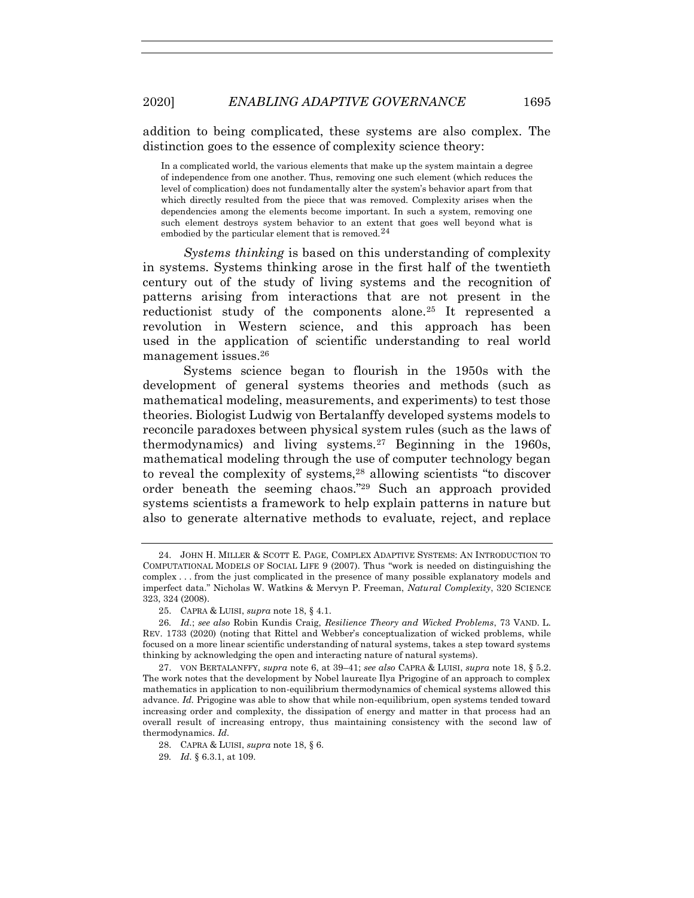addition to being complicated, these systems are also complex. The distinction goes to the essence of complexity science theory:

In a complicated world, the various elements that make up the system maintain a degree of independence from one another. Thus, removing one such element (which reduces the level of complication) does not fundamentally alter the system's behavior apart from that which directly resulted from the piece that was removed. Complexity arises when the dependencies among the elements become important. In such a system, removing one such element destroys system behavior to an extent that goes well beyond what is embodied by the particular element that is removed.  $24$ 

*Systems thinking* is based on this understanding of complexity in systems. Systems thinking arose in the first half of the twentieth century out of the study of living systems and the recognition of patterns arising from interactions that are not present in the reductionist study of the components alone.<sup>25</sup> It represented a revolution in Western science, and this approach has been used in the application of scientific understanding to real world management issues.<sup>26</sup>

<span id="page-8-0"></span>Systems science began to flourish in the 1950s with the development of general systems theories and methods (such as mathematical modeling, measurements, and experiments) to test those theories. Biologist Ludwig von Bertalanffy developed systems models to reconcile paradoxes between physical system rules (such as the laws of thermodynamics) and living systems.<sup>27</sup> Beginning in the 1960s, mathematical modeling through the use of computer technology began to reveal the complexity of systems,<sup>28</sup> allowing scientists "to discover order beneath the seeming chaos."<sup>29</sup> Such an approach provided systems scientists a framework to help explain patterns in nature but also to generate alternative methods to evaluate, reject, and replace

<sup>24.</sup> JOHN H. MILLER & SCOTT E. PAGE, COMPLEX ADAPTIVE SYSTEMS: AN INTRODUCTION TO COMPUTATIONAL MODELS OF SOCIAL LIFE 9 (2007). Thus "work is needed on distinguishing the complex . . . from the just complicated in the presence of many possible explanatory models and imperfect data." Nicholas W. Watkins & Mervyn P. Freeman, *Natural Complexity*, 320 SCIENCE 323, 324 (2008).

<sup>25.</sup> CAPRA & LUISI, *supra* not[e 18,](#page-7-1) § 4.1.

<sup>26</sup>*. Id.*; *see also* Robin Kundis Craig, *Resilience Theory and Wicked Problems*, 73 VAND. L. REV. 1733 (2020) (noting that Rittel and Webber's conceptualization of wicked problems, while focused on a more linear scientific understanding of natural systems, takes a step toward systems thinking by acknowledging the open and interacting nature of natural systems).

<sup>27.</sup> VON BERTALANFFY, *supra* not[e 6,](#page-2-0) at 39–41; *see also* CAPRA & LUISI, *supra* note [18,](#page-7-1) § 5.2. The work notes that the development by Nobel laureate Ilya Prigogine of an approach to complex mathematics in application to non-equilibrium thermodynamics of chemical systems allowed this advance. *Id.* Prigogine was able to show that while non-equilibrium, open systems tended toward increasing order and complexity, the dissipation of energy and matter in that process had an overall result of increasing entropy, thus maintaining consistency with the second law of thermodynamics. *Id.*

<sup>28.</sup> CAPRA & LUISI, *supra* not[e 18,](#page-7-1) § 6.

<sup>29</sup>*. Id.* § 6.3.1, at 109.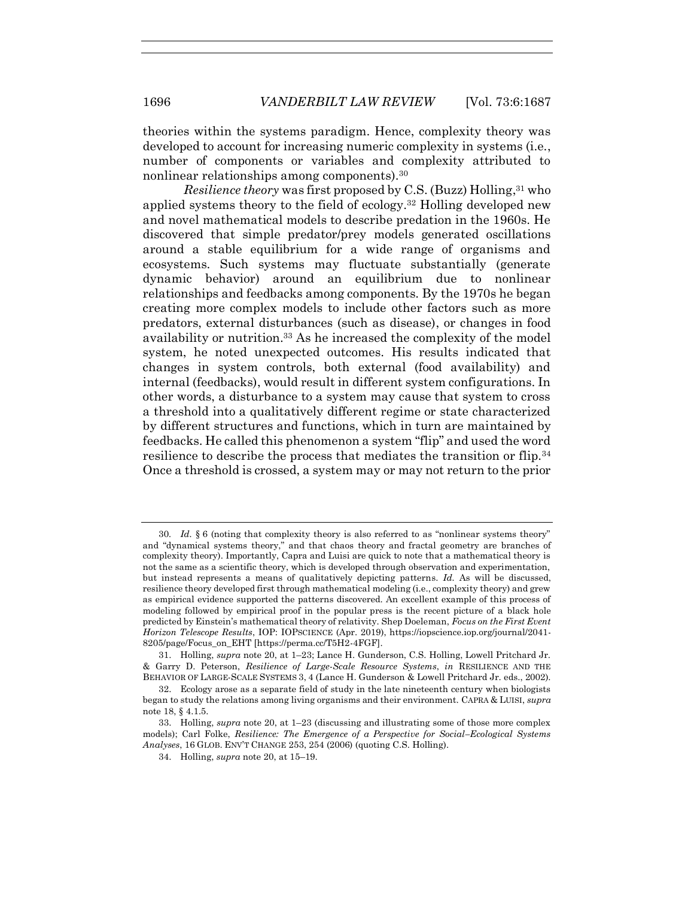theories within the systems paradigm. Hence, complexity theory was developed to account for increasing numeric complexity in systems (i.e., number of components or variables and complexity attributed to nonlinear relationships among components).<sup>30</sup>

<span id="page-9-1"></span><span id="page-9-0"></span>*Resilience theory* was first proposed by C.S. (Buzz) Holling, <sup>31</sup> who applied systems theory to the field of ecology.<sup>32</sup> Holling developed new and novel mathematical models to describe predation in the 1960s. He discovered that simple predator/prey models generated oscillations around a stable equilibrium for a wide range of organisms and ecosystems. Such systems may fluctuate substantially (generate dynamic behavior) around an equilibrium due to nonlinear relationships and feedbacks among components. By the 1970s he began creating more complex models to include other factors such as more predators, external disturbances (such as disease), or changes in food availability or nutrition.<sup>33</sup> As he increased the complexity of the model system, he noted unexpected outcomes. His results indicated that changes in system controls, both external (food availability) and internal (feedbacks), would result in different system configurations. In other words, a disturbance to a system may cause that system to cross a threshold into a qualitatively different regime or state characterized by different structures and functions, which in turn are maintained by feedbacks. He called this phenomenon a system "flip" and used the word resilience to describe the process that mediates the transition or flip.<sup>34</sup> Once a threshold is crossed, a system may or may not return to the prior

<sup>30</sup>*. Id.* § 6 (noting that complexity theory is also referred to as "nonlinear systems theory" and "dynamical systems theory," and that chaos theory and fractal geometry are branches of complexity theory). Importantly, Capra and Luisi are quick to note that a mathematical theory is not the same as a scientific theory, which is developed through observation and experimentation, but instead represents a means of qualitatively depicting patterns. *Id.* As will be discussed, resilience theory developed first through mathematical modeling (i.e., complexity theory) and grew as empirical evidence supported the patterns discovered. An excellent example of this process of modeling followed by empirical proof in the popular press is the recent picture of a black hole predicted by Einstein's mathematical theory of relativity. Shep Doeleman, *Focus on the First Event Horizon Telescope Results*, IOP: IOPSCIENCE (Apr. 2019), https://iopscience.iop.org/journal/2041- 8205/page/Focus\_on\_EHT [https://perma.cc/T5H2-4FGF].

<sup>31.</sup> Holling, *supra* note [20,](#page-7-2) at 1–23; Lance H. Gunderson, C.S. Holling, Lowell Pritchard Jr. & Garry D. Peterson, *Resilience of Large-Scale Resource Systems*, *in* RESILIENCE AND THE BEHAVIOR OF LARGE-SCALE SYSTEMS 3, 4 (Lance H. Gunderson & Lowell Pritchard Jr. eds., 2002).

<sup>32.</sup> Ecology arose as a separate field of study in the late nineteenth century when biologists began to study the relations among living organisms and their environment. CAPRA & LUISI, *supra*  not[e 18,](#page-7-1) § 4.1.5.

<sup>33.</sup> Holling, *supra* note [20,](#page-7-2) at 1–23 (discussing and illustrating some of those more complex models); Carl Folke, *Resilience: The Emergence of a Perspective for Social–Ecological Systems Analyses*, 16 GLOB. ENV'T CHANGE 253, 254 (2006) (quoting C.S. Holling).

<sup>34.</sup> Holling, *supra* not[e 20,](#page-7-2) at 15–19.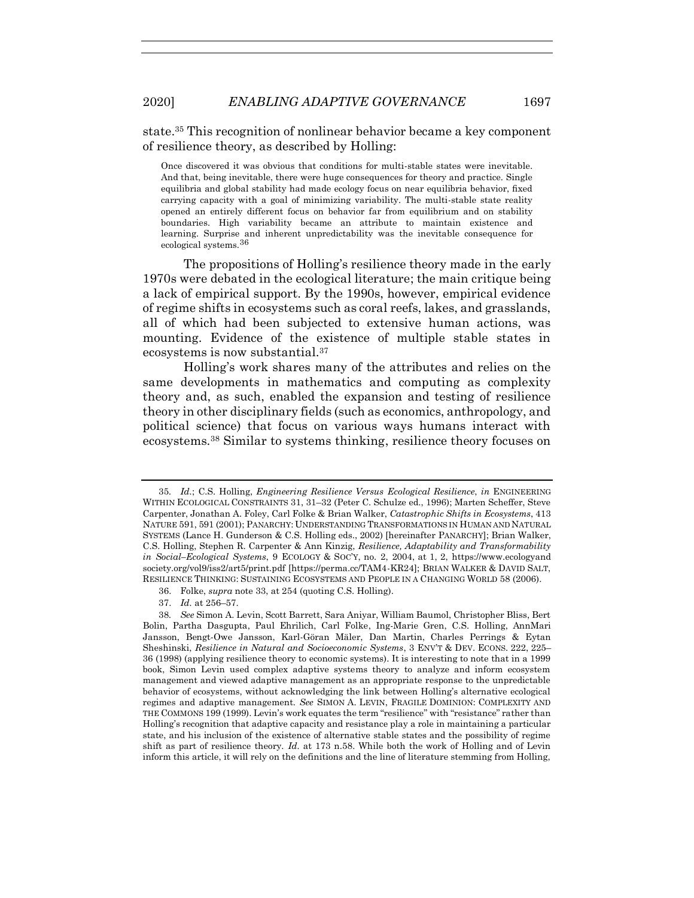<span id="page-10-0"></span>state.<sup>35</sup> This recognition of nonlinear behavior became a key component of resilience theory, as described by Holling:

Once discovered it was obvious that conditions for multi-stable states were inevitable. And that, being inevitable, there were huge consequences for theory and practice. Single equilibria and global stability had made ecology focus on near equilibria behavior, fixed carrying capacity with a goal of minimizing variability. The multi-stable state reality opened an entirely different focus on behavior far from equilibrium and on stability boundaries. High variability became an attribute to maintain existence and learning. Surprise and inherent unpredictability was the inevitable consequence for ecological systems.<sup>36</sup>

The propositions of Holling's resilience theory made in the early 1970s were debated in the ecological literature; the main critique being a lack of empirical support. By the 1990s, however, empirical evidence of regime shifts in ecosystems such as coral reefs, lakes, and grasslands, all of which had been subjected to extensive human actions, was mounting. Evidence of the existence of multiple stable states in ecosystems is now substantial.<sup>37</sup>

Holling's work shares many of the attributes and relies on the same developments in mathematics and computing as complexity theory and, as such, enabled the expansion and testing of resilience theory in other disciplinary fields (such as economics, anthropology, and political science) that focus on various ways humans interact with ecosystems.<sup>38</sup> Similar to systems thinking, resilience theory focuses on

37. *Id.* at 256–57.

<span id="page-10-1"></span><sup>35</sup>*. Id.*; C.S. Holling, *Engineering Resilience Versus Ecological Resilience*, *in* ENGINEERING WITHIN ECOLOGICAL CONSTRAINTS 31, 31–32 (Peter C. Schulze ed., 1996); Marten Scheffer, Steve Carpenter, Jonathan A. Foley, Carl Folke & Brian Walker, *Catastrophic Shifts in Ecosystems*, 413 NATURE 591, 591 (2001); PANARCHY: UNDERSTANDING TRANSFORMATIONS IN HUMAN AND NATURAL SYSTEMS (Lance H. Gunderson & C.S. Holling eds., 2002) [hereinafter PANARCHY]; Brian Walker, C.S. Holling, Stephen R. Carpenter & Ann Kinzig, *Resilience, Adaptability and Transformability in Social–Ecological Systems*, 9 ECOLOGY & SOC'Y, no. 2, 2004, at 1, 2, https://www.ecologyand society.org/vol9/iss2/art5/print.pdf [https://perma.cc/TAM4-KR24]; BRIAN WALKER & DAVID SALT, RESILIENCE THINKING: SUSTAINING ECOSYSTEMS AND PEOPLE IN A CHANGING WORLD 58 (2006).

<sup>36.</sup> Folke, *supra* not[e 33,](#page-9-0) at 254 (quoting C.S. Holling).

<sup>38</sup>*. See* Simon A. Levin, Scott Barrett, Sara Aniyar, William Baumol, Christopher Bliss, Bert Bolin, Partha Dasgupta, Paul Ehrilich, Carl Folke, Ing-Marie Gren, C.S. Holling, AnnMari Jansson, Bengt-Owe Jansson, Karl-Göran Mäler, Dan Martin, Charles Perrings & Eytan Sheshinski, *Resilience in Natural and Socioeconomic Systems*, 3 ENV'T & DEV. ECONS. 222, 225– 36 (1998) (applying resilience theory to economic systems). It is interesting to note that in a 1999 book, Simon Levin used complex adaptive systems theory to analyze and inform ecosystem management and viewed adaptive management as an appropriate response to the unpredictable behavior of ecosystems, without acknowledging the link between Holling's alternative ecological regimes and adaptive management. *See* SIMON A. LEVIN, FRAGILE DOMINION: COMPLEXITY AND THE COMMONS 199 (1999). Levin's work equates the term "resilience" with "resistance" rather than Holling's recognition that adaptive capacity and resistance play a role in maintaining a particular state, and his inclusion of the existence of alternative stable states and the possibility of regime shift as part of resilience theory. *Id.* at 173 n.58. While both the work of Holling and of Levin inform this article, it will rely on the definitions and the line of literature stemming from Holling,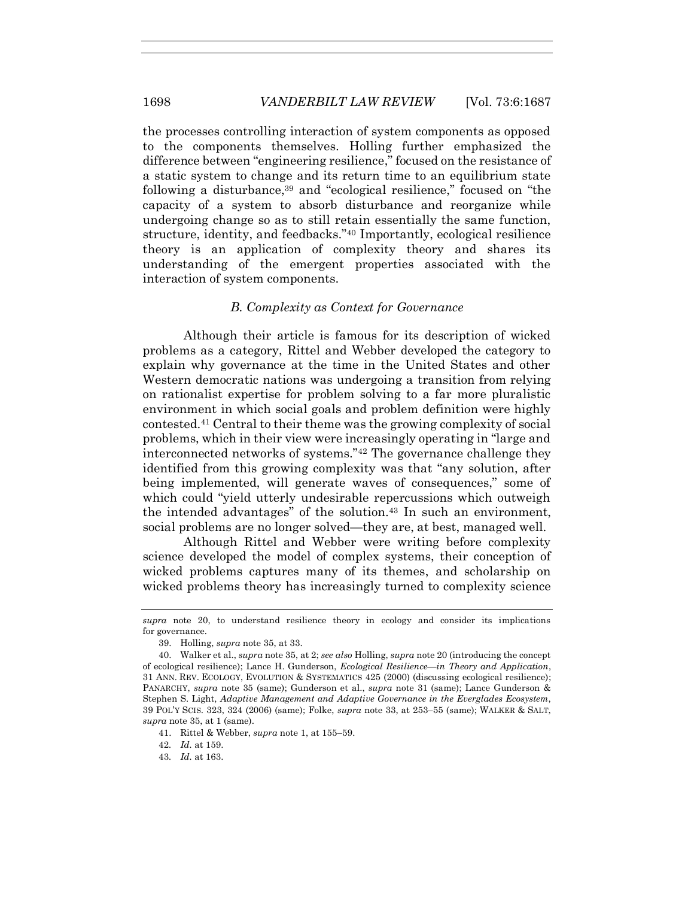the processes controlling interaction of system components as opposed to the components themselves. Holling further emphasized the difference between "engineering resilience," focused on the resistance of a static system to change and its return time to an equilibrium state following a disturbance,<sup>39</sup> and "ecological resilience," focused on "the capacity of a system to absorb disturbance and reorganize while undergoing change so as to still retain essentially the same function, structure, identity, and feedbacks."<sup>40</sup> Importantly, ecological resilience theory is an application of complexity theory and shares its understanding of the emergent properties associated with the interaction of system components.

## <span id="page-11-0"></span>*B. Complexity as Context for Governance*

Although their article is famous for its description of wicked problems as a category, Rittel and Webber developed the category to explain why governance at the time in the United States and other Western democratic nations was undergoing a transition from relying on rationalist expertise for problem solving to a far more pluralistic environment in which social goals and problem definition were highly contested.<sup>41</sup> Central to their theme was the growing complexity of social problems, which in their view were increasingly operating in "large and interconnected networks of systems."<sup>42</sup> The governance challenge they identified from this growing complexity was that "any solution, after being implemented, will generate waves of consequences," some of which could "yield utterly undesirable repercussions which outweigh the intended advantages" of the solution.<sup>43</sup> In such an environment, social problems are no longer solved—they are, at best, managed well.

Although Rittel and Webber were writing before complexity science developed the model of complex systems, their conception of wicked problems captures many of its themes, and scholarship on wicked problems theory has increasingly turned to complexity science

43*. Id.* at 163.

*supra* note [20,](#page-7-2) to understand resilience theory in ecology and consider its implications for governance.

<sup>39.</sup> Holling, *supra* not[e 35,](#page-10-0) at 33.

<sup>40.</sup> Walker et al., *supra* note [35,](#page-10-0) at 2; *see also* Holling, *supra* note [20](#page-7-2) (introducing the concept of ecological resilience); Lance H. Gunderson, *Ecological Resilience—in Theory and Application*, 31 ANN. REV. ECOLOGY, EVOLUTION & SYSTEMATICS 425 (2000) (discussing ecological resilience); PANARCHY, *supra* note [35](#page-10-0) (same); Gunderson et al., *supra* note [31](#page-9-1) (same); Lance Gunderson & Stephen S. Light, *Adaptive Management and Adaptive Governance in the Everglades Ecosystem*, 39 POL'Y SCIS. 323, 324 (2006) (same); Folke, *supra* note [33,](#page-9-0) at 253–55 (same); WALKER & SALT, *supra* not[e 35,](#page-10-0) at 1 (same).

<sup>41.</sup> Rittel & Webber, *supra* not[e 1,](#page-2-1) at 155–59.

<sup>42</sup>*. Id.* at 159.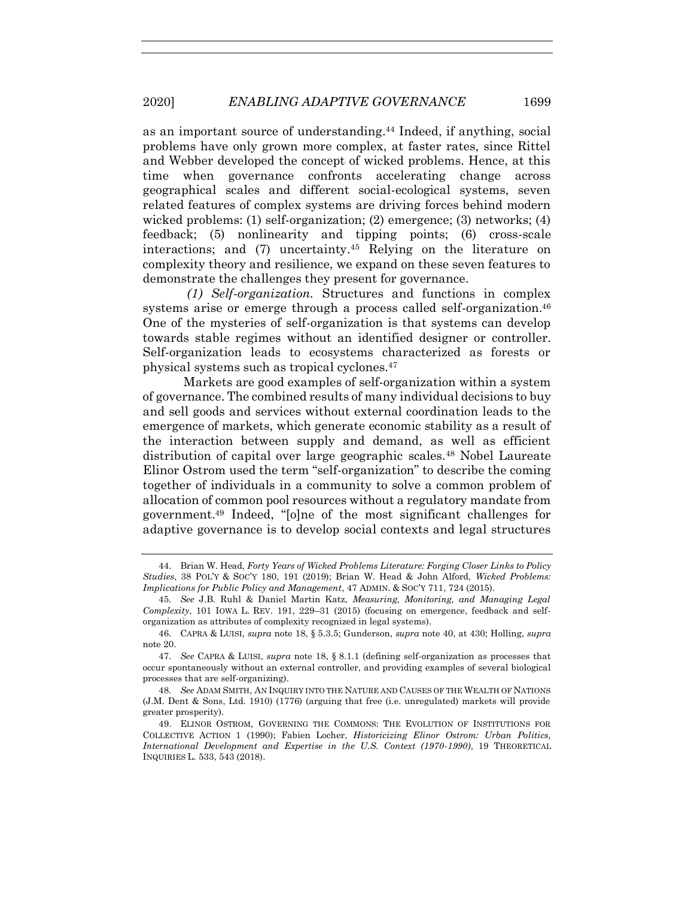as an important source of understanding.<sup>44</sup> Indeed, if anything, social problems have only grown more complex, at faster rates, since Rittel and Webber developed the concept of wicked problems. Hence, at this time when governance confronts accelerating change across geographical scales and different social-ecological systems, seven related features of complex systems are driving forces behind modern wicked problems: (1) self-organization; (2) emergence; (3) networks; (4) feedback; (5) nonlinearity and tipping points; (6) cross-scale interactions; and (7) uncertainty.<sup>45</sup> Relying on the literature on complexity theory and resilience, we expand on these seven features to demonstrate the challenges they present for governance.

<span id="page-12-0"></span>*(1) Self-organization.* Structures and functions in complex systems arise or emerge through a process called self-organization.<sup>46</sup> One of the mysteries of self-organization is that systems can develop towards stable regimes without an identified designer or controller. Self-organization leads to ecosystems characterized as forests or physical systems such as tropical cyclones.<sup>47</sup>

Markets are good examples of self-organization within a system of governance. The combined results of many individual decisions to buy and sell goods and services without external coordination leads to the emergence of markets, which generate economic stability as a result of the interaction between supply and demand, as well as efficient distribution of capital over large geographic scales.<sup>48</sup> Nobel Laureate Elinor Ostrom used the term "self-organization" to describe the coming together of individuals in a community to solve a common problem of allocation of common pool resources without a regulatory mandate from government.<sup>49</sup> Indeed, "[o]ne of the most significant challenges for adaptive governance is to develop social contexts and legal structures

<span id="page-12-1"></span><sup>44.</sup> Brian W. Head, *Forty Years of Wicked Problems Literature: Forging Closer Links to Policy Studies*, 38 POL'Y & SOC'Y 180, 191 (2019); Brian W. Head & John Alford, *Wicked Problems: Implications for Public Policy and Management*, 47 ADMIN. & SOC'Y 711, 724 (2015).

<sup>45</sup>*. See* J.B. Ruhl & Daniel Martin Katz, *Measuring, Monitoring, and Managing Legal Complexity*, 101 IOWA L. REV. 191, 229–31 (2015) (focusing on emergence, feedback and selforganization as attributes of complexity recognized in legal systems).

<sup>46.</sup> CAPRA & LUISI, *supra* note [18,](#page-7-1) § 5.3.5; Gunderson, *supra* note [40,](#page-11-0) at 430; Holling, *supra* not[e 20.](#page-7-2)

<sup>47</sup>*. See* CAPRA & LUISI, *supra* note [18,](#page-7-1) § 8.1.1 (defining self-organization as processes that occur spontaneously without an external controller, and providing examples of several biological processes that are self-organizing).

<sup>48</sup>*. See* ADAM SMITH, AN INQUIRY INTO THE NATURE AND CAUSES OF THE WEALTH OF NATIONS (J.M. Dent & Sons, Ltd. 1910) (1776) (arguing that free (i.e. unregulated) markets will provide greater prosperity).

<sup>49.</sup> ELINOR OSTROM, GOVERNING THE COMMONS: THE EVOLUTION OF INSTITUTIONS FOR COLLECTIVE ACTION 1 (1990); Fabien Locher, *Historicizing Elinor Ostrom: Urban Politics, International Development and Expertise in the U.S. Context (1970-1990)*, 19 THEORETICAL INQUIRIES L. 533, 543 (2018).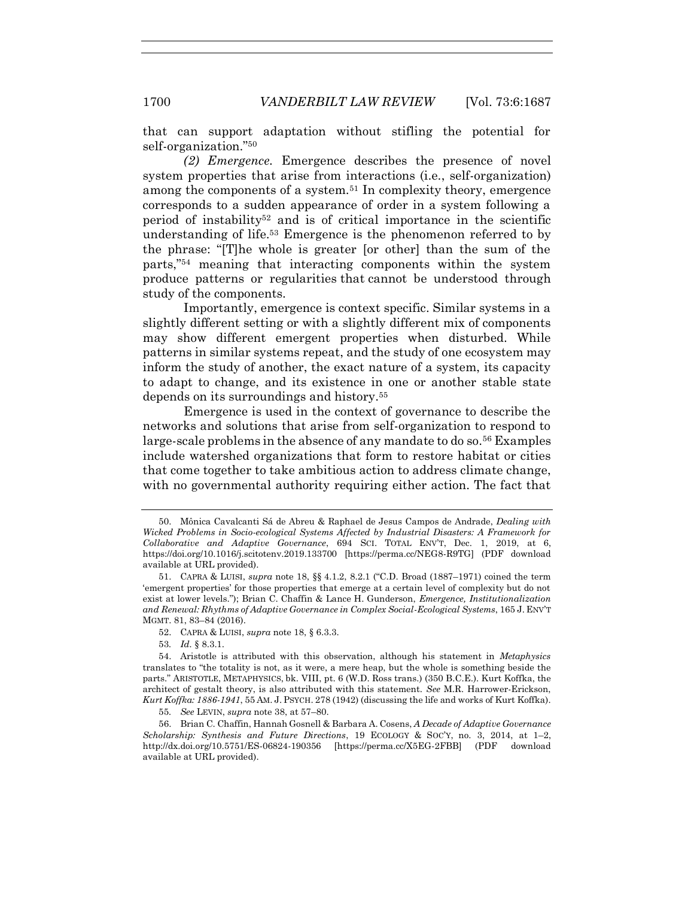that can support adaptation without stifling the potential for self-organization."<sup>50</sup>

<span id="page-13-0"></span>*(2) Emergence.* Emergence describes the presence of novel system properties that arise from interactions (i.e., self-organization) among the components of a system.<sup>51</sup> In complexity theory, emergence corresponds to a sudden appearance of order in a system following a period of instability<sup>52</sup> and is of critical importance in the scientific understanding of life.<sup>53</sup> Emergence is the phenomenon referred to by the phrase: "[T]he whole is greater [or other] than the sum of the parts,"<sup>54</sup> meaning that interacting components within the system produce patterns or regularities that cannot be understood through study of the components.

Importantly, emergence is context specific. Similar systems in a slightly different setting or with a slightly different mix of components may show different emergent properties when disturbed. While patterns in similar systems repeat, and the study of one ecosystem may inform the study of another, the exact nature of a system, its capacity to adapt to change, and its existence in one or another stable state depends on its surroundings and history.<sup>55</sup>

<span id="page-13-1"></span>Emergence is used in the context of governance to describe the networks and solutions that arise from self-organization to respond to large-scale problems in the absence of any mandate to do so.<sup>56</sup> Examples include watershed organizations that form to restore habitat or cities that come together to take ambitious action to address climate change, with no governmental authority requiring either action. The fact that

<sup>50.</sup> Mônica Cavalcanti Sá de Abreu & Raphael de Jesus Campos de Andrade, *Dealing with Wicked Problems in Socio-ecological Systems Affected by Industrial Disasters: A Framework for Collaborative and Adaptive Governance*, 694 SCI. TOTAL ENV'T, Dec. 1, 2019, at 6, https://doi.org/10.1016/j.scitotenv.2019.133700 [https://perma.cc/NEG8-R9TG] (PDF download available at URL provided).

<sup>51.</sup> CAPRA & LUISI, *supra* not[e 18,](#page-7-1) §§ 4.1.2, 8.2.1 ("C.D. Broad (1887–1971) coined the term 'emergent properties' for those properties that emerge at a certain level of complexity but do not exist at lower levels."); Brian C. Chaffin & Lance H. Gunderson, *Emergence, Institutionalization and Renewal: Rhythms of Adaptive Governance in Complex Social-Ecological Systems*, 165 J. ENV'T MGMT. 81, 83–84 (2016).

<sup>52.</sup> CAPRA & LUISI, *supra* not[e 18,](#page-7-1) § 6.3.3.

<sup>53</sup>*. Id.* § 8.3.1.

<sup>54.</sup> Aristotle is attributed with this observation, although his statement in *Metaphysics* translates to "the totality is not, as it were, a mere heap, but the whole is something beside the parts." ARISTOTLE, METAPHYSICS, bk. VIII, pt. 6 (W.D. Ross trans.) (350 B.C.E.). Kurt Koffka, the architect of gestalt theory, is also attributed with this statement. *See* M.R. Harrower-Erickson, *Kurt Koffka: 1886-1941*, 55 AM. J. PSYCH. 278 (1942) (discussing the life and works of Kurt Koffka).

<sup>55</sup>*. See* LEVIN, *supra* not[e 38,](#page-10-1) at 57–80.

<sup>56.</sup> Brian C. Chaffin, Hannah Gosnell & Barbara A. Cosens, *A Decade of Adaptive Governance Scholarship: Synthesis and Future Directions*, 19 ECOLOGY & SOC'Y, no. 3, 2014, at 1–2, http://dx.doi.org/10.5751/ES-06824-190356 [https://perma.cc/X5EG-2FBB] (PDF download available at URL provided).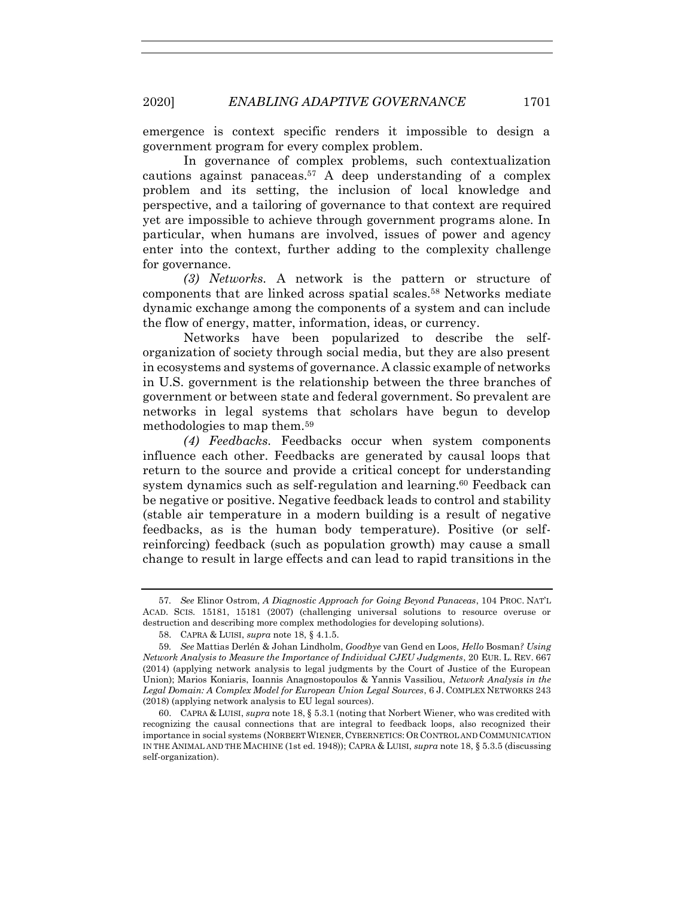emergence is context specific renders it impossible to design a government program for every complex problem.

In governance of complex problems, such contextualization cautions against panaceas.<sup>57</sup> A deep understanding of a complex problem and its setting, the inclusion of local knowledge and perspective, and a tailoring of governance to that context are required yet are impossible to achieve through government programs alone. In particular, when humans are involved, issues of power and agency enter into the context, further adding to the complexity challenge for governance.

*(3) Networks.* A network is the pattern or structure of components that are linked across spatial scales.<sup>58</sup> Networks mediate dynamic exchange among the components of a system and can include the flow of energy, matter, information, ideas, or currency.

Networks have been popularized to describe the selforganization of society through social media, but they are also present in ecosystems and systems of governance. A classic example of networks in U.S. government is the relationship between the three branches of government or between state and federal government. So prevalent are networks in legal systems that scholars have begun to develop methodologies to map them.<sup>59</sup>

*(4) Feedbacks.* Feedbacks occur when system components influence each other. Feedbacks are generated by causal loops that return to the source and provide a critical concept for understanding system dynamics such as self-regulation and learning.<sup>60</sup> Feedback can be negative or positive. Negative feedback leads to control and stability (stable air temperature in a modern building is a result of negative feedbacks, as is the human body temperature). Positive (or selfreinforcing) feedback (such as population growth) may cause a small change to result in large effects and can lead to rapid transitions in the

<sup>57</sup>*. See* Elinor Ostrom, *A Diagnostic Approach for Going Beyond Panaceas*, 104 PROC. NAT'L ACAD. SCIS. 15181, 15181 (2007) (challenging universal solutions to resource overuse or destruction and describing more complex methodologies for developing solutions).

<sup>58.</sup> CAPRA & LUISI, *supra* not[e 18,](#page-7-1) § 4.1.5.

<sup>59</sup>*. See* Mattias Derlén & Johan Lindholm, *Goodbye* van Gend en Loos*, Hello* Bosman*? Using Network Analysis to Measure the Importance of Individual CJEU Judgments*, 20 EUR. L. REV. 667 (2014) (applying network analysis to legal judgments by the Court of Justice of the European Union); Marios Koniaris, Ioannis Anagnostopoulos & Yannis Vassiliou, *Network Analysis in the Legal Domain: A Complex Model for European Union Legal Sources*, 6 J. COMPLEX NETWORKS 243 (2018) (applying network analysis to EU legal sources).

<sup>60.</sup> CAPRA & LUISI, *supra* not[e 18,](#page-7-1) § 5.3.1 (noting that Norbert Wiener, who was credited with recognizing the causal connections that are integral to feedback loops, also recognized their importance in social systems (NORBERT WIENER, CYBERNETICS: OR CONTROL AND COMMUNICATION IN THE ANIMAL AND THE MACHINE (1st ed. 1948)); CAPRA & LUISI, *supra* not[e 18,](#page-7-1) § 5.3.5 (discussing self-organization).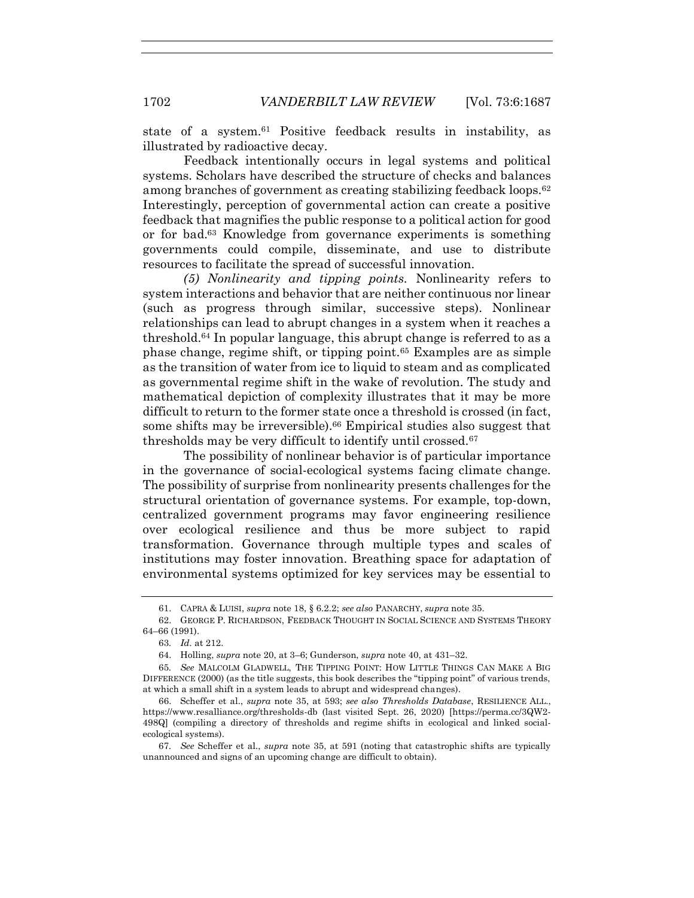state of a system.<sup>61</sup> Positive feedback results in instability, as illustrated by radioactive decay.

Feedback intentionally occurs in legal systems and political systems. Scholars have described the structure of checks and balances among branches of government as creating stabilizing feedback loops.<sup>62</sup> Interestingly, perception of governmental action can create a positive feedback that magnifies the public response to a political action for good or for bad.<sup>63</sup> Knowledge from governance experiments is something governments could compile, disseminate, and use to distribute resources to facilitate the spread of successful innovation.

*(5) Nonlinearity and tipping points.* Nonlinearity refers to system interactions and behavior that are neither continuous nor linear (such as progress through similar, successive steps). Nonlinear relationships can lead to abrupt changes in a system when it reaches a threshold.<sup>64</sup> In popular language, this abrupt change is referred to as a phase change, regime shift, or tipping point.<sup>65</sup> Examples are as simple as the transition of water from ice to liquid to steam and as complicated as governmental regime shift in the wake of revolution. The study and mathematical depiction of complexity illustrates that it may be more difficult to return to the former state once a threshold is crossed (in fact, some shifts may be irreversible).<sup>66</sup> Empirical studies also suggest that thresholds may be very difficult to identify until crossed.<sup>67</sup>

The possibility of nonlinear behavior is of particular importance in the governance of social-ecological systems facing climate change. The possibility of surprise from nonlinearity presents challenges for the structural orientation of governance systems. For example, top-down, centralized government programs may favor engineering resilience over ecological resilience and thus be more subject to rapid transformation. Governance through multiple types and scales of institutions may foster innovation. Breathing space for adaptation of environmental systems optimized for key services may be essential to

<sup>61.</sup> CAPRA & LUISI, *supra* not[e 18,](#page-7-1) § 6.2.2; *see also* PANARCHY, *supra* not[e 35.](#page-10-0)

<sup>62.</sup> GEORGE P. RICHARDSON, FEEDBACK THOUGHT IN SOCIAL SCIENCE AND SYSTEMS THEORY 64–66 (1991).

<sup>63</sup>*. Id.* at 212.

<sup>64.</sup> Holling, *supra* not[e 20,](#page-7-2) at 3–6; Gunderson, *supra* not[e 40,](#page-11-0) at 431–32.

<sup>65</sup>*. See* MALCOLM GLADWELL, THE TIPPING POINT: HOW LITTLE THINGS CAN MAKE A BIG DIFFERENCE (2000) (as the title suggests, this book describes the "tipping point" of various trends, at which a small shift in a system leads to abrupt and widespread changes).

<sup>66.</sup> Scheffer et al., *supra* note [35,](#page-10-0) at 593; *see also Thresholds Database*, RESILIENCE ALL., https://www.resalliance.org/thresholds-db (last visited Sept. 26, 2020) [https://perma.cc/3QW2- 498Q] (compiling a directory of thresholds and regime shifts in ecological and linked socialecological systems).

<sup>67</sup>*. See* Scheffer et al., *supra* note [35,](#page-10-0) at 591 (noting that catastrophic shifts are typically unannounced and signs of an upcoming change are difficult to obtain).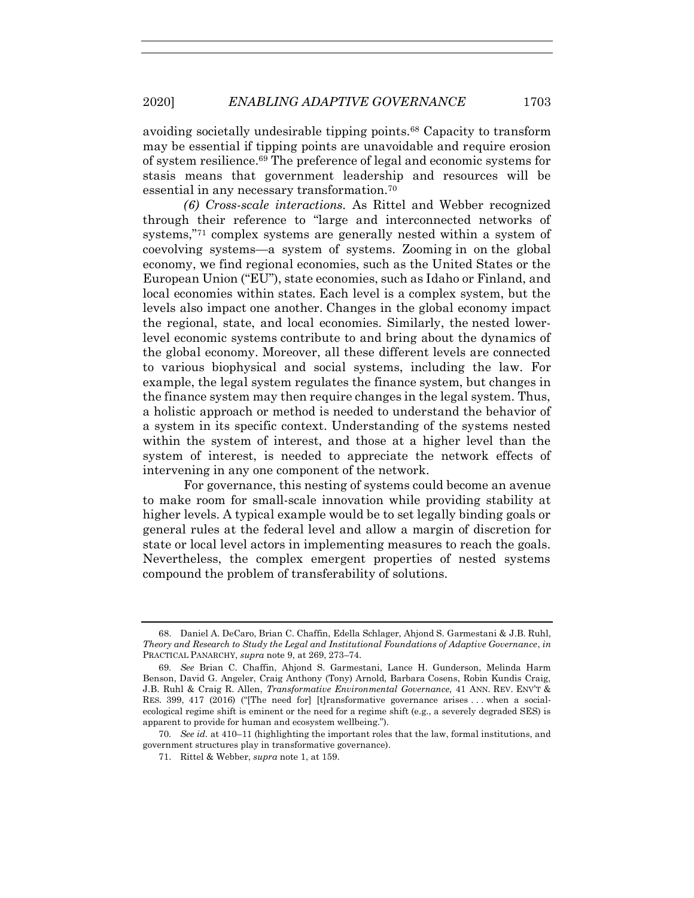avoiding societally undesirable tipping points.<sup>68</sup> Capacity to transform may be essential if tipping points are unavoidable and require erosion of system resilience.<sup>69</sup> The preference of legal and economic systems for stasis means that government leadership and resources will be essential in any necessary transformation.<sup>70</sup>

*(6) Cross-scale interactions.* As Rittel and Webber recognized through their reference to "large and interconnected networks of systems,"<sup>71</sup> complex systems are generally nested within a system of coevolving systems—a system of systems. Zooming in on the global economy, we find regional economies, such as the United States or the European Union ("EU"), state economies, such as Idaho or Finland, and local economies within states. Each level is a complex system, but the levels also impact one another. Changes in the global economy impact the regional, state, and local economies. Similarly, the nested lowerlevel economic systems contribute to and bring about the dynamics of the global economy. Moreover, all these different levels are connected to various biophysical and social systems, including the law. For example, the legal system regulates the finance system, but changes in the finance system may then require changes in the legal system. Thus, a holistic approach or method is needed to understand the behavior of a system in its specific context. Understanding of the systems nested within the system of interest, and those at a higher level than the system of interest, is needed to appreciate the network effects of intervening in any one component of the network.

For governance, this nesting of systems could become an avenue to make room for small-scale innovation while providing stability at higher levels. A typical example would be to set legally binding goals or general rules at the federal level and allow a margin of discretion for state or local level actors in implementing measures to reach the goals. Nevertheless, the complex emergent properties of nested systems compound the problem of transferability of solutions.

<sup>68.</sup> Daniel A. DeCaro, Brian C. Chaffin, Edella Schlager, Ahjond S. Garmestani & J.B. Ruhl, *Theory and Research to Study the Legal and Institutional Foundations of Adaptive Governance*, *in* PRACTICAL PANARCHY, *supra* not[e 9,](#page-3-1) at 269, 273–74.

<sup>69</sup>*. See* Brian C. Chaffin, Ahjond S. Garmestani, Lance H. Gunderson, Melinda Harm Benson, David G. Angeler, Craig Anthony (Tony) Arnold, Barbara Cosens, Robin Kundis Craig, J.B. Ruhl & Craig R. Allen, *Transformative Environmental Governance*, 41 ANN. REV. ENV'T & RES. 399, 417 (2016) ("[The need for] [t]ransformative governance arises . . . when a socialecological regime shift is eminent or the need for a regime shift (e.g., a severely degraded SES) is apparent to provide for human and ecosystem wellbeing.").

<sup>70</sup>*. See id.* at 410–11 (highlighting the important roles that the law, formal institutions, and government structures play in transformative governance).

<sup>71.</sup> Rittel & Webber, *supra* not[e 1,](#page-2-1) at 159.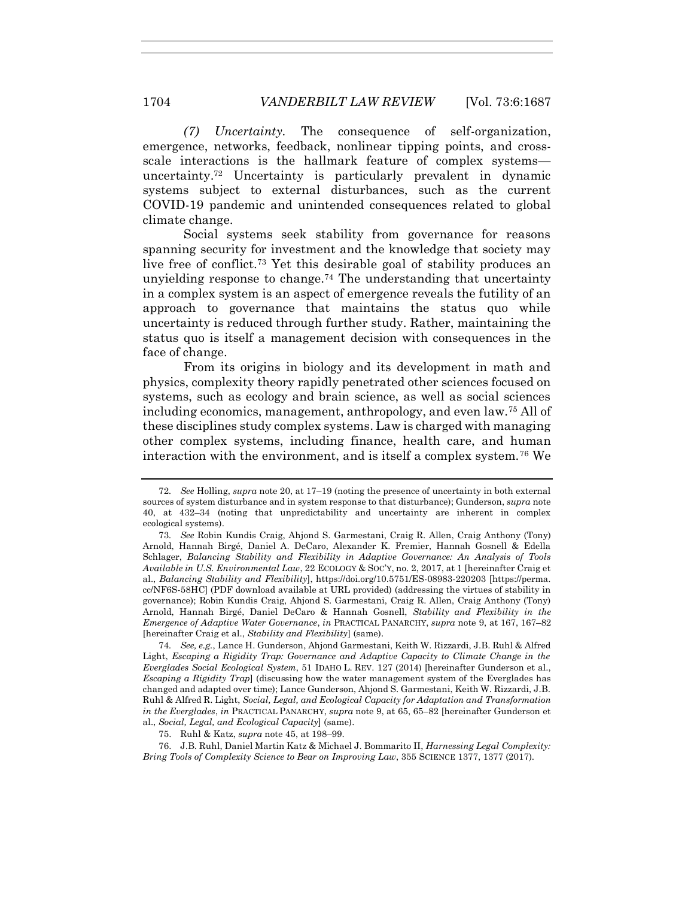*(7) Uncertainty.* The consequence of self-organization, emergence, networks, feedback, nonlinear tipping points, and crossscale interactions is the hallmark feature of complex systems uncertainty.<sup>72</sup> Uncertainty is particularly prevalent in dynamic systems subject to external disturbances, such as the current COVID-19 pandemic and unintended consequences related to global climate change.

<span id="page-17-1"></span><span id="page-17-0"></span>Social systems seek stability from governance for reasons spanning security for investment and the knowledge that society may live free of conflict.<sup>73</sup> Yet this desirable goal of stability produces an unvielding response to change.<sup>74</sup> The understanding that uncertainty in a complex system is an aspect of emergence reveals the futility of an approach to governance that maintains the status quo while uncertainty is reduced through further study. Rather, maintaining the status quo is itself a management decision with consequences in the face of change.

From its origins in biology and its development in math and physics, complexity theory rapidly penetrated other sciences focused on systems, such as ecology and brain science, as well as social sciences including economics, management, anthropology, and even law.<sup>75</sup> All of these disciplines study complex systems. Law is charged with managing other complex systems, including finance, health care, and human interaction with the environment, and is itself a complex system.<sup>76</sup> We

<span id="page-17-2"></span><sup>72</sup>*. See* Holling, *supra* note [20,](#page-7-2) at 17–19 (noting the presence of uncertainty in both external sources of system disturbance and in system response to that disturbance); Gunderson, *supra* note [40,](#page-11-0) at 432–34 (noting that unpredictability and uncertainty are inherent in complex ecological systems).

<sup>73</sup>*. See* Robin Kundis Craig, Ahjond S. Garmestani, Craig R. Allen, Craig Anthony (Tony) Arnold, Hannah Birgé, Daniel A. DeCaro, Alexander K. Fremier, Hannah Gosnell & Edella Schlager, *Balancing Stability and Flexibility in Adaptive Governance: An Analysis of Tools Available in U.S. Environmental Law*, 22 ECOLOGY & SOC'Y, no. 2, 2017, at 1 [hereinafter Craig et al., *Balancing Stability and Flexibility*], https://doi.org/10.5751/ES-08983-220203 [https://perma. cc/NF6S-58HC] (PDF download available at URL provided) (addressing the virtues of stability in governance); Robin Kundis Craig, Ahjond S. Garmestani, Craig R. Allen, Craig Anthony (Tony) Arnold, Hannah Birgé, Daniel DeCaro & Hannah Gosnell, *Stability and Flexibility in the Emergence of Adaptive Water Governance*, *in* PRACTICAL PANARCHY, *supra* not[e 9,](#page-3-1) at 167, 167–82 [hereinafter Craig et al., *Stability and Flexibility*] (same).

<sup>74</sup>*. See, e.g.*, Lance H. Gunderson, Ahjond Garmestani, Keith W. Rizzardi, J.B. Ruhl & Alfred Light, *Escaping a Rigidity Trap: Governance and Adaptive Capacity to Climate Change in the Everglades Social Ecological System*, 51 IDAHO L. REV. 127 (2014) [hereinafter Gunderson et al., *Escaping a Rigidity Trap*] (discussing how the water management system of the Everglades has changed and adapted over time); Lance Gunderson, Ahjond S. Garmestani, Keith W. Rizzardi, J.B. Ruhl & Alfred R. Light, *Social, Legal, and Ecological Capacity for Adaptation and Transformation in the Everglades*, *in* PRACTICAL PANARCHY, *supra* note [9,](#page-3-1) at 65, 65–82 [hereinafter Gunderson et al., *Social, Legal, and Ecological Capacity*] (same).

<sup>75.</sup> Ruhl & Katz, *supra* not[e 45,](#page-12-0) at 198–99.

<sup>76.</sup> J.B. Ruhl, Daniel Martin Katz & Michael J. Bommarito II, *Harnessing Legal Complexity: Bring Tools of Complexity Science to Bear on Improving Law*, 355 SCIENCE 1377, 1377 (2017).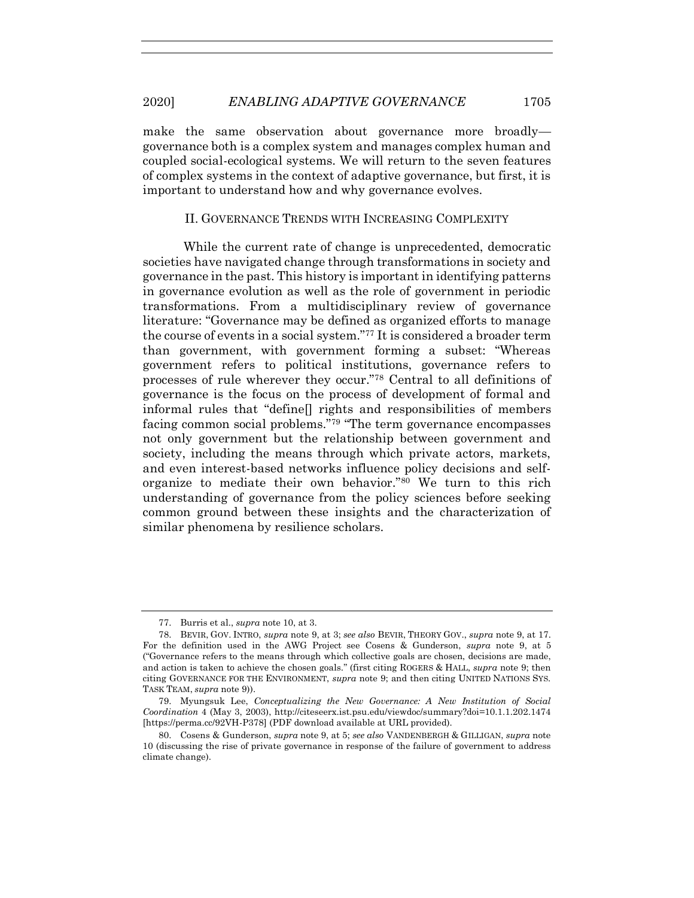make the same observation about governance more broadly governance both is a complex system and manages complex human and coupled social-ecological systems. We will return to the seven features of complex systems in the context of adaptive governance, but first, it is important to understand how and why governance evolves.

#### <span id="page-18-0"></span>II. GOVERNANCE TRENDS WITH INCREASING COMPLEXITY

While the current rate of change is unprecedented, democratic societies have navigated change through transformations in society and governance in the past. This history is important in identifying patterns in governance evolution as well as the role of government in periodic transformations. From a multidisciplinary review of governance literature: "Governance may be defined as organized efforts to manage the course of events in a social system."<sup>77</sup> It is considered a broader term than government, with government forming a subset: "Whereas government refers to political institutions, governance refers to processes of rule wherever they occur."<sup>78</sup> Central to all definitions of governance is the focus on the process of development of formal and informal rules that "define[] rights and responsibilities of members facing common social problems."<sup>79</sup> "The term governance encompasses not only government but the relationship between government and society, including the means through which private actors, markets, and even interest-based networks influence policy decisions and selforganize to mediate their own behavior."<sup>80</sup> We turn to this rich understanding of governance from the policy sciences before seeking common ground between these insights and the characterization of similar phenomena by resilience scholars.

<sup>77.</sup> Burris et al., *supra* note [10,](#page-5-2) at 3.

<sup>78.</sup> BEVIR, GOV. INTRO, *supra* note [9,](#page-3-1) at 3; *see also* BEVIR, THEORY GOV., *supra* note [9,](#page-3-1) at 17. For the definition used in the AWG Project see Cosens & Gunderson, *supra* note [9,](#page-3-1) at 5 ("Governance refers to the means through which collective goals are chosen, decisions are made, and action is taken to achieve the chosen goals." (first citing ROGERS & HALL, *supra* note [9;](#page-3-1) then citing GOVERNANCE FOR THE ENVIRONMENT, *supra* not[e 9;](#page-3-1) and then citing UNITED NATIONS SYS. TASK TEAM, *supra* not[e 9\)](#page-3-1)).

<sup>79.</sup> Myungsuk Lee, *Conceptualizing the New Governance: A New Institution of Social Coordination* 4 (May 3, 2003), http://citeseerx.ist.psu.edu/viewdoc/summary?doi=10.1.1.202.1474 [https://perma.cc/92VH-P378] (PDF download available at URL provided).

<sup>80.</sup> Cosens & Gunderson, *supra* not[e 9,](#page-3-1) at 5; *see also* VANDENBERGH & GILLIGAN, *supra* note [10](#page-5-2) (discussing the rise of private governance in response of the failure of government to address climate change).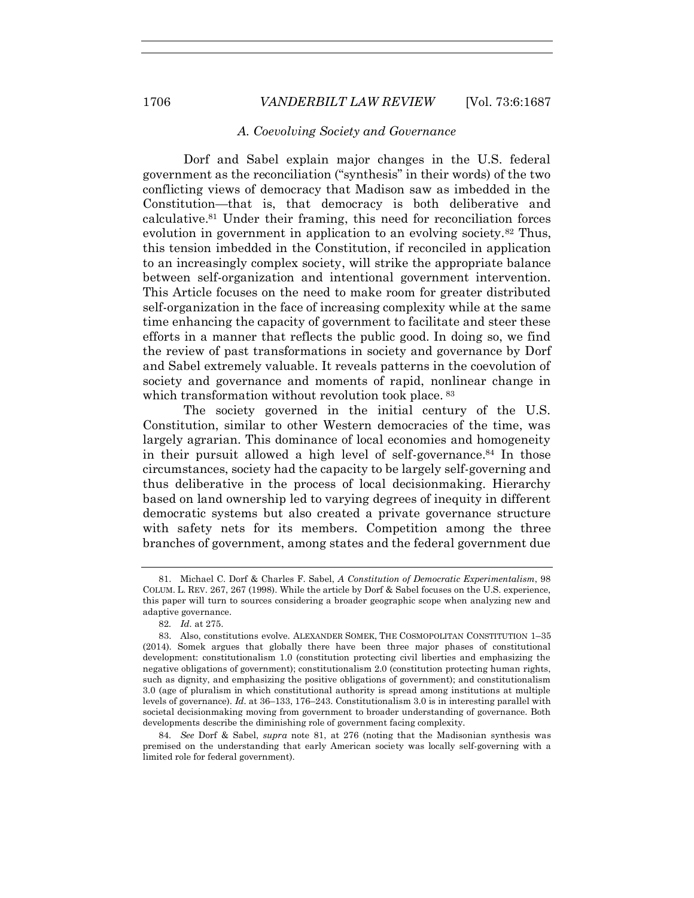#### *A. Coevolving Society and Governance*

<span id="page-19-0"></span>Dorf and Sabel explain major changes in the U.S. federal government as the reconciliation ("synthesis" in their words) of the two conflicting views of democracy that Madison saw as imbedded in the Constitution—that is, that democracy is both deliberative and calculative.<sup>81</sup> Under their framing, this need for reconciliation forces evolution in government in application to an evolving society.<sup>82</sup> Thus, this tension imbedded in the Constitution, if reconciled in application to an increasingly complex society, will strike the appropriate balance between self-organization and intentional government intervention. This Article focuses on the need to make room for greater distributed self-organization in the face of increasing complexity while at the same time enhancing the capacity of government to facilitate and steer these efforts in a manner that reflects the public good. In doing so, we find the review of past transformations in society and governance by Dorf and Sabel extremely valuable. It reveals patterns in the coevolution of society and governance and moments of rapid, nonlinear change in which transformation without revolution took place. <sup>83</sup>

<span id="page-19-1"></span>The society governed in the initial century of the U.S. Constitution, similar to other Western democracies of the time, was largely agrarian. This dominance of local economies and homogeneity in their pursuit allowed a high level of self-governance.<sup>84</sup> In those circumstances, society had the capacity to be largely self-governing and thus deliberative in the process of local decisionmaking. Hierarchy based on land ownership led to varying degrees of inequity in different democratic systems but also created a private governance structure with safety nets for its members. Competition among the three branches of government, among states and the federal government due

84*. See* Dorf & Sabel, *supra* note [81,](#page-19-0) at 276 (noting that the Madisonian synthesis was premised on the understanding that early American society was locally self-governing with a limited role for federal government).

<sup>81.</sup> Michael C. Dorf & Charles F. Sabel, *A Constitution of Democratic Experimentalism*, 98 COLUM. L. REV. 267, 267 (1998). While the article by Dorf & Sabel focuses on the U.S. experience, this paper will turn to sources considering a broader geographic scope when analyzing new and adaptive governance.

<sup>82</sup>*. Id.* at 275.

<sup>83.</sup> Also, constitutions evolve. ALEXANDER SOMEK, THE COSMOPOLITAN CONSTITUTION 1–35 (2014). Somek argues that globally there have been three major phases of constitutional development: constitutionalism 1.0 (constitution protecting civil liberties and emphasizing the negative obligations of government); constitutionalism 2.0 (constitution protecting human rights, such as dignity, and emphasizing the positive obligations of government); and constitutionalism 3.0 (age of pluralism in which constitutional authority is spread among institutions at multiple levels of governance). *Id.* at 36–133, 176–243. Constitutionalism 3.0 is in interesting parallel with societal decisionmaking moving from government to broader understanding of governance. Both developments describe the diminishing role of government facing complexity.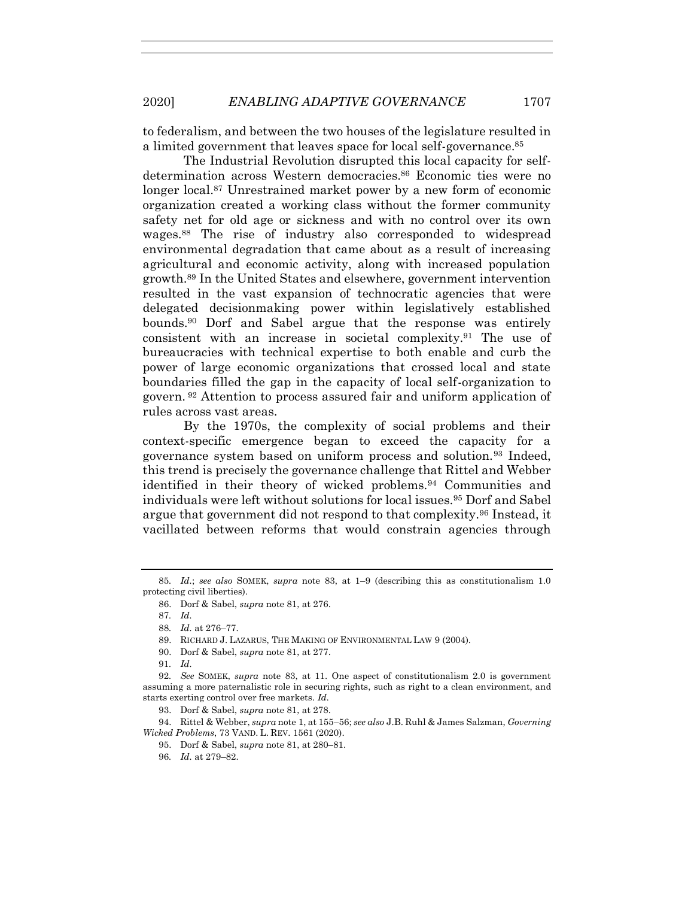to federalism, and between the two houses of the legislature resulted in a limited government that leaves space for local self-governance.<sup>85</sup>

The Industrial Revolution disrupted this local capacity for selfdetermination across Western democracies.<sup>86</sup> Economic ties were no longer local.<sup>87</sup> Unrestrained market power by a new form of economic organization created a working class without the former community safety net for old age or sickness and with no control over its own wages.<sup>88</sup> The rise of industry also corresponded to widespread environmental degradation that came about as a result of increasing agricultural and economic activity, along with increased population growth.<sup>89</sup> In the United States and elsewhere, government intervention resulted in the vast expansion of technocratic agencies that were delegated decisionmaking power within legislatively established bounds.<sup>90</sup> Dorf and Sabel argue that the response was entirely consistent with an increase in societal complexity.<sup>91</sup> The use of bureaucracies with technical expertise to both enable and curb the power of large economic organizations that crossed local and state boundaries filled the gap in the capacity of local self-organization to govern. <sup>92</sup> Attention to process assured fair and uniform application of rules across vast areas.

<span id="page-20-0"></span>By the 1970s, the complexity of social problems and their context-specific emergence began to exceed the capacity for a governance system based on uniform process and solution.<sup>93</sup> Indeed, this trend is precisely the governance challenge that Rittel and Webber identified in their theory of wicked problems.<sup>94</sup> Communities and individuals were left without solutions for local issues.<sup>95</sup> Dorf and Sabel argue that government did not respond to that complexity.<sup>96</sup> Instead, it vacillated between reforms that would constrain agencies through

- 90. Dorf & Sabel, *supra* note [81,](#page-19-0) at 277.
- 91*. Id.*

92*. See* SOMEK, *supra* note [83,](#page-19-1) at 11. One aspect of constitutionalism 2.0 is government assuming a more paternalistic role in securing rights, such as right to a clean environment, and starts exerting control over free markets. *Id.*

93. Dorf & Sabel, *supra* note [81,](#page-19-0) at 278.

94. Rittel & Webber, *supra* not[e 1,](#page-2-1) at 155–56; *see also* J.B. Ruhl & James Salzman, *Governing Wicked Problems*, 73 VAND. L. REV. 1561 (2020).

<sup>85</sup>*. Id.*; *see also* SOMEK, *supra* note [83,](#page-19-1) at 1–9 (describing this as constitutionalism 1.0 protecting civil liberties).

<sup>86.</sup> Dorf & Sabel, *supra* note [81,](#page-19-0) at 276.

<sup>87</sup>*. Id.*

<sup>88</sup>*. Id.* at 276–77.

<sup>89.</sup> RICHARD J. LAZARUS, THE MAKING OF ENVIRONMENTAL LAW 9 (2004).

<sup>95.</sup> Dorf & Sabel, *supra* note [81,](#page-19-0) at 280–81.

<sup>96</sup>*. Id.* at 279–82.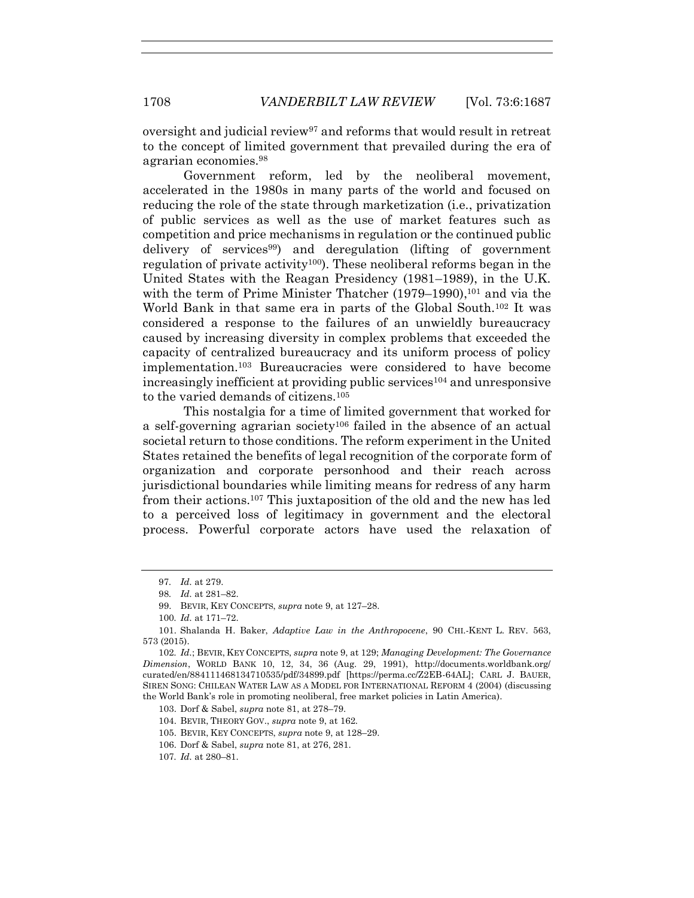oversight and judicial review<sup>97</sup> and reforms that would result in retreat to the concept of limited government that prevailed during the era of agrarian economies.<sup>98</sup>

<span id="page-21-0"></span>Government reform, led by the neoliberal movement, accelerated in the 1980s in many parts of the world and focused on reducing the role of the state through marketization (i.e., privatization of public services as well as the use of market features such as competition and price mechanisms in regulation or the continued public delivery of services99) and deregulation (lifting of government regulation of private activity<sup>100</sup>). These neoliberal reforms began in the United States with the Reagan Presidency (1981–1989), in the U.K. with the term of Prime Minister Thatcher  $(1979-1990)$ ,<sup>101</sup> and via the World Bank in that same era in parts of the Global South.<sup>102</sup> It was considered a response to the failures of an unwieldly bureaucracy caused by increasing diversity in complex problems that exceeded the capacity of centralized bureaucracy and its uniform process of policy implementation.<sup>103</sup> Bureaucracies were considered to have become increasingly inefficient at providing public services<sup>104</sup> and unresponsive to the varied demands of citizens.<sup>105</sup>

<span id="page-21-1"></span>This nostalgia for a time of limited government that worked for a self-governing agrarian society<sup>106</sup> failed in the absence of an actual societal return to those conditions. The reform experiment in the United States retained the benefits of legal recognition of the corporate form of organization and corporate personhood and their reach across jurisdictional boundaries while limiting means for redress of any harm from their actions.<sup>107</sup> This juxtaposition of the old and the new has led to a perceived loss of legitimacy in government and the electoral process. Powerful corporate actors have used the relaxation of

<sup>97</sup>*. Id.* at 279.

<sup>98</sup>*. Id.* at 281–82.

<sup>99.</sup> BEVIR, KEY CONCEPTS, *supra* note [9,](#page-3-1) at 127–28.

<sup>100</sup>*. Id.* at 171–72.

<sup>101.</sup> Shalanda H. Baker, *Adaptive Law in the Anthropocene*, 90 CHI.-KENT L. REV. 563, 573 (2015).

<sup>102</sup>*. Id.*; BEVIR, KEY CONCEPTS, *supra* not[e 9,](#page-3-1) at 129; *Managing Development: The Governance Dimension*, WORLD BANK 10, 12, 34, 36 (Aug. 29, 1991), http://documents.worldbank.org/ curated/en/884111468134710535/pdf/34899.pdf [https://perma.cc/Z2EB-64AL]; CARL J. BAUER, SIREN SONG: CHILEAN WATER LAW AS A MODEL FOR INTERNATIONAL REFORM 4 (2004) (discussing the World Bank's role in promoting neoliberal, free market policies in Latin America).

<sup>103.</sup> Dorf & Sabel, *supra* note [81,](#page-19-0) at 278–79.

<sup>104.</sup> BEVIR, THEORY GOV., *supra* not[e 9,](#page-3-1) at 162.

<sup>105.</sup> BEVIR, KEY CONCEPTS, *supra* note [9,](#page-3-1) at 128–29.

<sup>106.</sup> Dorf & Sabel, *supra* note [81,](#page-19-0) at 276, 281.

<sup>107</sup>*. Id.* at 280–81.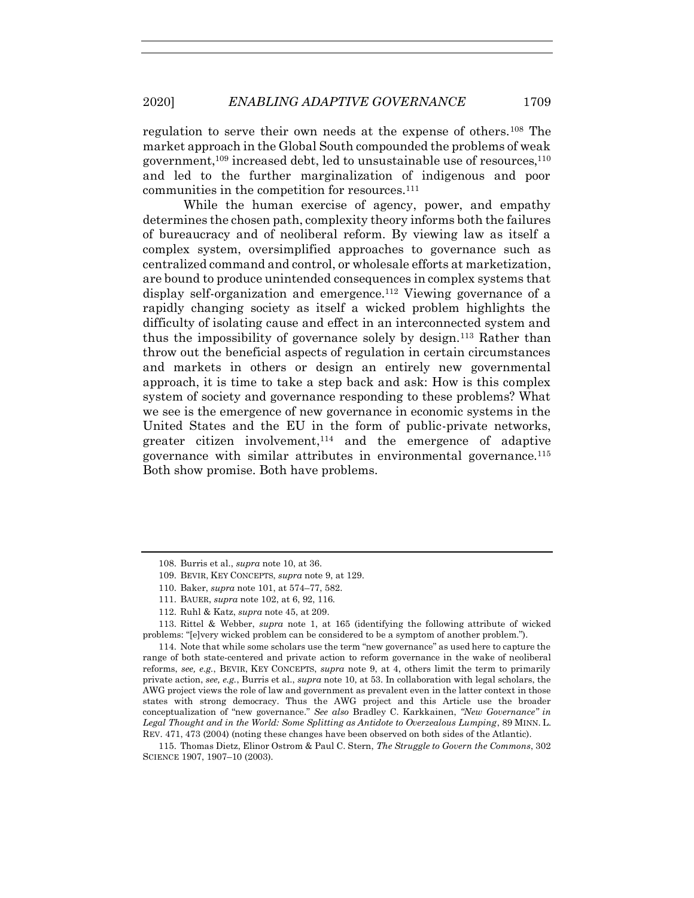regulation to serve their own needs at the expense of others.<sup>108</sup> The market approach in the Global South compounded the problems of weak government,<sup>109</sup> increased debt, led to unsustainable use of resources,<sup>110</sup> and led to the further marginalization of indigenous and poor communities in the competition for resources.<sup>111</sup>

While the human exercise of agency, power, and empathy determines the chosen path, complexity theory informs both the failures of bureaucracy and of neoliberal reform. By viewing law as itself a complex system, oversimplified approaches to governance such as centralized command and control, or wholesale efforts at marketization, are bound to produce unintended consequences in complex systems that display self-organization and emergence.<sup>112</sup> Viewing governance of a rapidly changing society as itself a wicked problem highlights the difficulty of isolating cause and effect in an interconnected system and thus the impossibility of governance solely by design.<sup>113</sup> Rather than throw out the beneficial aspects of regulation in certain circumstances and markets in others or design an entirely new governmental approach, it is time to take a step back and ask: How is this complex system of society and governance responding to these problems? What we see is the emergence of new governance in economic systems in the United States and the EU in the form of public-private networks, greater citizen involvement, <sup>114</sup> and the emergence of adaptive governance with similar attributes in environmental governance.<sup>115</sup> Both show promise. Both have problems.

<span id="page-22-0"></span>

<span id="page-22-1"></span><sup>108.</sup> Burris et al., *supra* note [10,](#page-5-2) at 36.

<sup>109.</sup> BEVIR, KEY CONCEPTS, *supra* note [9,](#page-3-1) at 129.

<sup>110.</sup> Baker, *supra* not[e 101,](#page-21-0) at 574–77, 582.

<sup>111.</sup> BAUER, *supra* not[e 102,](#page-21-1) at 6, 92, 116.

<sup>112.</sup> Ruhl & Katz, *supra* not[e 45,](#page-12-0) at 209.

<sup>113.</sup> Rittel & Webber, *supra* note [1,](#page-2-1) at 165 (identifying the following attribute of wicked problems: "[e]very wicked problem can be considered to be a symptom of another problem.").

<sup>114.</sup> Note that while some scholars use the term "new governance" as used here to capture the range of both state-centered and private action to reform governance in the wake of neoliberal reforms, *see, e.g.*, BEVIR, KEY CONCEPTS, *supra* note [9,](#page-3-1) at 4, others limit the term to primarily private action, *see, e.g.*, Burris et al., *supra* note [10,](#page-5-2) at 53. In collaboration with legal scholars, the AWG project views the role of law and government as prevalent even in the latter context in those states with strong democracy. Thus the AWG project and this Article use the broader conceptualization of "new governance." *See also* Bradley C. Karkkainen, *"New Governance" in Legal Thought and in the World: Some Splitting as Antidote to Overzealous Lumping*, 89 MINN. L. REV. 471, 473 (2004) (noting these changes have been observed on both sides of the Atlantic).

<sup>115.</sup> Thomas Dietz, Elinor Ostrom & Paul C. Stern, *The Struggle to Govern the Commons*, 302 SCIENCE 1907, 1907–10 (2003)*.*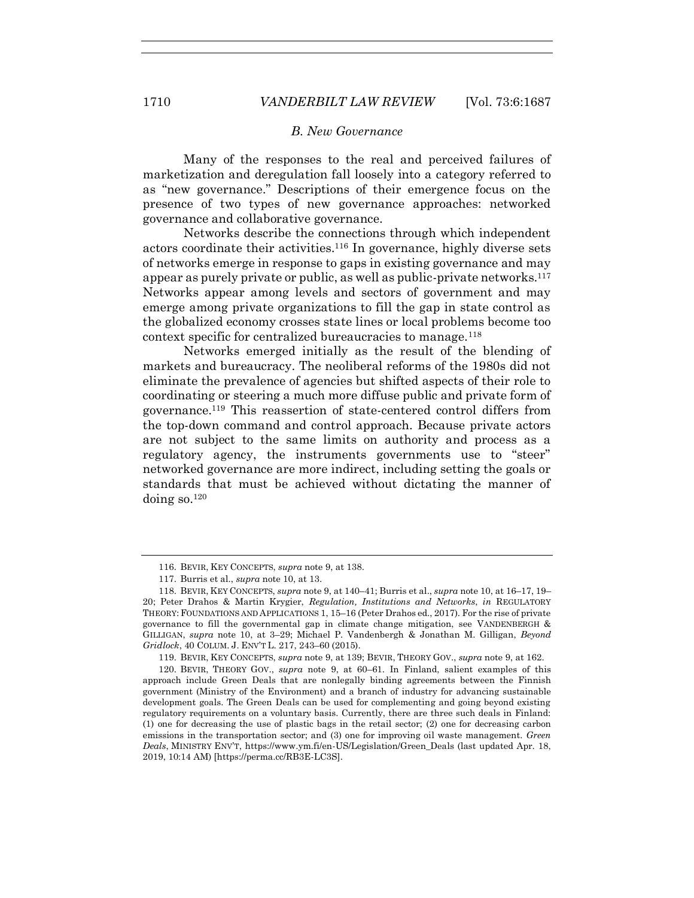# <span id="page-23-0"></span>*B. New Governance*

Many of the responses to the real and perceived failures of marketization and deregulation fall loosely into a category referred to as "new governance." Descriptions of their emergence focus on the presence of two types of new governance approaches: networked governance and collaborative governance.

Networks describe the connections through which independent actors coordinate their activities.<sup>116</sup> In governance, highly diverse sets of networks emerge in response to gaps in existing governance and may appear as purely private or public, as well as public-private networks.<sup>117</sup> Networks appear among levels and sectors of government and may emerge among private organizations to fill the gap in state control as the globalized economy crosses state lines or local problems become too context specific for centralized bureaucracies to manage.<sup>118</sup>

Networks emerged initially as the result of the blending of markets and bureaucracy. The neoliberal reforms of the 1980s did not eliminate the prevalence of agencies but shifted aspects of their role to coordinating or steering a much more diffuse public and private form of governance.<sup>119</sup> This reassertion of state-centered control differs from the top-down command and control approach. Because private actors are not subject to the same limits on authority and process as a regulatory agency, the instruments governments use to "steer" networked governance are more indirect, including setting the goals or standards that must be achieved without dictating the manner of doing so.<sup>120</sup>

<sup>116.</sup> BEVIR, KEY CONCEPTS, *supra* note [9,](#page-3-1) at 138.

<sup>117.</sup> Burris et al., *supra* note [10,](#page-5-2) at 13.

<sup>118.</sup> BEVIR, KEY CONCEPTS, *supra* not[e 9,](#page-3-1) at 140–41; Burris et al., *supra* note [10,](#page-5-2) at 16–17, 19– 20; Peter Drahos & Martin Krygier, *Regulation, Institutions and Networks*, *in* REGULATORY THEORY: FOUNDATIONS AND APPLICATIONS 1, 15-16 (Peter Drahos ed., 2017). For the rise of private governance to fill the governmental gap in climate change mitigation, see VANDENBERGH  $\&$ GILLIGAN, *supra* note [10,](#page-5-2) at 3–29; Michael P. Vandenbergh & Jonathan M. Gilligan, *Beyond Gridlock*, 40 COLUM. J. ENV'T L. 217, 243–60 (2015).

<sup>119.</sup> BEVIR, KEY CONCEPTS, *supra* note [9,](#page-3-1) at 139; BEVIR, THEORY GOV., *supra* note [9,](#page-3-1) at 162.

<sup>120.</sup> BEVIR, THEORY GOV., *supra* note [9,](#page-3-1) at 60–61. In Finland, salient examples of this approach include Green Deals that are nonlegally binding agreements between the Finnish government (Ministry of the Environment) and a branch of industry for advancing sustainable development goals. The Green Deals can be used for complementing and going beyond existing regulatory requirements on a voluntary basis. Currently, there are three such deals in Finland: (1) one for decreasing the use of plastic bags in the retail sector; (2) one for decreasing carbon emissions in the transportation sector; and (3) one for improving oil waste management. *Green Deals*, MINISTRY ENV'T, https://www.ym.fi/en-US/Legislation/Green\_Deals (last updated Apr. 18, 2019, 10:14 AM) [https://perma.cc/RB3E-LC3S].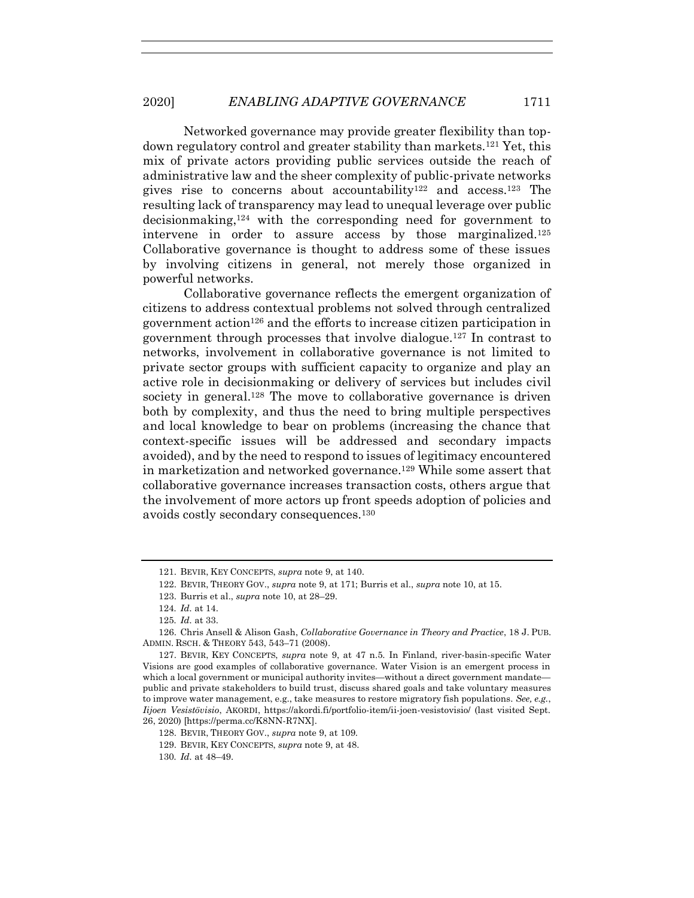Networked governance may provide greater flexibility than topdown regulatory control and greater stability than markets.<sup>121</sup> Yet, this mix of private actors providing public services outside the reach of administrative law and the sheer complexity of public-private networks gives rise to concerns about accountability<sup>122</sup> and access.<sup>123</sup> The resulting lack of transparency may lead to unequal leverage over public decisionmaking,<sup>124</sup> with the corresponding need for government to intervene in order to assure access by those marginalized.<sup>125</sup> Collaborative governance is thought to address some of these issues by involving citizens in general, not merely those organized in powerful networks.

Collaborative governance reflects the emergent organization of citizens to address contextual problems not solved through centralized government action<sup>126</sup> and the efforts to increase citizen participation in government through processes that involve dialogue.<sup>127</sup> In contrast to networks, involvement in collaborative governance is not limited to private sector groups with sufficient capacity to organize and play an active role in decisionmaking or delivery of services but includes civil society in general.<sup>128</sup> The move to collaborative governance is driven both by complexity, and thus the need to bring multiple perspectives and local knowledge to bear on problems (increasing the chance that context-specific issues will be addressed and secondary impacts avoided), and by the need to respond to issues of legitimacy encountered in marketization and networked governance.<sup>129</sup> While some assert that collaborative governance increases transaction costs, others argue that the involvement of more actors up front speeds adoption of policies and avoids costly secondary consequences.<sup>130</sup>

<sup>121.</sup> BEVIR, KEY CONCEPTS, *supra* note [9,](#page-3-1) at 140.

<sup>122.</sup> BEVIR, THEORY GOV., *supra* not[e 9,](#page-3-1) at 171; Burris et al., *supra* note [10,](#page-5-2) at 15.

<sup>123.</sup> Burris et al., *supra* note [10,](#page-5-2) at 28–29.

<sup>124</sup>*. Id.* at 14.

<sup>125</sup>*. Id.* at 33.

<sup>126.</sup> Chris Ansell & Alison Gash, *Collaborative Governance in Theory and Practice*, 18 J. PUB. ADMIN. RSCH. & THEORY 543, 543–71 (2008).

<sup>127.</sup> BEVIR, KEY CONCEPTS, *supra* note [9,](#page-3-1) at 47 n.5. In Finland, river-basin-specific Water Visions are good examples of collaborative governance. Water Vision is an emergent process in which a local government or municipal authority invites—without a direct government mandate public and private stakeholders to build trust, discuss shared goals and take voluntary measures to improve water management, e.g., take measures to restore migratory fish populations. *See, e.g.*, *Iijoen Vesistövisio*, AKORDI, https://akordi.fi/portfolio-item/ii-joen-vesistovisio/ (last visited Sept. 26, 2020) [https://perma.cc/K8NN-R7NX].

<sup>128.</sup> BEVIR, THEORY GOV., *supra* not[e 9,](#page-3-1) at 109.

<sup>129.</sup> BEVIR, KEY CONCEPTS, *supra* note [9,](#page-3-1) at 48.

<sup>130</sup>*. Id.* at 48–49.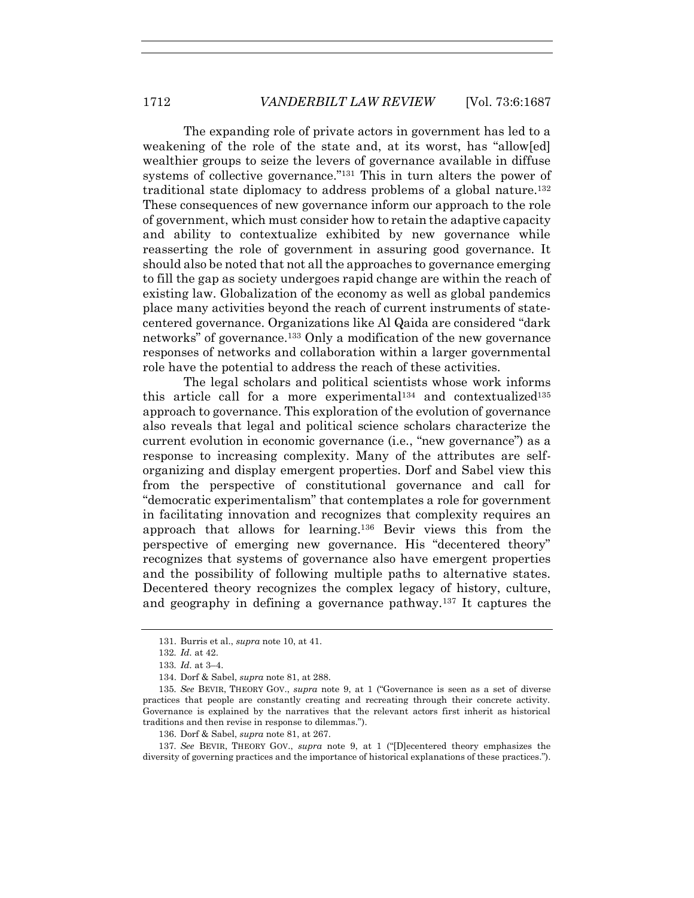The expanding role of private actors in government has led to a weakening of the role of the state and, at its worst, has "allowed" wealthier groups to seize the levers of governance available in diffuse systems of collective governance."<sup>131</sup> This in turn alters the power of traditional state diplomacy to address problems of a global nature.<sup>132</sup> These consequences of new governance inform our approach to the role of government, which must consider how to retain the adaptive capacity and ability to contextualize exhibited by new governance while reasserting the role of government in assuring good governance. It should also be noted that not all the approaches to governance emerging to fill the gap as society undergoes rapid change are within the reach of existing law. Globalization of the economy as well as global pandemics place many activities beyond the reach of current instruments of statecentered governance. Organizations like Al Qaida are considered "dark networks" of governance.<sup>133</sup> Only a modification of the new governance responses of networks and collaboration within a larger governmental role have the potential to address the reach of these activities.

The legal scholars and political scientists whose work informs this article call for a more experimental<sup>134</sup> and contextualized<sup>135</sup> approach to governance. This exploration of the evolution of governance also reveals that legal and political science scholars characterize the current evolution in economic governance (i.e., "new governance") as a response to increasing complexity. Many of the attributes are selforganizing and display emergent properties. Dorf and Sabel view this from the perspective of constitutional governance and call for "democratic experimentalism" that contemplates a role for government in facilitating innovation and recognizes that complexity requires an approach that allows for learning.<sup>136</sup> Bevir views this from the perspective of emerging new governance. His "decentered theory" recognizes that systems of governance also have emergent properties and the possibility of following multiple paths to alternative states. Decentered theory recognizes the complex legacy of history, culture, and geography in defining a governance pathway.<sup>137</sup> It captures the

137*. See* BEVIR, THEORY GOV., *supra* note [9,](#page-3-1) at 1 ("[D]ecentered theory emphasizes the diversity of governing practices and the importance of historical explanations of these practices.").

<sup>131.</sup> Burris et al., *supra* note [10,](#page-5-2) at 41.

<sup>132</sup>*. Id.* at 42.

<sup>133</sup>*. Id.* at 3–4.

<sup>134.</sup> Dorf & Sabel, *supra* note [81,](#page-19-0) at 288.

<sup>135</sup>*. See* BEVIR, THEORY GOV., *supra* note [9,](#page-3-1) at 1 ("Governance is seen as a set of diverse practices that people are constantly creating and recreating through their concrete activity. Governance is explained by the narratives that the relevant actors first inherit as historical traditions and then revise in response to dilemmas.").

<sup>136.</sup> Dorf & Sabel, *supra* note [81,](#page-19-0) at 267.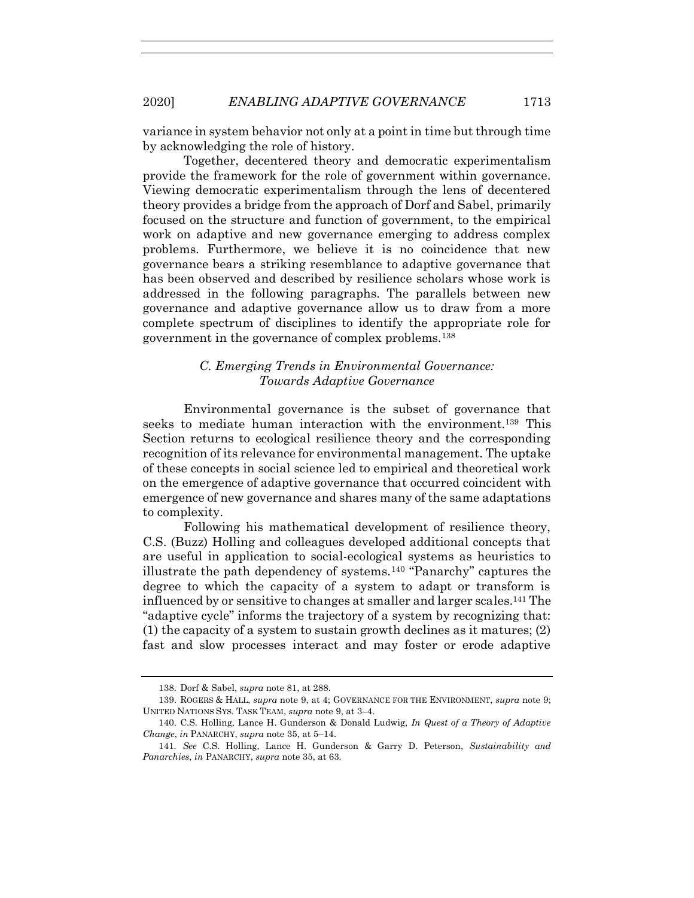variance in system behavior not only at a point in time but through time by acknowledging the role of history.

Together, decentered theory and democratic experimentalism provide the framework for the role of government within governance. Viewing democratic experimentalism through the lens of decentered theory provides a bridge from the approach of Dorf and Sabel, primarily focused on the structure and function of government, to the empirical work on adaptive and new governance emerging to address complex problems. Furthermore, we believe it is no coincidence that new governance bears a striking resemblance to adaptive governance that has been observed and described by resilience scholars whose work is addressed in the following paragraphs. The parallels between new governance and adaptive governance allow us to draw from a more complete spectrum of disciplines to identify the appropriate role for government in the governance of complex problems.<sup>138</sup>

# *C. Emerging Trends in Environmental Governance: Towards Adaptive Governance*

Environmental governance is the subset of governance that seeks to mediate human interaction with the environment.<sup>139</sup> This Section returns to ecological resilience theory and the corresponding recognition of its relevance for environmental management. The uptake of these concepts in social science led to empirical and theoretical work on the emergence of adaptive governance that occurred coincident with emergence of new governance and shares many of the same adaptations to complexity.

Following his mathematical development of resilience theory, C.S. (Buzz) Holling and colleagues developed additional concepts that are useful in application to social-ecological systems as heuristics to illustrate the path dependency of systems.<sup>140</sup> "Panarchy" captures the degree to which the capacity of a system to adapt or transform is influenced by or sensitive to changes at smaller and larger scales.<sup>141</sup> The "adaptive cycle" informs the trajectory of a system by recognizing that: (1) the capacity of a system to sustain growth declines as it matures; (2) fast and slow processes interact and may foster or erode adaptive

<sup>138.</sup> Dorf & Sabel, *supra* note [81,](#page-19-0) at 288.

<sup>139.</sup> ROGERS & HALL, *supra* not[e 9,](#page-3-1) at 4; GOVERNANCE FOR THE ENVIRONMENT, *supra* note [9;](#page-3-1) UNITED NATIONS SYS. TASK TEAM, *supra* not[e 9,](#page-3-1) at 3–4.

<sup>140.</sup> C.S. Holling, Lance H. Gunderson & Donald Ludwig, *In Quest of a Theory of Adaptive Change*, *in* PANARCHY, *supra* not[e 35,](#page-10-0) at 5–14.

<sup>141</sup>*. See* C.S. Holling, Lance H. Gunderson & Garry D. Peterson, *Sustainability and Panarchies*, *in* PANARCHY, *supra* note [35,](#page-10-0) at 63.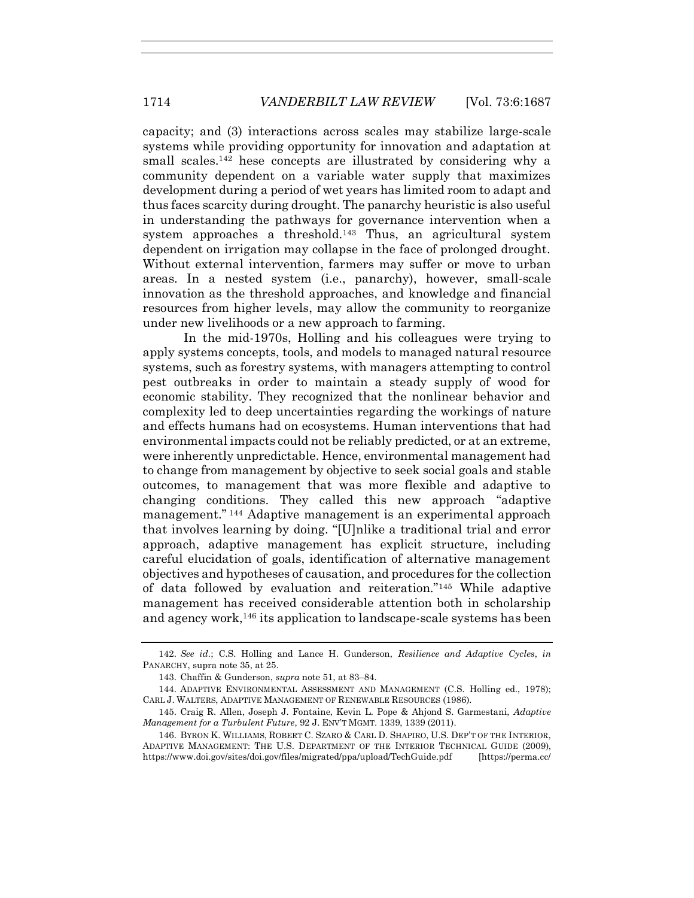capacity; and (3) interactions across scales may stabilize large-scale systems while providing opportunity for innovation and adaptation at small scales.<sup>142</sup> hese concepts are illustrated by considering why a community dependent on a variable water supply that maximizes development during a period of wet years has limited room to adapt and thus faces scarcity during drought. The panarchy heuristic is also useful in understanding the pathways for governance intervention when a system approaches a threshold.<sup>143</sup> Thus, an agricultural system dependent on irrigation may collapse in the face of prolonged drought. Without external intervention, farmers may suffer or move to urban areas. In a nested system (i.e., panarchy), however, small-scale innovation as the threshold approaches, and knowledge and financial resources from higher levels, may allow the community to reorganize under new livelihoods or a new approach to farming.

In the mid-1970s, Holling and his colleagues were trying to apply systems concepts, tools, and models to managed natural resource systems, such as forestry systems, with managers attempting to control pest outbreaks in order to maintain a steady supply of wood for economic stability. They recognized that the nonlinear behavior and complexity led to deep uncertainties regarding the workings of nature and effects humans had on ecosystems. Human interventions that had environmental impacts could not be reliably predicted, or at an extreme, were inherently unpredictable. Hence, environmental management had to change from management by objective to seek social goals and stable outcomes, to management that was more flexible and adaptive to changing conditions. They called this new approach "adaptive management." <sup>144</sup> Adaptive management is an experimental approach that involves learning by doing. "[U]nlike a traditional trial and error approach, adaptive management has explicit structure, including careful elucidation of goals, identification of alternative management objectives and hypotheses of causation, and procedures for the collection of data followed by evaluation and reiteration."<sup>145</sup> While adaptive management has received considerable attention both in scholarship and agency work,<sup>146</sup> its application to landscape-scale systems has been

<span id="page-27-1"></span><sup>142.</sup> *See id.*; C.S. Holling and Lance H. Gunderson, *Resilience and Adaptive Cycles*, *in* PANARCHY, supra not[e 35,](#page-10-0) at 25.

<span id="page-27-0"></span><sup>143.</sup> Chaffin & Gunderson, *supra* not[e 51,](#page-13-0) at 83–84.

<sup>144.</sup> ADAPTIVE ENVIRONMENTAL ASSESSMENT AND MANAGEMENT (C.S. Holling ed., 1978); CARL J. WALTERS, ADAPTIVE MANAGEMENT OF RENEWABLE RESOURCES (1986).

<sup>145.</sup> Craig R. Allen, Joseph J. Fontaine, Kevin L. Pope & Ahjond S. Garmestani, *Adaptive Management for a Turbulent Future*, 92 J. ENV'T MGMT. 1339, 1339 (2011).

<sup>146.</sup> BYRON K. WILLIAMS, ROBERT C. SZARO & CARL D. SHAPIRO, U.S. DEP'T OF THE INTERIOR, ADAPTIVE MANAGEMENT: THE U.S. DEPARTMENT OF THE INTERIOR TECHNICAL GUIDE (2009), https://www.doi.gov/sites/doi.gov/files/migrated/ppa/upload/TechGuide.pdf [https://perma.cc/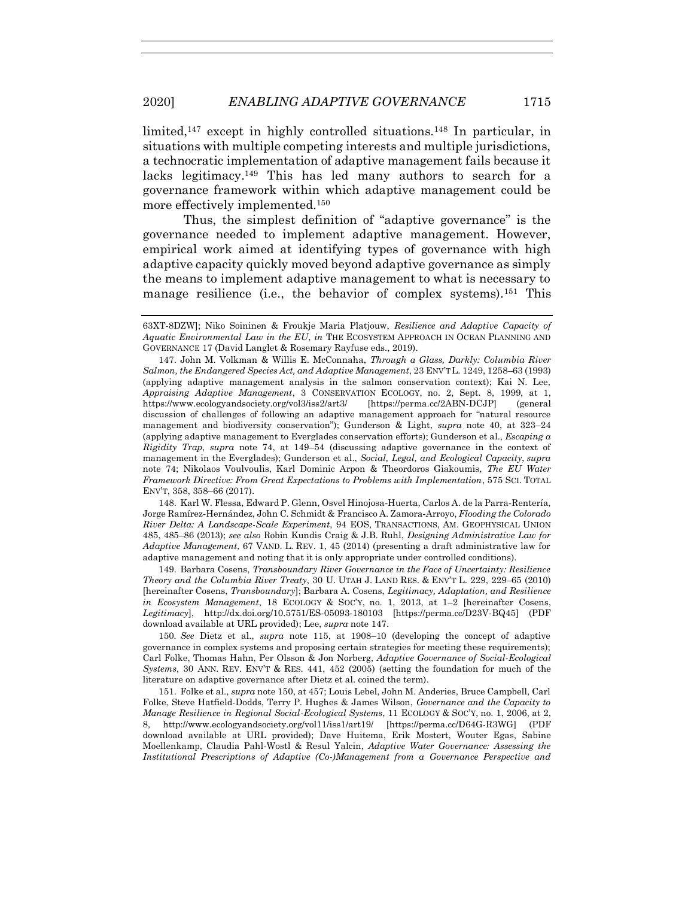<span id="page-28-4"></span><span id="page-28-2"></span><span id="page-28-0"></span>limited,<sup>147</sup> except in highly controlled situations.<sup>148</sup> In particular, in situations with multiple competing interests and multiple jurisdictions, a technocratic implementation of adaptive management fails because it lacks legitimacy.<sup>149</sup> This has led many authors to search for a governance framework within which adaptive management could be more effectively implemented.<sup>150</sup>

<span id="page-28-1"></span>Thus, the simplest definition of "adaptive governance" is the governance needed to implement adaptive management. However, empirical work aimed at identifying types of governance with high adaptive capacity quickly moved beyond adaptive governance as simply the means to implement adaptive management to what is necessary to manage resilience (i.e., the behavior of complex systems).<sup>151</sup> This

147. John M. Volkman & Willis E. McConnaha, *Through a Glass, Darkly: Columbia River Salmon, the Endangered Species Act, and Adaptive Management*, 23 ENV'T L. 1249, 1258–63 (1993) (applying adaptive management analysis in the salmon conservation context); Kai N. Lee, *Appraising Adaptive Management*, 3 CONSERVATION ECOLOGY, no. 2, Sept. 8, 1999, at 1, https://www.ecologyandsociety.org/vol3/iss2/art3/ [https://perma.cc/2ABN-DCJP] (general discussion of challenges of following an adaptive management approach for "natural resource management and biodiversity conservation"); Gunderson & Light, *supra* note [40,](#page-11-0) at 323–24 (applying adaptive management to Everglades conservation efforts); Gunderson et al., *Escaping a Rigidity Trap*, *supra* note [74,](#page-17-0) at 149–54 (discussing adaptive governance in the context of management in the Everglades); Gunderson et al., *Social, Legal, and Ecological Capacity*, *supra* note [74;](#page-17-0) Nikolaos Voulvoulis, Karl Dominic Arpon & Theordoros Giakoumis, *The EU Water Framework Directive: From Great Expectations to Problems with Implementation*, 575 SCI. TOTAL ENV'T, 358, 358–66 (2017).

148. Karl W. Flessa, Edward P. Glenn, Osvel Hinojosa‐Huerta, Carlos A. de la Parra‐Rentería, Jorge Ramírez‐Hernández, John C. Schmidt & Francisco A. Zamora‐Arroyo, *Flooding the Colorado River Delta: A Landscape-Scale Experiment*, 94 EOS, TRANSACTIONS, AM. GEOPHYSICAL UNION 485, 485–86 (2013); *see also* Robin Kundis Craig & J.B. Ruhl, *Designing Administrative Law for Adaptive Management*, 67 VAND. L. REV. 1, 45 (2014) (presenting a draft administrative law for adaptive management and noting that it is only appropriate under controlled conditions).

149. Barbara Cosens, *Transboundary River Governance in the Face of Uncertainty: Resilience Theory and the Columbia River Treaty*, 30 U. UTAH J. LAND RES. & ENV'T L. 229, 229–65 (2010) [hereinafter Cosens, *Transboundary*]; Barbara A. Cosens, *Legitimacy, Adaptation, and Resilience in Ecosystem Management*, 18 ECOLOGY & SOC'Y, no. 1, 2013, at 1–2 [hereinafter Cosens, *Legitimacy*], http://dx.doi.org/10.5751/ES-05093-180103 [https://perma.cc/D23V-BQ45] (PDF download available at URL provided); Lee, *supra* not[e 147.](#page-28-0)

150*. See* Dietz et al., *supra* note [115,](#page-22-0) at 1908–10 (developing the concept of adaptive governance in complex systems and proposing certain strategies for meeting these requirements); Carl Folke, Thomas Hahn, Per Olsson & Jon Norberg, *Adaptive Governance of Social-Ecological Systems*, 30 ANN. REV. ENV'T & RES. 441, 452 (2005) (setting the foundation for much of the literature on adaptive governance after Dietz et al. coined the term).

151. Folke et al., *supra* not[e 150,](#page-28-1) at 457; Louis Lebel, John M. Anderies, Bruce Campbell, Carl Folke, Steve Hatfield-Dodds, Terry P. Hughes & James Wilson, *Governance and the Capacity to Manage Resilience in Regional Social-Ecological Systems*, 11 ECOLOGY & SOC'Y, no. 1, 2006, at 2, 8, http://www.ecologyandsociety.org/vol11/iss1/art19/ [https://perma.cc/D64G-R3WG] (PDF download available at URL provided); Dave Huitema, Erik Mostert, Wouter Egas, Sabine Moellenkamp, Claudia Pahl-Wostl & Resul Yalcin, *Adaptive Water Governance: Assessing the Institutional Prescriptions of Adaptive (Co-)Management from a Governance Perspective and* 

<span id="page-28-3"></span><sup>63</sup>XT-8DZW]; Niko Soininen & Froukje Maria Platjouw, *Resilience and Adaptive Capacity of Aquatic Environmental Law in the EU*, *in* THE ECOSYSTEM APPROACH IN OCEAN PLANNING AND GOVERNANCE 17 (David Langlet & Rosemary Rayfuse eds., 2019).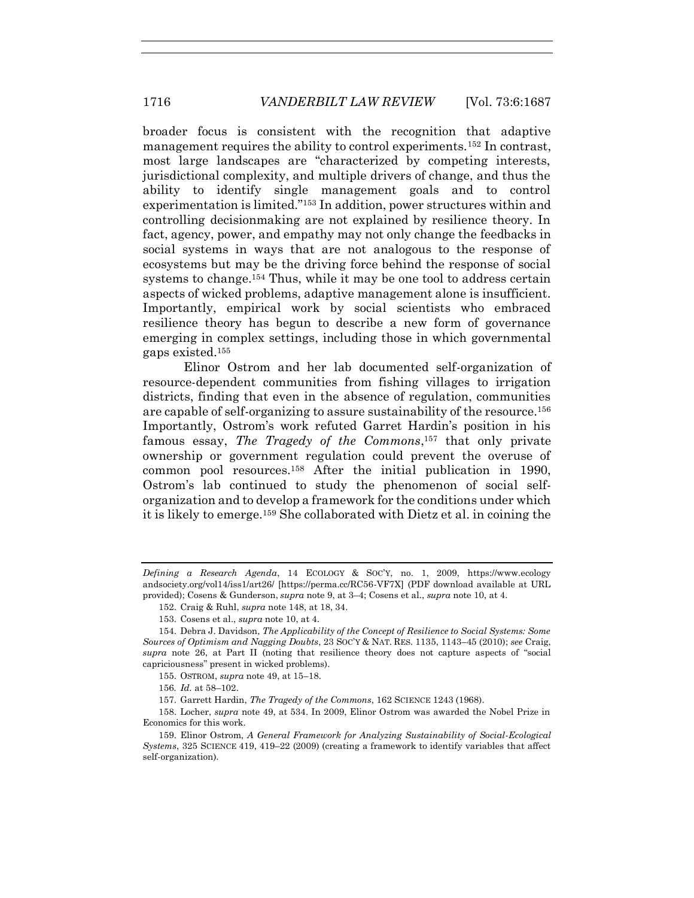broader focus is consistent with the recognition that adaptive management requires the ability to control experiments.<sup>152</sup> In contrast, most large landscapes are "characterized by competing interests, jurisdictional complexity, and multiple drivers of change, and thus the ability to identify single management goals and to control experimentation is limited."<sup>153</sup> In addition, power structures within and controlling decisionmaking are not explained by resilience theory. In fact, agency, power, and empathy may not only change the feedbacks in social systems in ways that are not analogous to the response of ecosystems but may be the driving force behind the response of social systems to change.<sup>154</sup> Thus, while it may be one tool to address certain aspects of wicked problems, adaptive management alone is insufficient. Importantly, empirical work by social scientists who embraced resilience theory has begun to describe a new form of governance emerging in complex settings, including those in which governmental gaps existed.<sup>155</sup>

Elinor Ostrom and her lab documented self-organization of resource-dependent communities from fishing villages to irrigation districts, finding that even in the absence of regulation, communities are capable of self-organizing to assure sustainability of the resource.<sup>156</sup> Importantly, Ostrom's work refuted Garret Hardin's position in his famous essay, *The Tragedy of the Commons*, <sup>157</sup> that only private ownership or government regulation could prevent the overuse of common pool resources.<sup>158</sup> After the initial publication in 1990, Ostrom's lab continued to study the phenomenon of social selforganization and to develop a framework for the conditions under which it is likely to emerge.<sup>159</sup> She collaborated with Dietz et al. in coining the

155. OSTROM, *supra* not[e 49,](#page-12-1) at 15–18.

156*. Id.* at 58–102.

157. Garrett Hardin, *The Tragedy of the Commons*, 162 SCIENCE 1243 (1968).

158. Locher, *supra* note [49,](#page-12-1) at 534. In 2009, Elinor Ostrom was awarded the Nobel Prize in Economics for this work.

*Defining a Research Agenda*, 14 ECOLOGY & SOC'Y, no. 1, 2009, https://www.ecology andsociety.org/vol14/iss1/art26/ [https://perma.cc/RC56-VF7X] (PDF download available at URL provided); Cosens & Gunderson, *supra* not[e 9,](#page-3-1) at 3–4; Cosens et al., *supra* note [10,](#page-5-2) at 4.

<sup>152.</sup> Craig & Ruhl, *supra* not[e 148,](#page-28-2) at 18, 34.

<sup>153.</sup> Cosens et al., *supra* note [10,](#page-5-2) at 4.

<sup>154.</sup> Debra J. Davidson, *The Applicability of the Concept of Resilience to Social Systems: Some Sources of Optimism and Nagging Doubts*, 23 SOC'Y & NAT. RES. 1135, 1143–45 (2010); *see* Craig, *supra* note [26,](#page-8-0) at Part II (noting that resilience theory does not capture aspects of "social capriciousness" present in wicked problems).

<sup>159.</sup> Elinor Ostrom, *A General Framework for Analyzing Sustainability of Social-Ecological Systems*, 325 SCIENCE 419, 419–22 (2009) (creating a framework to identify variables that affect self-organization)*.*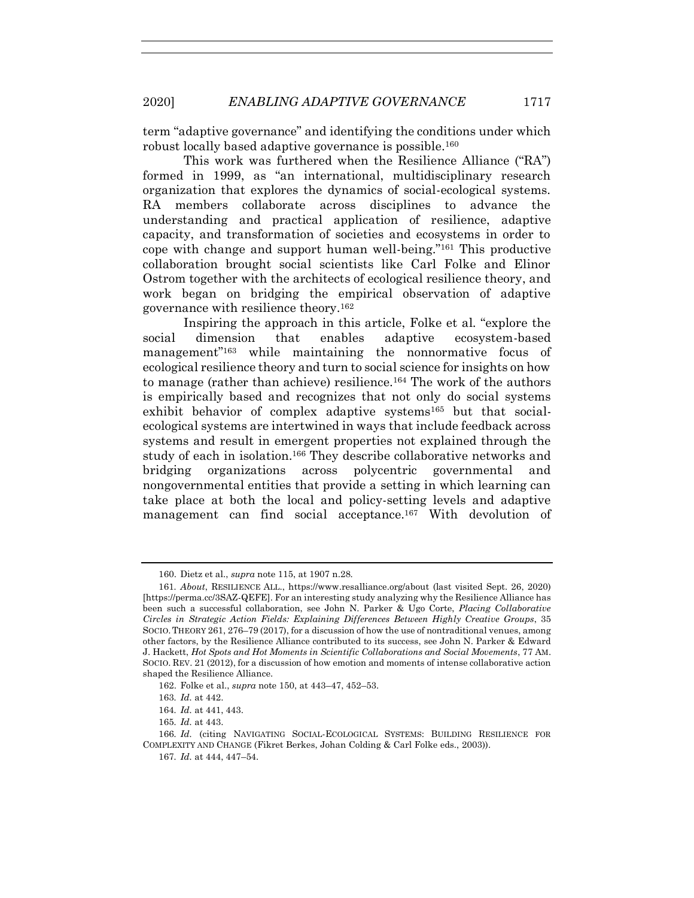term "adaptive governance" and identifying the conditions under which robust locally based adaptive governance is possible.<sup>160</sup>

This work was furthered when the Resilience Alliance ("RA") formed in 1999, as "an international, multidisciplinary research organization that explores the dynamics of social-ecological systems. RA members collaborate across disciplines to advance the understanding and practical application of resilience, adaptive capacity, and transformation of societies and ecosystems in order to cope with change and support human well-being."<sup>161</sup> This productive collaboration brought social scientists like Carl Folke and Elinor Ostrom together with the architects of ecological resilience theory, and work began on bridging the empirical observation of adaptive governance with resilience theory.<sup>162</sup>

Inspiring the approach in this article, Folke et al. "explore the social dimension that enables adaptive ecosystem-based management"<sup>163</sup> while maintaining the nonnormative focus of ecological resilience theory and turn to social science for insights on how to manage (rather than achieve) resilience.<sup>164</sup> The work of the authors is empirically based and recognizes that not only do social systems exhibit behavior of complex adaptive systems<sup>165</sup> but that socialecological systems are intertwined in ways that include feedback across systems and result in emergent properties not explained through the study of each in isolation.<sup>166</sup> They describe collaborative networks and bridging organizations across polycentric governmental and nongovernmental entities that provide a setting in which learning can take place at both the local and policy-setting levels and adaptive management can find social acceptance.<sup>167</sup> With devolution of

<sup>160.</sup> Dietz et al., *supra* not[e 115,](#page-22-0) at 1907 n.28.

<sup>161</sup>*. About*, RESILIENCE ALL., https://www.resalliance.org/about (last visited Sept. 26, 2020) [https://perma.cc/3SAZ-QEFE]. For an interesting study analyzing why the Resilience Alliance has been such a successful collaboration, see John N. Parker & Ugo Corte, *Placing Collaborative Circles in Strategic Action Fields: Explaining Differences Between Highly Creative Groups*, 35 SOCIO.THEORY 261, 276–79 (2017), for a discussion of how the use of nontraditional venues, among other factors, by the Resilience Alliance contributed to its success, see John N. Parker & Edward J. Hackett, *Hot Spots and Hot Moments in Scientific Collaborations and Social Movements*, 77 AM. SOCIO. REV. 21 (2012), for a discussion of how emotion and moments of intense collaborative action shaped the Resilience Alliance.

<sup>162.</sup> Folke et al., *supra* not[e 150,](#page-28-1) at 443–47, 452–53.

<sup>163</sup>*. Id.* at 442.

<sup>164</sup>*. Id.* at 441, 443.

<sup>165</sup>*. Id.* at 443.

<sup>166</sup>*. Id.* (citing NAVIGATING SOCIAL-ECOLOGICAL SYSTEMS: BUILDING RESILIENCE FOR COMPLEXITY AND CHANGE (Fikret Berkes, Johan Colding & Carl Folke eds., 2003)).

<sup>167</sup>*. Id.* at 444, 447–54.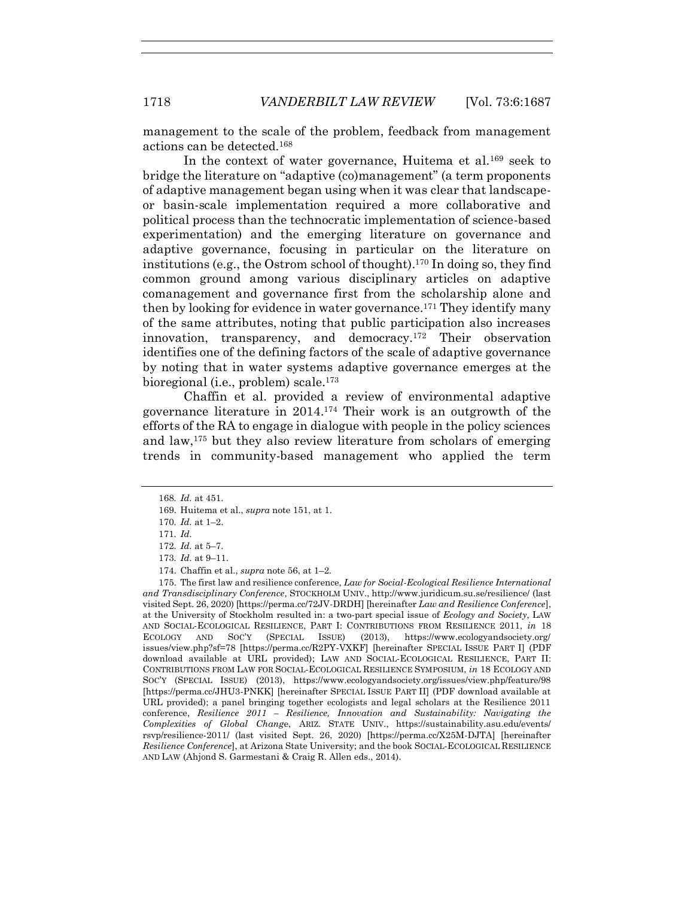management to the scale of the problem, feedback from management actions can be detected.<sup>168</sup>

In the context of water governance. Huitema et al.<sup>169</sup> seek to bridge the literature on "adaptive (co)management" (a term proponents of adaptive management began using when it was clear that landscapeor basin-scale implementation required a more collaborative and political process than the technocratic implementation of science-based experimentation) and the emerging literature on governance and adaptive governance, focusing in particular on the literature on institutions (e.g., the Ostrom school of thought).<sup>170</sup> In doing so, they find common ground among various disciplinary articles on adaptive comanagement and governance first from the scholarship alone and then by looking for evidence in water governance.<sup>171</sup> They identify many of the same attributes, noting that public participation also increases innovation, transparency, and democracy.<sup>172</sup> Their observation identifies one of the defining factors of the scale of adaptive governance by noting that in water systems adaptive governance emerges at the bioregional (i.e., problem) scale.<sup>173</sup>

<span id="page-31-0"></span>Chaffin et al. provided a review of environmental adaptive governance literature in 2014.<sup>174</sup> Their work is an outgrowth of the efforts of the RA to engage in dialogue with people in the policy sciences and law,<sup>175</sup> but they also review literature from scholars of emerging trends in community-based management who applied the term

175. The first law and resilience conference, *Law for Social-Ecological Resilience International and Transdisciplinary Conference*, STOCKHOLM UNIV., http://www.juridicum.su.se/resilience/ (last visited Sept. 26, 2020) [https://perma.cc/72JV-DRDH] [hereinafter *Law and Resilience Conference*], at the University of Stockholm resulted in: a two-part special issue of *Ecology and Society*, LAW AND SOCIAL-ECOLOGICAL RESILIENCE, PART I: CONTRIBUTIONS FROM RESILIENCE 2011, *in* 18 ECOLOGY AND SOC'Y (SPECIAL ISSUE) (2013), https://www.ecologyandsociety.org/ issues/view.php?sf=78 [https://perma.cc/R2PY-VXKF] [hereinafter SPECIAL ISSUE PART I] (PDF download available at URL provided); LAW AND SOCIAL-ECOLOGICAL RESILIENCE, PART II: CONTRIBUTIONS FROM LAW FOR SOCIAL-ECOLOGICAL RESILIENCE SYMPOSIUM, *in* 18 ECOLOGY AND SOC'Y (SPECIAL ISSUE) (2013), https://www.ecologyandsociety.org/issues/view.php/feature/98 [https://perma.cc/JHU3-PNKK] [hereinafter SPECIAL ISSUE PART II] (PDF download available at URL provided); a panel bringing together ecologists and legal scholars at the Resilience 2011 conference, *Resilience 2011 – Resilience, Innovation and Sustainability: Navigating the Complexities of Global Chang*e, ARIZ. STATE UNIV., https://sustainability.asu.edu/events/ rsvp/resilience-2011/ (last visited Sept. 26, 2020) [https://perma.cc/X25M-DJTA] [hereinafter *Resilience Conference*], at Arizona State University; and the book SOCIAL-ECOLOGICAL RESILIENCE AND LAW (Ahjond S. Garmestani & Craig R. Allen eds., 2014).

<sup>168</sup>*. Id.* at 451.

<sup>169.</sup> Huitema et al., *supra* not[e 151,](#page-28-3) at 1.

<sup>170</sup>*. Id.* at 1–2.

<sup>171</sup>*. Id.*

<sup>172</sup>*. Id.* at 5–7.

<sup>173</sup>*. Id.* at 9–11.

<sup>174.</sup> Chaffin et al., *supra* not[e 56,](#page-13-1) at 1–2.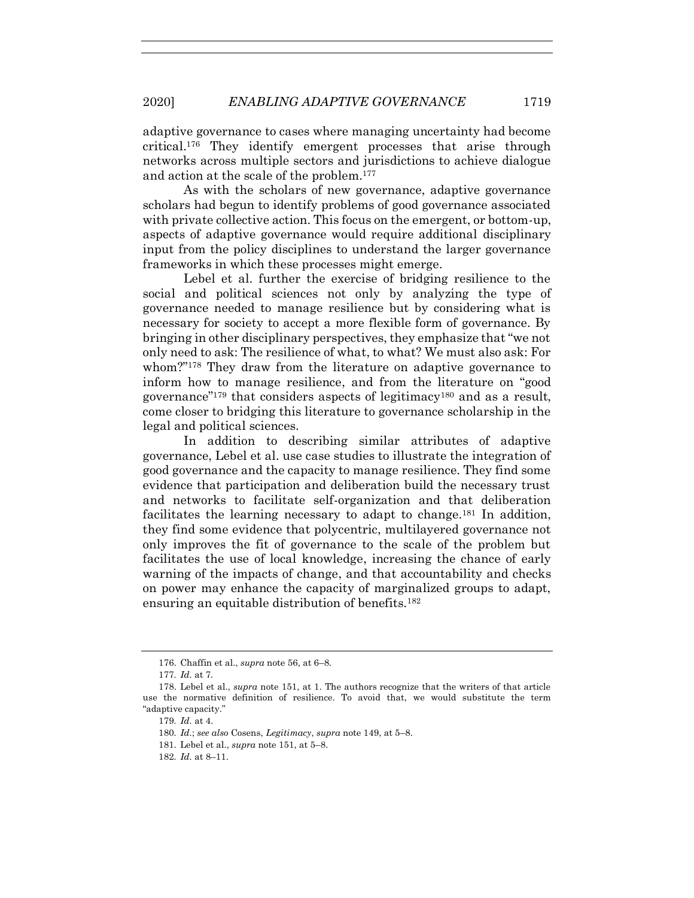adaptive governance to cases where managing uncertainty had become critical.<sup>176</sup> They identify emergent processes that arise through networks across multiple sectors and jurisdictions to achieve dialogue and action at the scale of the problem.<sup>177</sup>

As with the scholars of new governance, adaptive governance scholars had begun to identify problems of good governance associated with private collective action. This focus on the emergent, or bottom-up, aspects of adaptive governance would require additional disciplinary input from the policy disciplines to understand the larger governance frameworks in which these processes might emerge.

Lebel et al. further the exercise of bridging resilience to the social and political sciences not only by analyzing the type of governance needed to manage resilience but by considering what is necessary for society to accept a more flexible form of governance. By bringing in other disciplinary perspectives, they emphasize that "we not only need to ask: The resilience of what, to what? We must also ask: For whom?"<sup>178</sup> They draw from the literature on adaptive governance to inform how to manage resilience, and from the literature on "good governance"<sup>179</sup> that considers aspects of legitimacy<sup>180</sup> and as a result, come closer to bridging this literature to governance scholarship in the legal and political sciences.

In addition to describing similar attributes of adaptive governance, Lebel et al. use case studies to illustrate the integration of good governance and the capacity to manage resilience. They find some evidence that participation and deliberation build the necessary trust and networks to facilitate self-organization and that deliberation facilitates the learning necessary to adapt to change.<sup>181</sup> In addition, they find some evidence that polycentric, multilayered governance not only improves the fit of governance to the scale of the problem but facilitates the use of local knowledge, increasing the chance of early warning of the impacts of change, and that accountability and checks on power may enhance the capacity of marginalized groups to adapt, ensuring an equitable distribution of benefits.<sup>182</sup>

<sup>176.</sup> Chaffin et al., *supra* not[e 56,](#page-13-1) at 6–8.

<sup>177</sup>*. Id.* at 7*.*

<sup>178.</sup> Lebel et al., *supra* note [151,](#page-28-3) at 1. The authors recognize that the writers of that article use the normative definition of resilience. To avoid that, we would substitute the term "adaptive capacity."

<sup>179</sup>*. Id.* at 4.

<sup>180</sup>*. Id.*; *see also* Cosens, *Legitimacy*, *supra* note [149,](#page-28-4) at 5–8.

<sup>181.</sup> Lebel et al., *supra* note [151,](#page-28-3) at 5–8.

<sup>182</sup>*. Id.* at 8–11.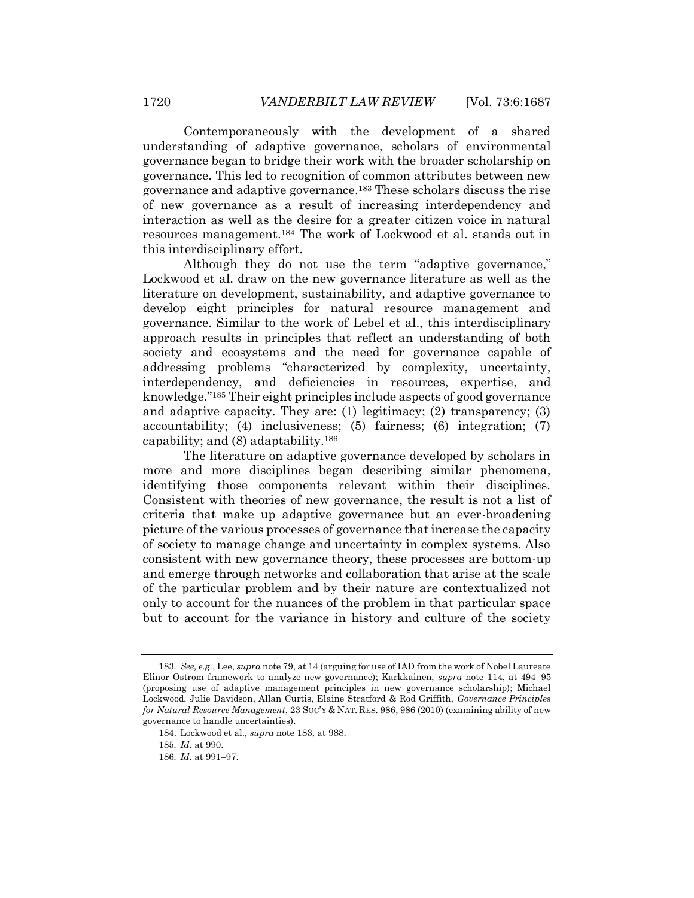<span id="page-33-0"></span>Contemporaneously with the development of a shared understanding of adaptive governance, scholars of environmental governance began to bridge their work with the broader scholarship on governance. This led to recognition of common attributes between new governance and adaptive governance.<sup>183</sup> These scholars discuss the rise of new governance as a result of increasing interdependency and interaction as well as the desire for a greater citizen voice in natural resources management.<sup>184</sup> The work of Lockwood et al. stands out in this interdisciplinary effort.

Although they do not use the term "adaptive governance," Lockwood et al. draw on the new governance literature as well as the literature on development, sustainability, and adaptive governance to develop eight principles for natural resource management and governance. Similar to the work of Lebel et al., this interdisciplinary approach results in principles that reflect an understanding of both society and ecosystems and the need for governance capable of addressing problems "characterized by complexity, uncertainty, interdependency, and deficiencies in resources, expertise, and knowledge."<sup>185</sup> Their eight principles include aspects of good governance and adaptive capacity. They are: (1) legitimacy; (2) transparency; (3) accountability; (4) inclusiveness; (5) fairness; (6) integration; (7) capability; and  $(8)$  adaptability.<sup>186</sup>

The literature on adaptive governance developed by scholars in more and more disciplines began describing similar phenomena, identifying those components relevant within their disciplines. Consistent with theories of new governance, the result is not a list of criteria that make up adaptive governance but an ever-broadening picture of the various processes of governance that increase the capacity of society to manage change and uncertainty in complex systems. Also consistent with new governance theory, these processes are bottom-up and emerge through networks and collaboration that arise at the scale of the particular problem and by their nature are contextualized not only to account for the nuances of the problem in that particular space but to account for the variance in history and culture of the society

<sup>183</sup>*. See, e.g.*, Lee, *supra* not[e 79,](#page-18-0) at 14 (arguing for use of IAD from the work of Nobel Laureate Elinor Ostrom framework to analyze new governance); Karkkainen, *supra* note [114,](#page-22-1) at 494–95 (proposing use of adaptive management principles in new governance scholarship); Michael Lockwood, Julie Davidson, Allan Curtis, Elaine Stratford & Rod Griffith, *Governance Principles for Natural Resource Management*, 23 SOC'Y & NAT. RES. 986, 986 (2010) (examining ability of new governance to handle uncertainties).

<sup>184.</sup> Lockwood et al., *supra* note [183,](#page-33-0) at 988.

<sup>185</sup>*. Id.* at 990.

<sup>186</sup>*. Id.* at 991–97.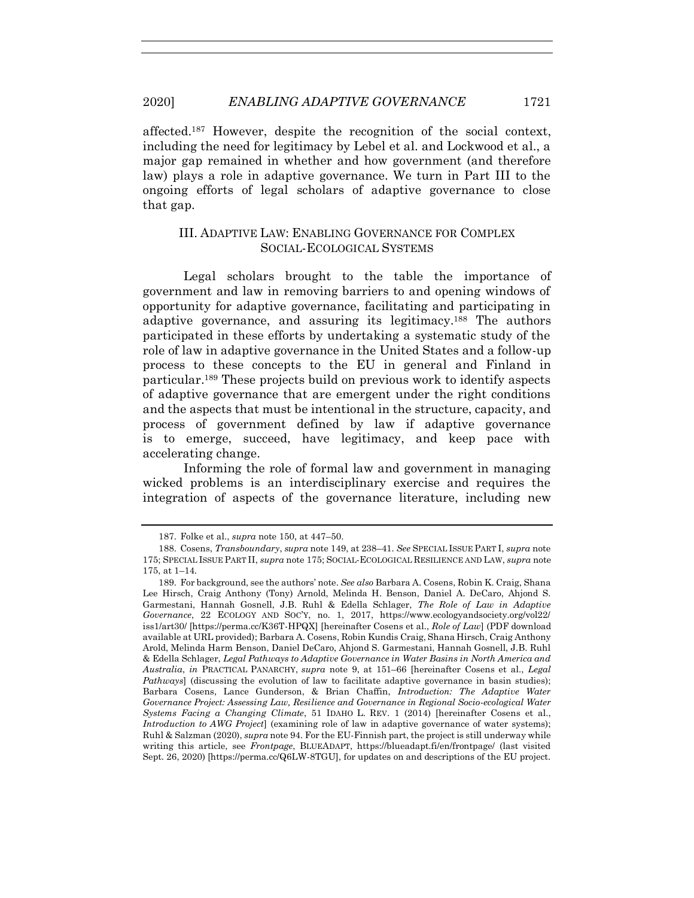2020] *ENABLING ADAPTIVE GOVERNANCE* 1721

affected. <sup>187</sup> However, despite the recognition of the social context, including the need for legitimacy by Lebel et al. and Lockwood et al., a major gap remained in whether and how government (and therefore law) plays a role in adaptive governance. We turn in Part III to the ongoing efforts of legal scholars of adaptive governance to close that gap.

# III. ADAPTIVE LAW: ENABLING GOVERNANCE FOR COMPLEX SOCIAL-ECOLOGICAL SYSTEMS

Legal scholars brought to the table the importance of government and law in removing barriers to and opening windows of opportunity for adaptive governance, facilitating and participating in adaptive governance, and assuring its legitimacy.<sup>188</sup> The authors participated in these efforts by undertaking a systematic study of the role of law in adaptive governance in the United States and a follow-up process to these concepts to the EU in general and Finland in particular.<sup>189</sup> These projects build on previous work to identify aspects of adaptive governance that are emergent under the right conditions and the aspects that must be intentional in the structure, capacity, and process of government defined by law if adaptive governance is to emerge, succeed, have legitimacy, and keep pace with accelerating change.

<span id="page-34-0"></span>Informing the role of formal law and government in managing wicked problems is an interdisciplinary exercise and requires the integration of aspects of the governance literature, including new

<sup>187.</sup> Folke et al., *supra* not[e 150,](#page-28-1) at 447–50.

<sup>188.</sup> Cosens, *Transboundary*, *supra* not[e 149,](#page-28-4) at 238–41. *See* SPECIAL ISSUE PART I, *supra* note [175;](#page-31-0) SPECIAL ISSUE PART II, *supra* not[e 175;](#page-31-0) SOCIAL-ECOLOGICAL RESILIENCE AND LAW, *supra* note [175,](#page-31-0) at 1–14.

<sup>189.</sup> For background, see the authors' note. *See also* Barbara A. Cosens, Robin K. Craig, Shana Lee Hirsch, Craig Anthony (Tony) Arnold, Melinda H. Benson, Daniel A. DeCaro, Ahjond S. Garmestani, Hannah Gosnell, J.B. Ruhl & Edella Schlager, *The Role of Law in Adaptive Governance*, 22 ECOLOGY AND SOC'Y, no. 1, 2017, https://www.ecologyandsociety.org/vol22/ iss1/art30/ [https://perma.cc/K36T-HPQX] [hereinafter Cosens et al., *Role of Law*] (PDF download available at URL provided); Barbara A. Cosens, Robin Kundis Craig, Shana Hirsch, Craig Anthony Arold, Melinda Harm Benson, Daniel DeCaro, Ahjond S. Garmestani, Hannah Gosnell, J.B. Ruhl & Edella Schlager, *Legal Pathways to Adaptive Governance in Water Basins in North America and Australia*, *in* PRACTICAL PANARCHY, *supra* note [9,](#page-3-1) at 151–66 [hereinafter Cosens et al., *Legal Pathways*] (discussing the evolution of law to facilitate adaptive governance in basin studies); Barbara Cosens, Lance Gunderson, & Brian Chaffin, *Introduction: The Adaptive Water Governance Project: Assessing Law, Resilience and Governance in Regional Socio-ecological Water Systems Facing a Changing Climate*, 51 IDAHO L. REV. 1 (2014) [hereinafter Cosens et al., *Introduction to AWG Project*] (examining role of law in adaptive governance of water systems); Ruhl & Salzman (2020), *supra* not[e 94.](#page-20-0) For the EU-Finnish part, the project is still underway while writing this article, see *Frontpage*, BLUEADAPT, https://blueadapt.fi/en/frontpage/ (last visited Sept. 26, 2020) [https://perma.cc/Q6LW-8TGU], for updates on and descriptions of the EU project.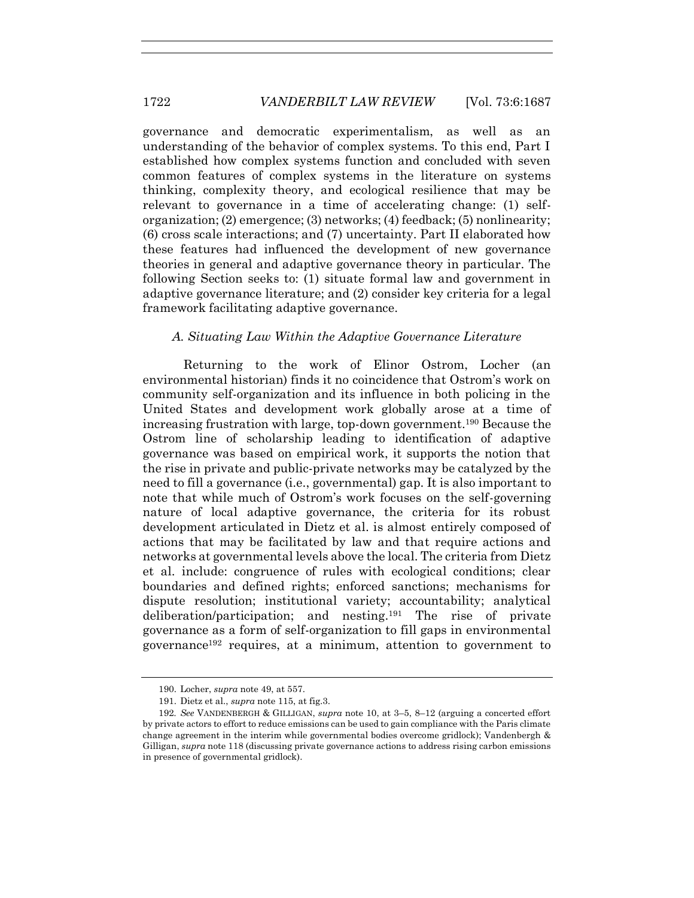governance and democratic experimentalism, as well as an understanding of the behavior of complex systems. To this end, Part I established how complex systems function and concluded with seven common features of complex systems in the literature on systems thinking, complexity theory, and ecological resilience that may be relevant to governance in a time of accelerating change: (1) selforganization; (2) emergence; (3) networks; (4) feedback; (5) nonlinearity; (6) cross scale interactions; and (7) uncertainty. Part II elaborated how these features had influenced the development of new governance theories in general and adaptive governance theory in particular. The following Section seeks to: (1) situate formal law and government in adaptive governance literature; and (2) consider key criteria for a legal framework facilitating adaptive governance.

### *A. Situating Law Within the Adaptive Governance Literature*

Returning to the work of Elinor Ostrom, Locher (an environmental historian) finds it no coincidence that Ostrom's work on community self-organization and its influence in both policing in the United States and development work globally arose at a time of increasing frustration with large, top-down government.<sup>190</sup> Because the Ostrom line of scholarship leading to identification of adaptive governance was based on empirical work, it supports the notion that the rise in private and public-private networks may be catalyzed by the need to fill a governance (i.e., governmental) gap. It is also important to note that while much of Ostrom's work focuses on the self-governing nature of local adaptive governance, the criteria for its robust development articulated in Dietz et al. is almost entirely composed of actions that may be facilitated by law and that require actions and networks at governmental levels above the local. The criteria from Dietz et al. include: congruence of rules with ecological conditions; clear boundaries and defined rights; enforced sanctions; mechanisms for dispute resolution; institutional variety; accountability; analytical deliberation/participation; and nesting.<sup>191</sup> The rise of private governance as a form of self-organization to fill gaps in environmental governance<sup>192</sup> requires, at a minimum, attention to government to

<sup>190.</sup> Locher, *supra* not[e 49,](#page-12-1) at 557.

<sup>191.</sup> Dietz et al., *supra* not[e 115,](#page-22-0) at fig.3.

<sup>192</sup>*. See* VANDENBERGH & GILLIGAN, *supra* note [10,](#page-5-2) at 3–5, 8–12 (arguing a concerted effort by private actors to effort to reduce emissions can be used to gain compliance with the Paris climate change agreement in the interim while governmental bodies overcome gridlock); Vandenbergh & Gilligan, *supra* not[e 118](#page-23-0) (discussing private governance actions to address rising carbon emissions in presence of governmental gridlock).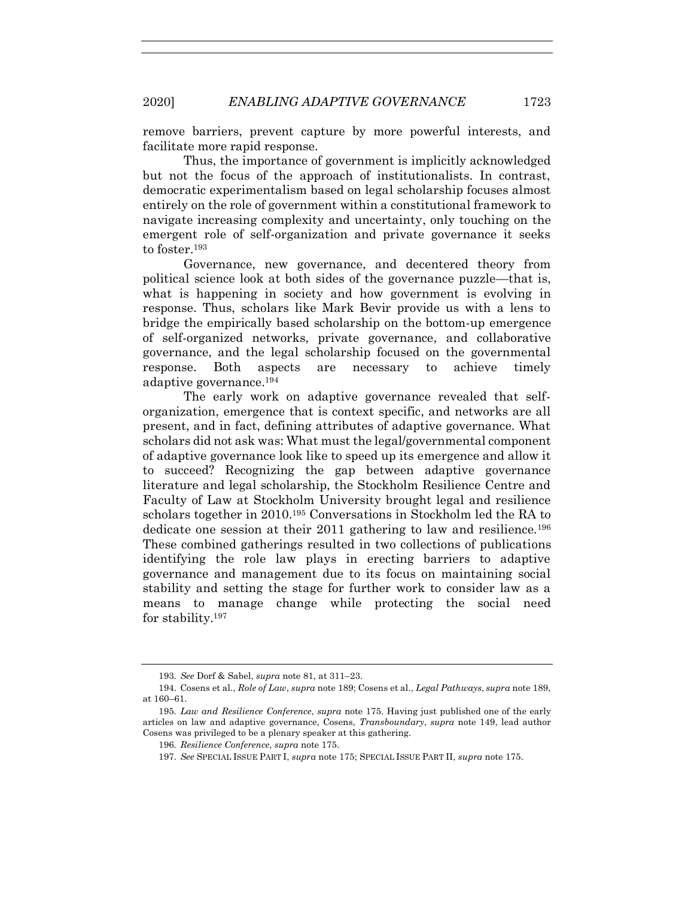remove barriers, prevent capture by more powerful interests, and facilitate more rapid response.

Thus, the importance of government is implicitly acknowledged but not the focus of the approach of institutionalists. In contrast, democratic experimentalism based on legal scholarship focuses almost entirely on the role of government within a constitutional framework to navigate increasing complexity and uncertainty, only touching on the emergent role of self-organization and private governance it seeks to foster.<sup>193</sup>

Governance, new governance, and decentered theory from political science look at both sides of the governance puzzle—that is, what is happening in society and how government is evolving in response. Thus, scholars like Mark Bevir provide us with a lens to bridge the empirically based scholarship on the bottom-up emergence of self-organized networks, private governance, and collaborative governance, and the legal scholarship focused on the governmental response. Both aspects are necessary to achieve timely adaptive governance.<sup>194</sup>

The early work on adaptive governance revealed that selforganization, emergence that is context specific, and networks are all present, and in fact, defining attributes of adaptive governance. What scholars did not ask was: What must the legal/governmental component of adaptive governance look like to speed up its emergence and allow it to succeed? Recognizing the gap between adaptive governance literature and legal scholarship, the Stockholm Resilience Centre and Faculty of Law at Stockholm University brought legal and resilience scholars together in 2010.<sup>195</sup> Conversations in Stockholm led the RA to dedicate one session at their 2011 gathering to law and resilience.<sup>196</sup> These combined gatherings resulted in two collections of publications identifying the role law plays in erecting barriers to adaptive governance and management due to its focus on maintaining social stability and setting the stage for further work to consider law as a means to manage change while protecting the social need for stability.<sup>197</sup>

<sup>193</sup>*. See* Dorf & Sabel, *supra* not[e 81,](#page-19-0) at 311–23.

<sup>194.</sup> Cosens et al., *Role of Law*, *supra* not[e 189;](#page-34-0) Cosens et al., *Legal Pathways*, *supra* not[e 189,](#page-34-0) at 160–61.

<sup>195</sup>*. Law and Resilience Conference*, *supra* not[e 175.](#page-31-0) Having just published one of the early articles on law and adaptive governance, Cosens, *Transboundary*, *supra* note [149,](#page-28-4) lead author Cosens was privileged to be a plenary speaker at this gathering.

<sup>196</sup>*. Resilience Conference*, *supra* note [175.](#page-31-0)

<sup>197.</sup> *See* SPECIAL ISSUE PART I, *supra* not[e 175;](#page-31-0) SPECIAL ISSUE PART II, *supra* note [175.](#page-31-0)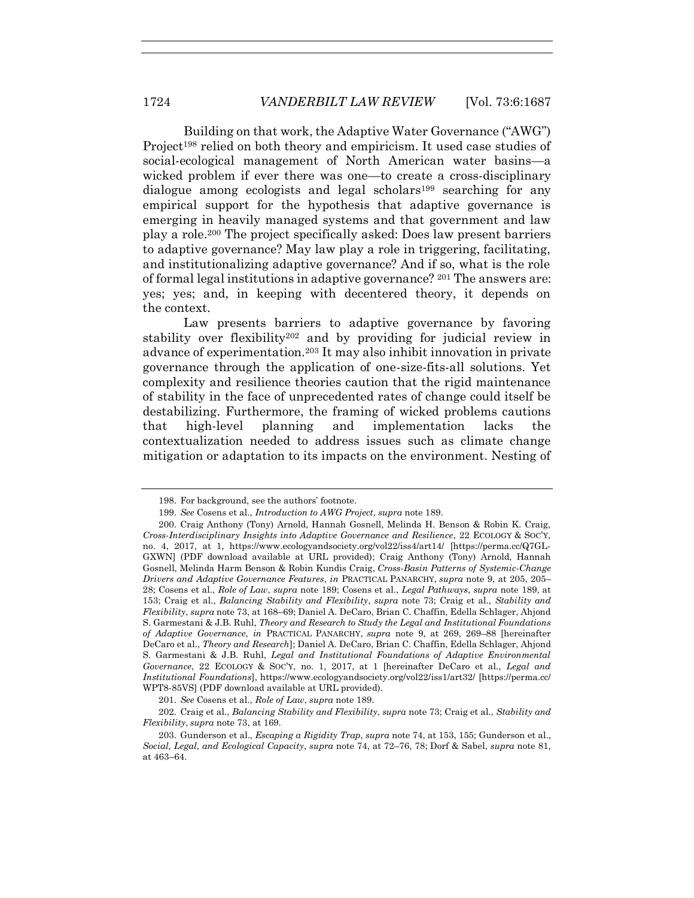Building on that work, the Adaptive Water Governance ("AWG") Project<sup>198</sup> relied on both theory and empiricism. It used case studies of social-ecological management of North American water basins—a wicked problem if ever there was one—to create a cross-disciplinary dialogue among ecologists and legal scholars<sup>199</sup> searching for any empirical support for the hypothesis that adaptive governance is emerging in heavily managed systems and that government and law play a role.<sup>200</sup> The project specifically asked: Does law present barriers to adaptive governance? May law play a role in triggering, facilitating, and institutionalizing adaptive governance? And if so, what is the role of formal legal institutions in adaptive governance?  $2^{01}$  The answers are: yes; yes; and, in keeping with decentered theory, it depends on the context.

<span id="page-37-0"></span>Law presents barriers to adaptive governance by favoring stability over flexibility<sup>202</sup> and by providing for judicial review in advance of experimentation.<sup>203</sup> It may also inhibit innovation in private governance through the application of one-size-fits-all solutions. Yet complexity and resilience theories caution that the rigid maintenance of stability in the face of unprecedented rates of change could itself be destabilizing. Furthermore, the framing of wicked problems cautions that high-level planning and implementation lacks the contextualization needed to address issues such as climate change mitigation or adaptation to its impacts on the environment. Nesting of

<sup>198.</sup> For background, see the authors' footnote.

<sup>199.</sup> *See* Cosens et al., *Introduction to AWG Project*, *supra* not[e 189.](#page-34-0)

<sup>200.</sup> Craig Anthony (Tony) Arnold, Hannah Gosnell, Melinda H. Benson & Robin K. Craig, *Cross-Interdisciplinary Insights into Adaptive Governance and Resilience*, 22 ECOLOGY & SOC'Y, no. 4, 2017, at 1, https://www.ecologyandsociety.org/vol22/iss4/art14/ [https://perma.cc/Q7GL-GXWN] (PDF download available at URL provided); Craig Anthony (Tony) Arnold, Hannah Gosnell, Melinda Harm Benson & Robin Kundis Craig, *Cross-Basin Patterns of Systemic-Change Drivers and Adaptive Governance Features*, *in* PRACTICAL PANARCHY, *supra* note [9,](#page-3-1) at 205, 205– 28; Cosens et al., *Role of Law*, *supra* not[e 189;](#page-34-0) Cosens et al., *Legal Pathways*, *supra* note [189,](#page-34-0) at 153; Craig et al., *Balancing Stability and Flexibility*, *supra* note [73;](#page-17-1) Craig et al., *Stability and Flexibility*, *supra* not[e 73,](#page-17-1) at 168–69; Daniel A. DeCaro, Brian C. Chaffin, Edella Schlager, Ahjond S. Garmestani & J.B. Ruhl, *Theory and Research to Study the Legal and Institutional Foundations of Adaptive Governance*, *in* PRACTICAL PANARCHY, *supra* note [9,](#page-3-1) at 269, 269–88 [hereinafter DeCaro et al., *Theory and Research*]; Daniel A. DeCaro, Brian C. Chaffin, Edella Schlager, Ahjond S. Garmestani & J.B. Ruhl, *Legal and Institutional Foundations of Adaptive Environmental Governance*, 22 ECOLOGY & SOC'Y, no. 1, 2017, at 1 [hereinafter DeCaro et al., *Legal and Institutional Foundations*], https://www.ecologyandsociety.org/vol22/iss1/art32/ [https://perma.cc/ WPT8-85VS] (PDF download available at URL provided).

<sup>201.</sup> *See* Cosens et al., *Role of Law*, *supra* not[e 189.](#page-34-0)

<sup>202.</sup> Craig et al., *Balancing Stability and Flexibility*, *supra* not[e 73;](#page-17-1) Craig et al., *Stability and Flexibility*, *supra* not[e 73,](#page-17-1) at 169.

<sup>203.</sup> Gunderson et al., *Escaping a Rigidity Trap*, *supra* note [74,](#page-17-0) at 153, 155; Gunderson et al., *Social, Legal, and Ecological Capacity*, *supra* note [74,](#page-17-0) at 72–76, 78; Dorf & Sabel, *supra* note [81,](#page-19-0) at 463–64.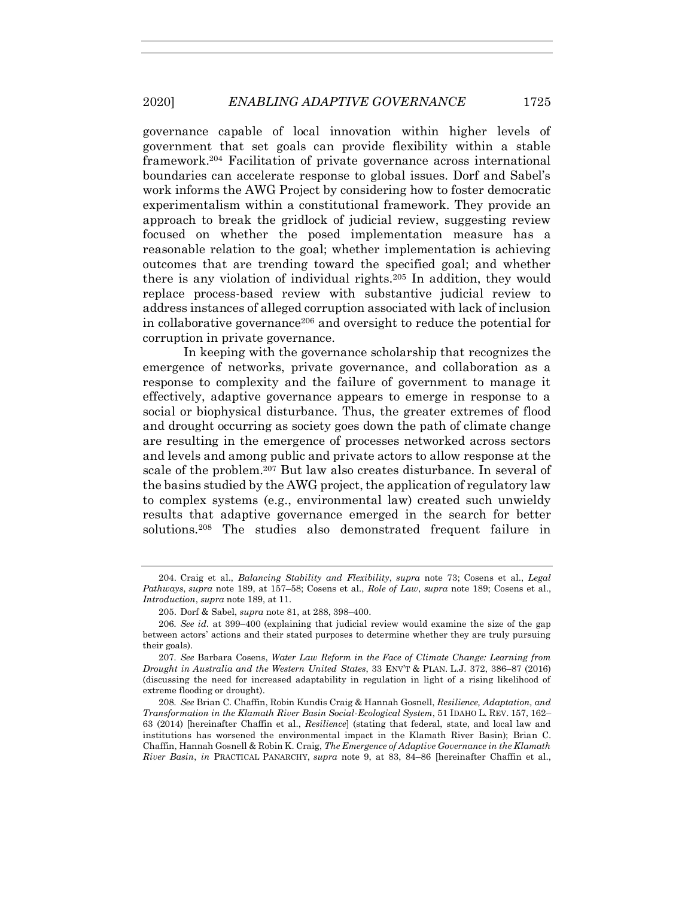governance capable of local innovation within higher levels of government that set goals can provide flexibility within a stable framework.<sup>204</sup> Facilitation of private governance across international boundaries can accelerate response to global issues. Dorf and Sabel's work informs the AWG Project by considering how to foster democratic experimentalism within a constitutional framework. They provide an approach to break the gridlock of judicial review, suggesting review focused on whether the posed implementation measure has a reasonable relation to the goal; whether implementation is achieving outcomes that are trending toward the specified goal; and whether there is any violation of individual rights.<sup>205</sup> In addition, they would replace process-based review with substantive judicial review to address instances of alleged corruption associated with lack of inclusion in collaborative governance<sup>206</sup> and oversight to reduce the potential for corruption in private governance.

In keeping with the governance scholarship that recognizes the emergence of networks, private governance, and collaboration as a response to complexity and the failure of government to manage it effectively, adaptive governance appears to emerge in response to a social or biophysical disturbance. Thus, the greater extremes of flood and drought occurring as society goes down the path of climate change are resulting in the emergence of processes networked across sectors and levels and among public and private actors to allow response at the scale of the problem.<sup>207</sup> But law also creates disturbance. In several of the basins studied by the AWG project, the application of regulatory law to complex systems (e.g., environmental law) created such unwieldy results that adaptive governance emerged in the search for better solutions.<sup>208</sup> The studies also demonstrated frequent failure in

<span id="page-38-0"></span><sup>204.</sup> Craig et al., *Balancing Stability and Flexibility*, *supra* note [73;](#page-17-1) Cosens et al., *Legal Pathways*, *supra* note [189,](#page-34-0) at 157–58; Cosens et al., *Role of Law*, *supra* note [189;](#page-34-0) Cosens et al., *Introduction*, *supra* not[e 189,](#page-34-0) at 11.

<sup>205.</sup> Dorf & Sabel, *supra* note [81,](#page-19-0) at 288, 398–400.

<sup>206</sup>*. See id.* at 399–400 (explaining that judicial review would examine the size of the gap between actors' actions and their stated purposes to determine whether they are truly pursuing their goals).

<sup>207</sup>*. See* Barbara Cosens, *Water Law Reform in the Face of Climate Change: Learning from Drought in Australia and the Western United States*, 33 ENV'T & PLAN. L.J. 372, 386–87 (2016) (discussing the need for increased adaptability in regulation in light of a rising likelihood of extreme flooding or drought).

<sup>208</sup>*. See* Brian C. Chaffin, Robin Kundis Craig & Hannah Gosnell, *Resilience, Adaptation, and Transformation in the Klamath River Basin Social-Ecological System*, 51 IDAHO L. REV. 157, 162– 63 (2014) [hereinafter Chaffin et al., *Resilience*] (stating that federal, state, and local law and institutions has worsened the environmental impact in the Klamath River Basin); Brian C. Chaffin, Hannah Gosnell & Robin K. Craig, *The Emergence of Adaptive Governance in the Klamath River Basin*, *in* PRACTICAL PANARCHY, *supra* note [9,](#page-3-1) at 83, 84–86 [hereinafter Chaffin et al.,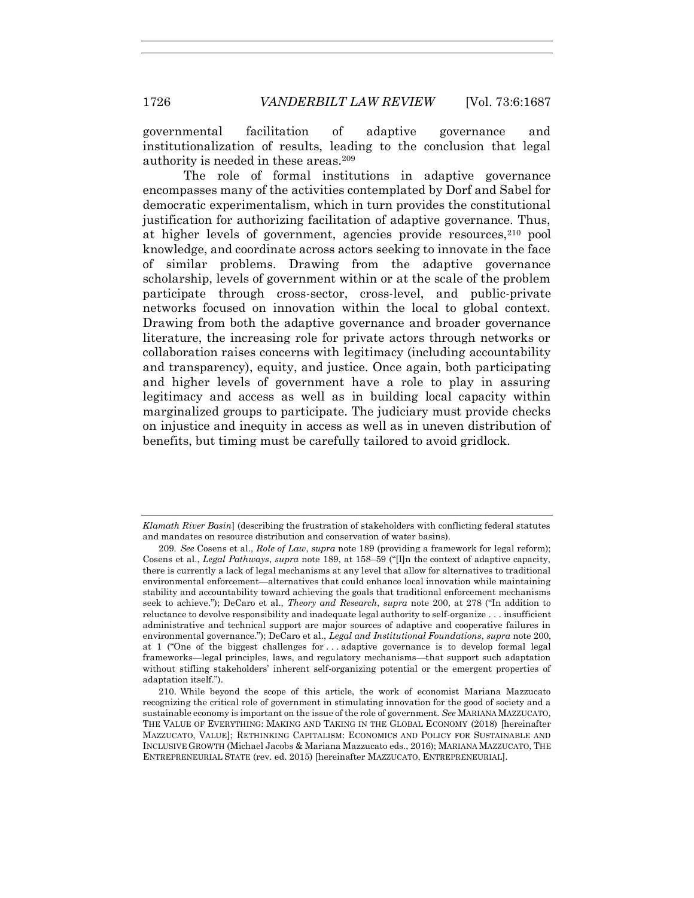governmental facilitation of adaptive governance and institutionalization of results, leading to the conclusion that legal authority is needed in these areas.<sup>209</sup>

<span id="page-39-0"></span>The role of formal institutions in adaptive governance encompasses many of the activities contemplated by Dorf and Sabel for democratic experimentalism, which in turn provides the constitutional justification for authorizing facilitation of adaptive governance. Thus, at higher levels of government, agencies provide resources,<sup>210</sup> pool knowledge, and coordinate across actors seeking to innovate in the face of similar problems. Drawing from the adaptive governance scholarship, levels of government within or at the scale of the problem participate through cross-sector, cross-level, and public-private networks focused on innovation within the local to global context. Drawing from both the adaptive governance and broader governance literature, the increasing role for private actors through networks or collaboration raises concerns with legitimacy (including accountability and transparency), equity, and justice. Once again, both participating and higher levels of government have a role to play in assuring legitimacy and access as well as in building local capacity within marginalized groups to participate. The judiciary must provide checks on injustice and inequity in access as well as in uneven distribution of benefits, but timing must be carefully tailored to avoid gridlock.

*Klamath River Basin*] (describing the frustration of stakeholders with conflicting federal statutes and mandates on resource distribution and conservation of water basins).

<sup>209</sup>*. See* Cosens et al., *Role of Law*, *supra* note [189](#page-34-0) (providing a framework for legal reform); Cosens et al., *Legal Pathways*, *supra* note [189,](#page-34-0) at 158–59 ("[I]n the context of adaptive capacity, there is currently a lack of legal mechanisms at any level that allow for alternatives to traditional environmental enforcement—alternatives that could enhance local innovation while maintaining stability and accountability toward achieving the goals that traditional enforcement mechanisms seek to achieve."); DeCaro et al., *Theory and Research*, *supra* note [200,](#page-37-0) at 278 ("In addition to reluctance to devolve responsibility and inadequate legal authority to self-organize . . . insufficient administrative and technical support are major sources of adaptive and cooperative failures in environmental governance."); DeCaro et al., *Legal and Institutional Foundations*, *supra* not[e 200,](#page-37-0) at 1 ("One of the biggest challenges for ... adaptive governance is to develop formal legal frameworks—legal principles, laws, and regulatory mechanisms—that support such adaptation without stifling stakeholders' inherent self-organizing potential or the emergent properties of adaptation itself.").

<sup>210.</sup> While beyond the scope of this article, the work of economist Mariana Mazzucato recognizing the critical role of government in stimulating innovation for the good of society and a sustainable economy is important on the issue of the role of government. *See* MARIANA MAZZUCATO, THE VALUE OF EVERYTHING: MAKING AND TAKING IN THE GLOBAL ECONOMY (2018) [hereinafter MAZZUCATO, VALUE]; RETHINKING CAPITALISM: ECONOMICS AND POLICY FOR SUSTAINABLE AND INCLUSIVE GROWTH (Michael Jacobs & Mariana Mazzucato eds., 2016); MARIANA MAZZUCATO, THE ENTREPRENEURIAL STATE (rev. ed. 2015) [hereinafter MAZZUCATO, ENTREPRENEURIAL].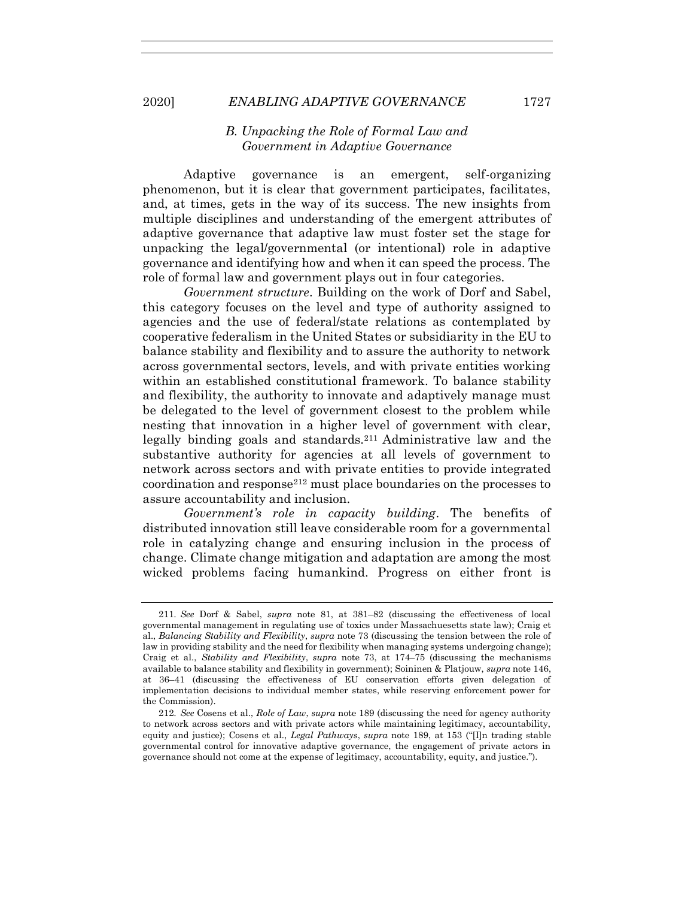### *B. Unpacking the Role of Formal Law and Government in Adaptive Governance*

Adaptive governance is an emergent, self-organizing phenomenon, but it is clear that government participates, facilitates, and, at times, gets in the way of its success. The new insights from multiple disciplines and understanding of the emergent attributes of adaptive governance that adaptive law must foster set the stage for unpacking the legal/governmental (or intentional) role in adaptive governance and identifying how and when it can speed the process. The role of formal law and government plays out in four categories.

*Government structure*. Building on the work of Dorf and Sabel, this category focuses on the level and type of authority assigned to agencies and the use of federal/state relations as contemplated by cooperative federalism in the United States or subsidiarity in the EU to balance stability and flexibility and to assure the authority to network across governmental sectors, levels, and with private entities working within an established constitutional framework. To balance stability and flexibility, the authority to innovate and adaptively manage must be delegated to the level of government closest to the problem while nesting that innovation in a higher level of government with clear, legally binding goals and standards.<sup>211</sup> Administrative law and the substantive authority for agencies at all levels of government to network across sectors and with private entities to provide integrated coordination and response<sup>212</sup> must place boundaries on the processes to assure accountability and inclusion.

*Government's role in capacity building*. The benefits of distributed innovation still leave considerable room for a governmental role in catalyzing change and ensuring inclusion in the process of change. Climate change mitigation and adaptation are among the most wicked problems facing humankind. Progress on either front is

<sup>211</sup>*. See* Dorf & Sabel, *supra* note [81,](#page-19-0) at 381–82 (discussing the effectiveness of local governmental management in regulating use of toxics under Massachuesetts state law); Craig et al., *Balancing Stability and Flexibility*, *supra* note [73](#page-17-1) (discussing the tension between the role of law in providing stability and the need for flexibility when managing systems undergoing change); Craig et al., *Stability and Flexibility*, *supra* note [73,](#page-17-1) at 174–75 (discussing the mechanisms available to balance stability and flexibility in government); Soininen & Platjouw, *supra* not[e 146,](#page-27-0) at 36–41 (discussing the effectiveness of EU conservation efforts given delegation of implementation decisions to individual member states, while reserving enforcement power for the Commission).

<sup>212</sup>*. See* Cosens et al., *Role of Law*, *supra* not[e 189](#page-34-0) (discussing the need for agency authority to network across sectors and with private actors while maintaining legitimacy, accountability, equity and justice); Cosens et al., *Legal Pathways*, *supra* note [189,](#page-34-0) at 153 ("[I]n trading stable governmental control for innovative adaptive governance, the engagement of private actors in governance should not come at the expense of legitimacy, accountability, equity, and justice.").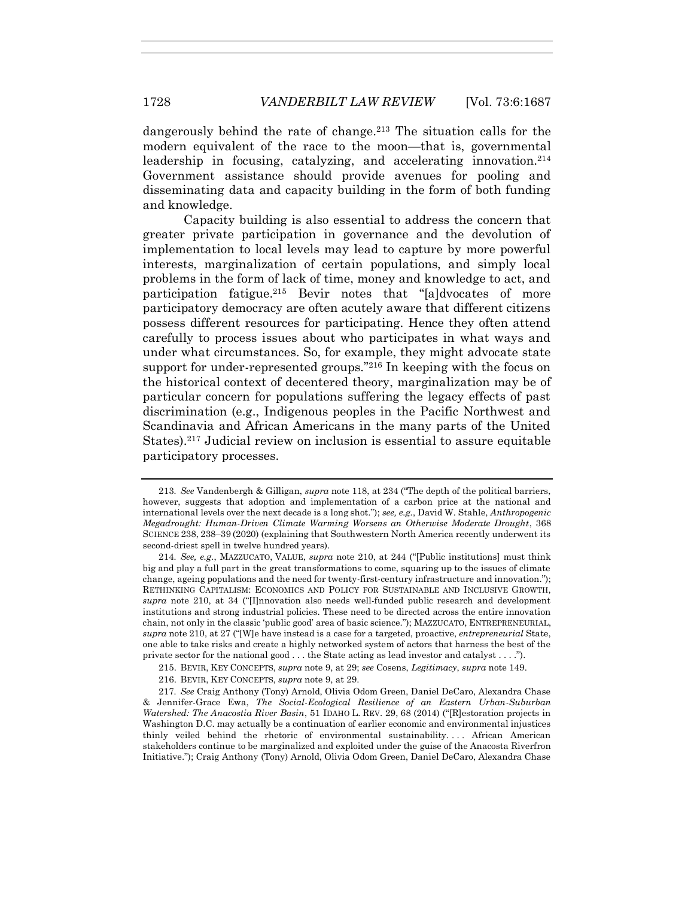dangerously behind the rate of change.<sup>213</sup> The situation calls for the modern equivalent of the race to the moon—that is, governmental leadership in focusing, catalyzing, and accelerating innovation.<sup>214</sup> Government assistance should provide avenues for pooling and disseminating data and capacity building in the form of both funding and knowledge.

Capacity building is also essential to address the concern that greater private participation in governance and the devolution of implementation to local levels may lead to capture by more powerful interests, marginalization of certain populations, and simply local problems in the form of lack of time, money and knowledge to act, and participation fatigue.<sup>215</sup> Bevir notes that "[a]dvocates of more participatory democracy are often acutely aware that different citizens possess different resources for participating. Hence they often attend carefully to process issues about who participates in what ways and under what circumstances. So, for example, they might advocate state support for under-represented groups."<sup>216</sup> In keeping with the focus on the historical context of decentered theory, marginalization may be of particular concern for populations suffering the legacy effects of past discrimination (e.g., Indigenous peoples in the Pacific Northwest and Scandinavia and African Americans in the many parts of the United States).<sup>217</sup> Judicial review on inclusion is essential to assure equitable participatory processes.

<sup>213</sup>*. See* Vandenbergh & Gilligan, *supra* not[e 118,](#page-23-0) at 234 ("The depth of the political barriers, however, suggests that adoption and implementation of a carbon price at the national and international levels over the next decade is a long shot."); *see, e.g.*, David W. Stahle, *Anthropogenic Megadrought: Human-Driven Climate Warming Worsens an Otherwise Moderate Drought*, 368 SCIENCE 238, 238–39 (2020) (explaining that Southwestern North America recently underwent its second-driest spell in twelve hundred years).

<sup>214</sup>*. See, e.g.*, MAZZUCATO, VALUE, *supra* note [210,](#page-39-0) at 244 ("[Public institutions] must think big and play a full part in the great transformations to come, squaring up to the issues of climate change, ageing populations and the need for twenty-first-century infrastructure and innovation."); RETHINKING CAPITALISM: ECONOMICS AND POLICY FOR SUSTAINABLE AND INCLUSIVE GROWTH, *supra* note [210,](#page-39-0) at 34 ("[I]nnovation also needs well-funded public research and development institutions and strong industrial policies. These need to be directed across the entire innovation chain, not only in the classic 'public good' area of basic science."); MAZZUCATO, ENTREPRENEURIAL, *supra* not[e 210,](#page-39-0) at 27 ("[W]e have instead is a case for a targeted, proactive, *entrepreneurial* State, one able to take risks and create a highly networked system of actors that harness the best of the private sector for the national good . . . the State acting as lead investor and catalyst . . . .").

<sup>215.</sup> BEVIR, KEY CONCEPTS, *supra* note [9,](#page-3-1) at 29; *see* Cosens, *Legitimacy*, *supra* not[e 149.](#page-28-4)

<sup>216.</sup> BEVIR, KEY CONCEPTS, *supra* note [9,](#page-3-1) at 29.

<sup>217</sup>*. See* Craig Anthony (Tony) Arnold, Olivia Odom Green, Daniel DeCaro, Alexandra Chase & Jennifer-Grace Ewa, *The Social-Ecological Resilience of an Eastern Urban-Suburban Watershed: The Anacostia River Basin*, 51 IDAHO L. REV. 29, 68 (2014) ("[R]estoration projects in Washington D.C. may actually be a continuation of earlier economic and environmental injustices thinly veiled behind the rhetoric of environmental sustainability. . . . African American stakeholders continue to be marginalized and exploited under the guise of the Anacosta Riverfron Initiative."); Craig Anthony (Tony) Arnold, Olivia Odom Green, Daniel DeCaro, Alexandra Chase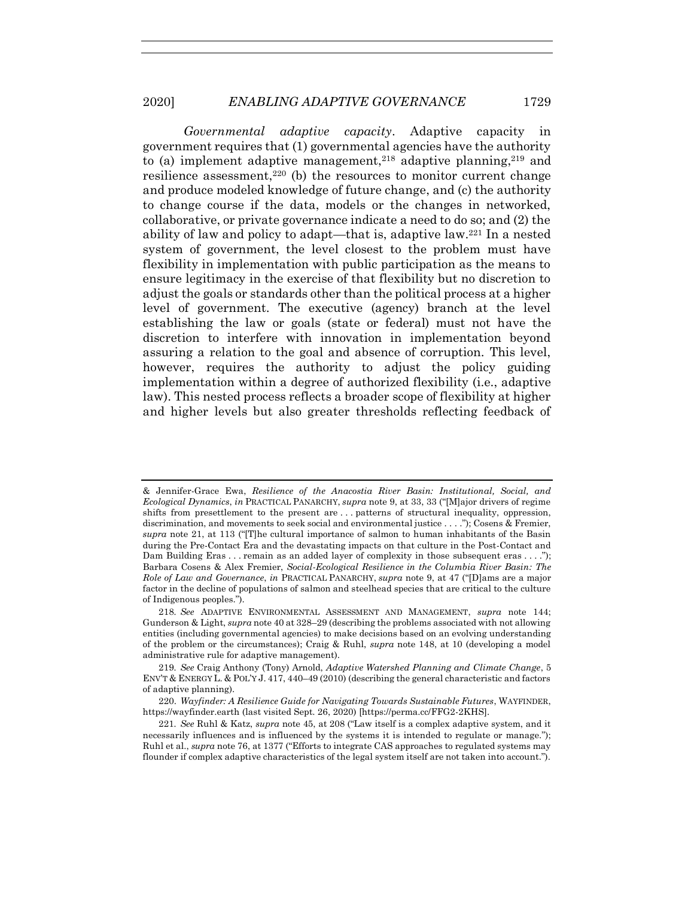*Governmental adaptive capacity*. Adaptive capacity in government requires that (1) governmental agencies have the authority to (a) implement adaptive management,<sup>218</sup> adaptive planning,<sup>219</sup> and resilience assessment, <sup>220</sup> (b) the resources to monitor current change and produce modeled knowledge of future change, and (c) the authority to change course if the data, models or the changes in networked, collaborative, or private governance indicate a need to do so; and (2) the ability of law and policy to adapt—that is, adaptive law.<sup>221</sup> In a nested system of government, the level closest to the problem must have flexibility in implementation with public participation as the means to ensure legitimacy in the exercise of that flexibility but no discretion to adjust the goals or standards other than the political process at a higher level of government. The executive (agency) branch at the level establishing the law or goals (state or federal) must not have the discretion to interfere with innovation in implementation beyond assuring a relation to the goal and absence of corruption. This level, however, requires the authority to adjust the policy guiding implementation within a degree of authorized flexibility (i.e., adaptive law). This nested process reflects a broader scope of flexibility at higher and higher levels but also greater thresholds reflecting feedback of

<sup>&</sup>amp; Jennifer-Grace Ewa, *Resilience of the Anacostia River Basin: Institutional, Social, and Ecological Dynamics*, *in* PRACTICAL PANARCHY, *supra* note [9,](#page-3-1) at 33, 33 ("[M]ajor drivers of regime shifts from presettlement to the present are . . . patterns of structural inequality, oppression, discrimination, and movements to seek social and environmental justice . . . ."); Cosens & Fremier, *supra* note [21,](#page-7-3) at 113 ("[T]he cultural importance of salmon to human inhabitants of the Basin during the Pre-Contact Era and the devastating impacts on that culture in the Post-Contact and Dam Building Eras . . . remain as an added layer of complexity in those subsequent eras . . . ."); Barbara Cosens & Alex Fremier, *Social-Ecological Resilience in the Columbia River Basin: The Role of Law and Governance*, *in* PRACTICAL PANARCHY, *supra* note [9,](#page-3-1) at 47 ("[D]ams are a major factor in the decline of populations of salmon and steelhead species that are critical to the culture of Indigenous peoples.").

<sup>218</sup>*. See* ADAPTIVE ENVIRONMENTAL ASSESSMENT AND MANAGEMENT, *supra* note [144;](#page-27-1) Gunderson & Light, *supra* note [40](#page-11-0) at 328–29 (describing the problems associated with not allowing entities (including governmental agencies) to make decisions based on an evolving understanding of the problem or the circumstances); Craig & Ruhl, *supra* note [148,](#page-28-2) at 10 (developing a model administrative rule for adaptive management).

<sup>219</sup>*. See* Craig Anthony (Tony) Arnold, *Adaptive Watershed Planning and Climate Change*, 5 ENV'T & ENERGY L. & POL'Y J. 417, 440–49 (2010) (describing the general characteristic and factors of adaptive planning).

<sup>220.</sup> *Wayfinder: A Resilience Guide for Navigating Towards Sustainable Futures*, WAYFINDER, https://wayfinder.earth (last visited Sept. 26, 2020) [https://perma.cc/FFG2-2KHS].

<sup>221</sup>*. See* Ruhl & Katz, *supra* not[e 45,](#page-12-0) at 208 ("Law itself is a complex adaptive system, and it necessarily influences and is influenced by the systems it is intended to regulate or manage."); Ruhl et al., *supra* not[e 76,](#page-17-2) at 1377 ("Efforts to integrate CAS approaches to regulated systems may flounder if complex adaptive characteristics of the legal system itself are not taken into account.").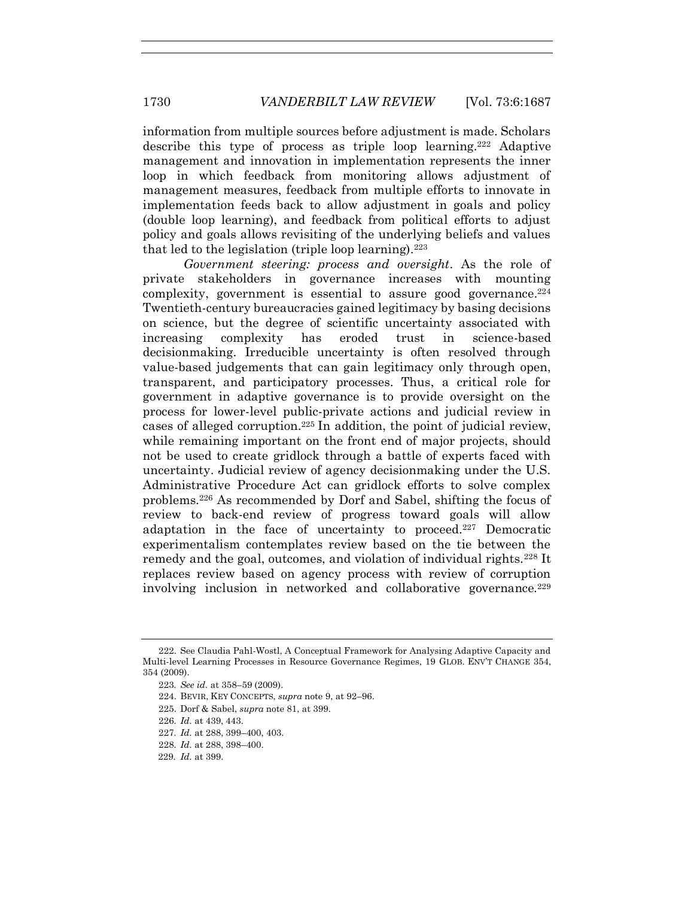information from multiple sources before adjustment is made. Scholars describe this type of process as triple loop learning.<sup>222</sup> Adaptive management and innovation in implementation represents the inner loop in which feedback from monitoring allows adjustment of management measures, feedback from multiple efforts to innovate in implementation feeds back to allow adjustment in goals and policy (double loop learning), and feedback from political efforts to adjust policy and goals allows revisiting of the underlying beliefs and values that led to the legislation (triple loop learning).<sup>223</sup>

*Government steering: process and oversight*. As the role of private stakeholders in governance increases with mounting complexity, government is essential to assure good governance. $2^{24}$ Twentieth-century bureaucracies gained legitimacy by basing decisions on science, but the degree of scientific uncertainty associated with increasing complexity has eroded trust in science-based decisionmaking. Irreducible uncertainty is often resolved through value-based judgements that can gain legitimacy only through open, transparent, and participatory processes. Thus, a critical role for government in adaptive governance is to provide oversight on the process for lower-level public-private actions and judicial review in cases of alleged corruption.<sup>225</sup> In addition, the point of judicial review, while remaining important on the front end of major projects, should not be used to create gridlock through a battle of experts faced with uncertainty. Judicial review of agency decisionmaking under the U.S. Administrative Procedure Act can gridlock efforts to solve complex problems.<sup>226</sup> As recommended by Dorf and Sabel, shifting the focus of review to back-end review of progress toward goals will allow adaptation in the face of uncertainty to proceed.<sup>227</sup> Democratic experimentalism contemplates review based on the tie between the remedy and the goal, outcomes, and violation of individual rights.<sup>228</sup> It replaces review based on agency process with review of corruption involving inclusion in networked and collaborative governance.<sup>229</sup>

<sup>222.</sup> See Claudia Pahl-Wostl, A Conceptual Framework for Analysing Adaptive Capacity and Multi-level Learning Processes in Resource Governance Regimes, 19 GLOB. ENV'T CHANGE 354, 354 (2009).

<sup>223</sup>*. See id.* at 358–59 (2009).

<sup>224.</sup> BEVIR, KEY CONCEPTS, *supra* note [9,](#page-3-1) at 92–96.

<sup>225.</sup> Dorf & Sabel, *supra* note [81,](#page-19-0) at 399.

<sup>226</sup>*. Id.* at 439, 443.

<sup>227</sup>*. Id.* at 288, 399–400, 403.

<sup>228</sup>*. Id.* at 288, 398–400.

<sup>229</sup>*. Id.* at 399.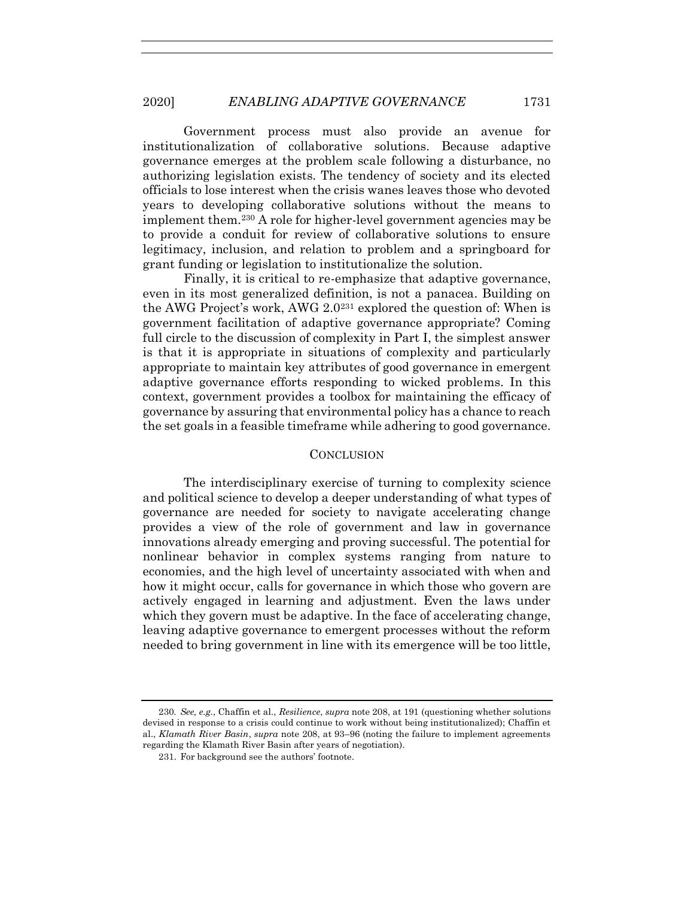Government process must also provide an avenue for institutionalization of collaborative solutions. Because adaptive governance emerges at the problem scale following a disturbance, no authorizing legislation exists. The tendency of society and its elected officials to lose interest when the crisis wanes leaves those who devoted years to developing collaborative solutions without the means to implement them.<sup>230</sup> A role for higher-level government agencies may be to provide a conduit for review of collaborative solutions to ensure legitimacy, inclusion, and relation to problem and a springboard for grant funding or legislation to institutionalize the solution.

Finally, it is critical to re-emphasize that adaptive governance, even in its most generalized definition, is not a panacea. Building on the AWG Project's work, AWG 2.0<sup>231</sup> explored the question of: When is government facilitation of adaptive governance appropriate? Coming full circle to the discussion of complexity in Part I, the simplest answer is that it is appropriate in situations of complexity and particularly appropriate to maintain key attributes of good governance in emergent adaptive governance efforts responding to wicked problems. In this context, government provides a toolbox for maintaining the efficacy of governance by assuring that environmental policy has a chance to reach the set goals in a feasible timeframe while adhering to good governance.

#### **CONCLUSION**

The interdisciplinary exercise of turning to complexity science and political science to develop a deeper understanding of what types of governance are needed for society to navigate accelerating change provides a view of the role of government and law in governance innovations already emerging and proving successful. The potential for nonlinear behavior in complex systems ranging from nature to economies, and the high level of uncertainty associated with when and how it might occur, calls for governance in which those who govern are actively engaged in learning and adjustment. Even the laws under which they govern must be adaptive. In the face of accelerating change, leaving adaptive governance to emergent processes without the reform needed to bring government in line with its emergence will be too little,

<sup>230</sup>*. See, e.g.*, Chaffin et al., *Resilience*, *supra* not[e 208,](#page-38-0) at 191 (questioning whether solutions devised in response to a crisis could continue to work without being institutionalized); Chaffin et al., *Klamath River Basin*, *supra* not[e 208,](#page-38-0) at 93–96 (noting the failure to implement agreements regarding the Klamath River Basin after years of negotiation).

<sup>231.</sup> For background see the authors' footnote.